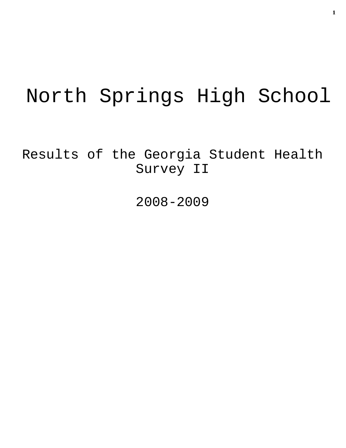# North Springs High School

Results of the Georgia Student Health Survey II

2008-2009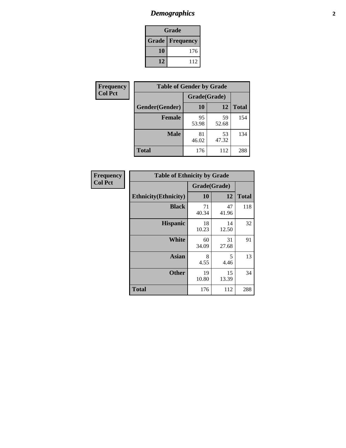# *Demographics* **2**

| Grade                  |     |  |  |  |
|------------------------|-----|--|--|--|
| <b>Grade Frequency</b> |     |  |  |  |
| 10                     | 176 |  |  |  |
| 12                     | 112 |  |  |  |

| <b>Frequency</b> | <b>Table of Gender by Grade</b> |              |             |              |  |  |
|------------------|---------------------------------|--------------|-------------|--------------|--|--|
| <b>Col Pct</b>   |                                 | Grade(Grade) |             |              |  |  |
|                  | Gender(Gender)                  | 10           | 12          | <b>Total</b> |  |  |
|                  | <b>Female</b>                   | 95<br>53.98  | 59<br>52.68 | 154          |  |  |
|                  | <b>Male</b>                     | 81<br>46.02  | 53<br>47.32 | 134          |  |  |
|                  | <b>Total</b>                    | 176          | 112         | 288          |  |  |

| <b>Frequency</b> |
|------------------|
| <b>Col Pct</b>   |

| <b>Table of Ethnicity by Grade</b> |              |             |              |  |  |  |
|------------------------------------|--------------|-------------|--------------|--|--|--|
|                                    | Grade(Grade) |             |              |  |  |  |
| <b>Ethnicity</b> (Ethnicity)       | 10           | 12          | <b>Total</b> |  |  |  |
| <b>Black</b>                       | 71<br>40.34  | 47<br>41.96 | 118          |  |  |  |
| <b>Hispanic</b>                    | 18<br>10.23  | 14<br>12.50 | 32           |  |  |  |
| White                              | 60<br>34.09  | 31<br>27.68 | 91           |  |  |  |
| <b>Asian</b>                       | 8<br>4.55    | 5<br>4.46   | 13           |  |  |  |
| <b>Other</b>                       | 19<br>10.80  | 15<br>13.39 | 34           |  |  |  |
| <b>Total</b>                       | 176          | 112         | 288          |  |  |  |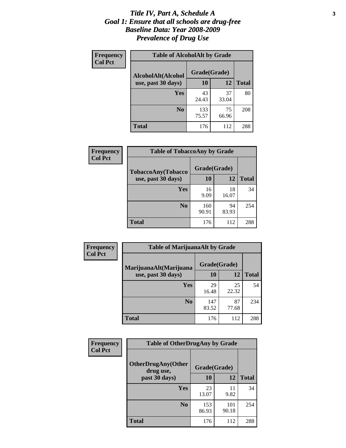### *Title IV, Part A, Schedule A* **3** *Goal 1: Ensure that all schools are drug-free Baseline Data: Year 2008-2009 Prevalence of Drug Use*

| Frequency<br><b>Col Pct</b> | <b>Table of AlcoholAlt by Grade</b> |              |             |              |  |  |
|-----------------------------|-------------------------------------|--------------|-------------|--------------|--|--|
|                             | AlcoholAlt(Alcohol                  | Grade(Grade) |             |              |  |  |
|                             | use, past 30 days)                  | 10           | 12          | <b>Total</b> |  |  |
|                             | Yes                                 | 43<br>24.43  | 37<br>33.04 | 80           |  |  |
|                             | N <sub>0</sub>                      | 133<br>75.57 | 75<br>66.96 | 208          |  |  |
|                             | <b>Total</b>                        | 176          | 112         | 288          |  |  |

| Frequency<br><b>Col Pct</b> | <b>Table of TobaccoAny by Grade</b> |              |             |              |  |
|-----------------------------|-------------------------------------|--------------|-------------|--------------|--|
|                             | <b>TobaccoAny(Tobacco</b>           | Grade(Grade) |             |              |  |
|                             | use, past 30 days)                  | 10           | 12          | <b>Total</b> |  |
|                             | Yes                                 | 16<br>9.09   | 18<br>16.07 | 34           |  |
|                             | N <sub>0</sub>                      | 160<br>90.91 | 94<br>83.93 | 254          |  |
|                             | <b>Total</b>                        | 176          | 112         | 288          |  |

| Frequency<br><b>Col Pct</b> | <b>Table of MarijuanaAlt by Grade</b> |              |             |              |  |
|-----------------------------|---------------------------------------|--------------|-------------|--------------|--|
|                             | MarijuanaAlt(Marijuana                | Grade(Grade) |             |              |  |
|                             | use, past 30 days)                    | 10           | 12          | <b>Total</b> |  |
|                             | <b>Yes</b>                            | 29<br>16.48  | 25<br>22.32 | 54           |  |
|                             | N <sub>0</sub>                        | 147<br>83.52 | 87<br>77.68 | 234          |  |
|                             | <b>Total</b>                          | 176          | 112         | 288          |  |

| <b>Frequency</b> | <b>Table of OtherDrugAny by Grade</b>  |              |              |     |  |
|------------------|----------------------------------------|--------------|--------------|-----|--|
| <b>Col Pct</b>   | <b>OtherDrugAny(Other</b><br>drug use, | Grade(Grade) |              |     |  |
| past 30 days)    | 10                                     | 12           | <b>Total</b> |     |  |
|                  | <b>Yes</b>                             | 23<br>13.07  | 11<br>9.82   | 34  |  |
|                  | N <sub>0</sub>                         | 153<br>86.93 | 101<br>90.18 | 254 |  |
|                  | <b>Total</b>                           | 176          | 112          | 288 |  |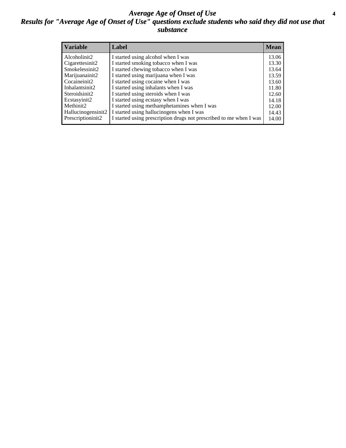### *Average Age of Onset of Use* **4** *Results for "Average Age of Onset of Use" questions exclude students who said they did not use that substance*

| <b>Variable</b>    | Label                                                              | <b>Mean</b> |
|--------------------|--------------------------------------------------------------------|-------------|
| Alcoholinit2       | I started using alcohol when I was                                 | 13.06       |
| Cigarettesinit2    | I started smoking tobacco when I was                               | 13.30       |
| Smokelessinit2     | I started chewing tobacco when I was                               | 13.64       |
| Marijuanainit2     | I started using marijuana when I was                               | 13.59       |
| Cocaineinit2       | I started using cocaine when I was                                 | 13.60       |
| Inhalantsinit2     | I started using inhalants when I was                               | 11.80       |
| Steroidsinit2      | I started using steroids when I was                                | 12.60       |
| Ecstasyinit2       | I started using ecstasy when I was                                 | 14.18       |
| Methinit2          | I started using methamphetamines when I was                        | 12.00       |
| Hallucinogensinit2 | I started using hallucinogens when I was                           | 14.43       |
| Prescriptioninit2  | I started using prescription drugs not prescribed to me when I was | 14.00       |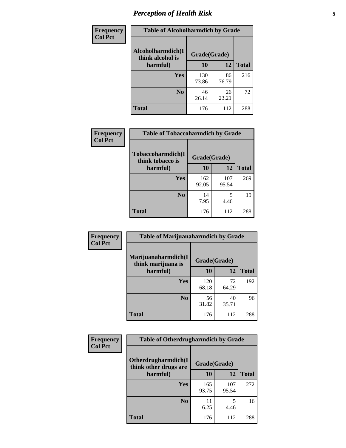# *Perception of Health Risk* **5**

| Frequency      | <b>Table of Alcoholharmdich by Grade</b> |              |             |              |
|----------------|------------------------------------------|--------------|-------------|--------------|
| <b>Col Pct</b> | Alcoholharmdich(I<br>think alcohol is    | Grade(Grade) |             |              |
|                | harmful)                                 | 10           | 12          | <b>Total</b> |
|                | <b>Yes</b>                               | 130<br>73.86 | 86<br>76.79 | 216          |
|                | N <sub>0</sub>                           | 46<br>26.14  | 26<br>23.21 | 72           |
|                | <b>Total</b>                             | 176          | 112         | 288          |

| Frequency      | <b>Table of Tobaccoharmdich by Grade</b> |              |              |              |  |
|----------------|------------------------------------------|--------------|--------------|--------------|--|
| <b>Col Pct</b> | Tobaccoharmdich(I<br>think tobacco is    | Grade(Grade) |              |              |  |
|                | harmful)                                 | 10           | 12           | <b>Total</b> |  |
|                | Yes                                      | 162<br>92.05 | 107<br>95.54 | 269          |  |
|                | N <sub>0</sub>                           | 14<br>7.95   | 5<br>4.46    | 19           |  |
|                | Total                                    | 176          | 112          | 288          |  |

| Frequency      | <b>Table of Marijuanaharmdich by Grade</b> |              |             |              |  |  |
|----------------|--------------------------------------------|--------------|-------------|--------------|--|--|
| <b>Col Pct</b> | Marijuanaharmdich(I<br>think marijuana is  | Grade(Grade) |             |              |  |  |
|                | harmful)                                   | 10           | 12          | <b>Total</b> |  |  |
|                | Yes                                        | 120<br>68.18 | 72<br>64.29 | 192          |  |  |
|                | N <sub>0</sub>                             | 56<br>31.82  | 40<br>35.71 | 96           |  |  |
|                | <b>Total</b>                               | 176          | 112         | 288          |  |  |

| <b>Frequency</b> | <b>Table of Otherdrugharmdich by Grade</b>   |              |              |              |  |  |  |  |
|------------------|----------------------------------------------|--------------|--------------|--------------|--|--|--|--|
| <b>Col Pct</b>   | Otherdrugharmdich(I<br>think other drugs are |              | Grade(Grade) |              |  |  |  |  |
|                  | harmful)                                     | 10           | 12           | <b>Total</b> |  |  |  |  |
|                  | Yes                                          | 165<br>93.75 | 107<br>95.54 | 272          |  |  |  |  |
|                  | N <sub>0</sub>                               | 11<br>6.25   | 5<br>4.46    | 16           |  |  |  |  |
|                  | <b>Total</b>                                 | 176          | 112          | 288          |  |  |  |  |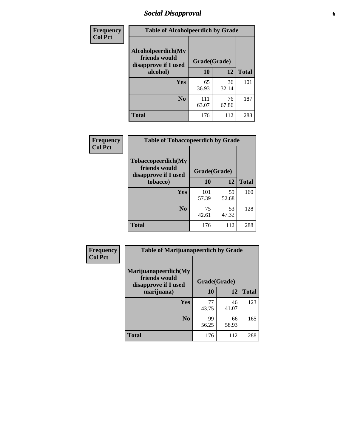# *Social Disapproval* **6**

| Frequency      | <b>Table of Alcoholpeerdich by Grade</b>                    |              |             |              |
|----------------|-------------------------------------------------------------|--------------|-------------|--------------|
| <b>Col Pct</b> | Alcoholpeerdich(My<br>friends would<br>disapprove if I used | Grade(Grade) |             |              |
|                | alcohol)                                                    |              | 12          | <b>Total</b> |
|                | <b>Yes</b>                                                  | 65<br>36.93  | 36<br>32.14 | 101          |
|                | N <sub>0</sub>                                              | 111<br>63.07 | 76<br>67.86 | 187          |
|                | <b>Total</b>                                                | 176          | 112         | 288          |

| <b>Frequency</b> |
|------------------|
| <b>Col Pct</b>   |

| <b>Table of Tobaccopeerdich by Grade</b>                            |              |              |              |  |  |  |  |
|---------------------------------------------------------------------|--------------|--------------|--------------|--|--|--|--|
| <b>Tobaccopeerdich</b> (My<br>friends would<br>disapprove if I used |              | Grade(Grade) |              |  |  |  |  |
| tobacco)                                                            | 10           | 12           | <b>Total</b> |  |  |  |  |
| Yes                                                                 | 101<br>57.39 | 59<br>52.68  | 160          |  |  |  |  |
| N <sub>0</sub>                                                      | 75<br>42.61  | 53<br>47.32  | 128          |  |  |  |  |
| <b>Total</b>                                                        | 176          | 112          | 288          |  |  |  |  |

| Frequency      | <b>Table of Marijuanapeerdich by Grade</b>                    |              |             |              |  |  |  |  |
|----------------|---------------------------------------------------------------|--------------|-------------|--------------|--|--|--|--|
| <b>Col Pct</b> | Marijuanapeerdich(My<br>friends would<br>disapprove if I used | Grade(Grade) |             |              |  |  |  |  |
|                | marijuana)                                                    | 10           | 12          | <b>Total</b> |  |  |  |  |
|                | <b>Yes</b>                                                    | 77<br>43.75  | 46<br>41.07 | 123          |  |  |  |  |
|                | N <sub>0</sub>                                                | 99<br>56.25  | 66<br>58.93 | 165          |  |  |  |  |
|                | <b>Total</b>                                                  | 176          | 112         | 288          |  |  |  |  |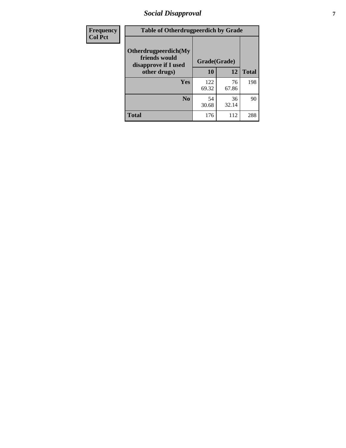# *Social Disapproval* **7**

| Frequency      | <b>Table of Otherdrugpeerdich by Grade</b>                    |              |             |              |  |  |  |  |
|----------------|---------------------------------------------------------------|--------------|-------------|--------------|--|--|--|--|
| <b>Col Pct</b> | Otherdrugpeerdich(My<br>friends would<br>disapprove if I used | Grade(Grade) |             |              |  |  |  |  |
|                | other drugs)                                                  | 10           | 12          | <b>Total</b> |  |  |  |  |
|                | Yes                                                           | 122<br>69.32 | 76<br>67.86 | 198          |  |  |  |  |
|                | N <sub>0</sub>                                                | 54<br>30.68  | 36<br>32.14 | 90           |  |  |  |  |
|                | <b>Total</b>                                                  | 176          | 112         | 288          |  |  |  |  |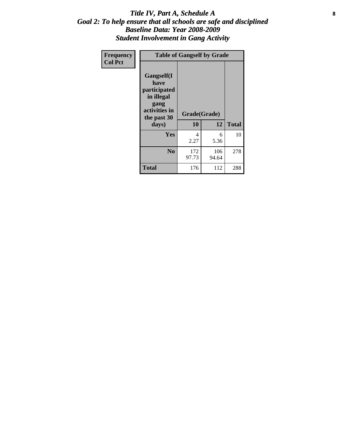### Title IV, Part A, Schedule A **8** *Goal 2: To help ensure that all schools are safe and disciplined Baseline Data: Year 2008-2009 Student Involvement in Gang Activity*

| Frequency      | <b>Table of Gangself by Grade</b>                                                                 |                    |              |              |
|----------------|---------------------------------------------------------------------------------------------------|--------------------|--------------|--------------|
| <b>Col Pct</b> | Gangself(I<br>have<br>participated<br>in illegal<br>gang<br>activities in<br>the past 30<br>days) | Grade(Grade)<br>10 | 12           | <b>Total</b> |
|                | Yes                                                                                               | 4<br>2.27          | 6<br>5.36    | 10           |
|                | N <sub>0</sub>                                                                                    | 172<br>97.73       | 106<br>94.64 | 278          |
|                | <b>Total</b>                                                                                      | 176                | 112          | 288          |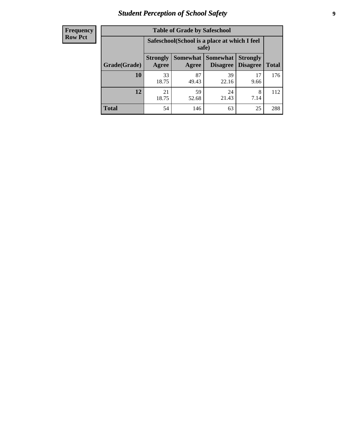# *Student Perception of School Safety* **9**

| <b>Frequency</b><br>Row Pct |
|-----------------------------|
|                             |

| <b>Table of Grade by Safeschool</b> |                                                                                                                                   |             |             |            |     |  |  |  |
|-------------------------------------|-----------------------------------------------------------------------------------------------------------------------------------|-------------|-------------|------------|-----|--|--|--|
|                                     | Safeschool (School is a place at which I feel<br>safe)                                                                            |             |             |            |     |  |  |  |
| Grade(Grade)                        | <b>Somewhat   Somewhat</b><br><b>Strongly</b><br><b>Strongly</b><br><b>Disagree</b><br>Agree<br>Disagree<br><b>Total</b><br>Agree |             |             |            |     |  |  |  |
| 10                                  | 33<br>18.75                                                                                                                       | 87<br>49.43 | 39<br>22.16 | 17<br>9.66 | 176 |  |  |  |
| 12                                  | 21<br>18.75                                                                                                                       | 59<br>52.68 | 24<br>21.43 | 8<br>7.14  | 112 |  |  |  |
| <b>Total</b>                        | 54                                                                                                                                | 146         | 63          | 25         | 288 |  |  |  |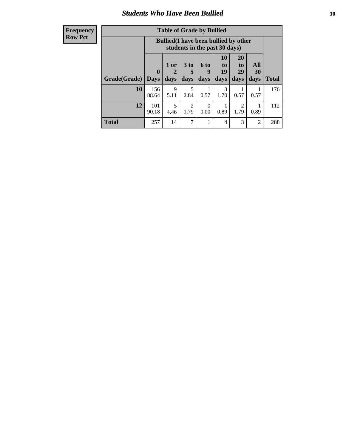### *Students Who Have Been Bullied* **10**

| <b>Frequency</b> |
|------------------|
| Row Pct          |

| <b>Table of Grade by Bullied</b> |                            |                                                                               |                              |                   |                        |                        |                   |              |
|----------------------------------|----------------------------|-------------------------------------------------------------------------------|------------------------------|-------------------|------------------------|------------------------|-------------------|--------------|
|                                  |                            | <b>Bullied</b> (I have been bullied by other<br>students in the past 30 days) |                              |                   |                        |                        |                   |              |
| Grade(Grade)                     | $\mathbf 0$<br><b>Days</b> | 1 or<br>2<br>days                                                             | 3 <sub>to</sub><br>5<br>days | 6 to<br>9<br>days | 10<br>to<br>19<br>days | 20<br>to<br>29<br>days | All<br>30<br>days | <b>Total</b> |
| 10                               | 156<br>88.64               | $\mathbf Q$<br>5.11                                                           | 5<br>2.84                    | 0.57              | 3<br>1.70              | 0.57                   | 0.57              | 176          |
| 12                               | 101<br>90.18               | 5<br>4.46                                                                     | 2<br>1.79                    | $\Omega$<br>0.00  | 0.89                   | 2<br>1.79              | 0.89              | 112          |
| <b>Total</b>                     | 257                        | 14                                                                            | 7                            |                   | 4                      | 3                      | 2                 | 288          |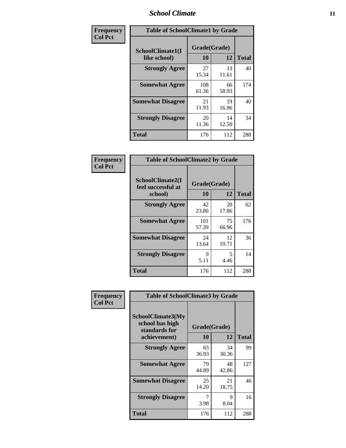### *School Climate* **11**

| Frequency      | <b>Table of SchoolClimate1 by Grade</b> |                    |             |              |  |  |  |  |
|----------------|-----------------------------------------|--------------------|-------------|--------------|--|--|--|--|
| <b>Col Pct</b> | SchoolClimate1(I<br>like school)        | Grade(Grade)<br>10 | 12          | <b>Total</b> |  |  |  |  |
|                | <b>Strongly Agree</b>                   | 27<br>15.34        | 13<br>11.61 | 40           |  |  |  |  |
|                | <b>Somewhat Agree</b>                   | 108<br>61.36       | 66<br>58.93 | 174          |  |  |  |  |
|                | <b>Somewhat Disagree</b>                | 21<br>11.93        | 19<br>16.96 | 40           |  |  |  |  |
|                | <b>Strongly Disagree</b>                | 20<br>11.36        | 14<br>12.50 | 34           |  |  |  |  |
|                | Total                                   | 176                | 112         | 288          |  |  |  |  |

| Frequency      | <b>Table of SchoolClimate2 by Grade</b>           |                    |             |              |
|----------------|---------------------------------------------------|--------------------|-------------|--------------|
| <b>Col Pct</b> | SchoolClimate2(I<br>feel successful at<br>school) | Grade(Grade)<br>10 | 12          | <b>Total</b> |
|                | <b>Strongly Agree</b>                             | 42<br>23.86        | 20<br>17.86 | 62           |
|                | <b>Somewhat Agree</b>                             | 101<br>57.39       | 75<br>66.96 | 176          |
|                | <b>Somewhat Disagree</b>                          | 24<br>13.64        | 12<br>10.71 | 36           |
|                | <b>Strongly Disagree</b>                          | 9<br>5.11          | 5<br>4.46   | 14           |
|                | <b>Total</b>                                      | 176                | 112         | 288          |

| Frequency      | <b>Table of SchoolClimate3 by Grade</b>                               |                                 |             |              |  |
|----------------|-----------------------------------------------------------------------|---------------------------------|-------------|--------------|--|
| <b>Col Pct</b> | SchoolClimate3(My<br>school has high<br>standards for<br>achievement) | Grade(Grade)<br><b>10</b><br>12 |             | <b>Total</b> |  |
|                | <b>Strongly Agree</b>                                                 | 65                              | 34          | 99           |  |
|                |                                                                       | 36.93                           | 30.36       |              |  |
|                | <b>Somewhat Agree</b>                                                 | 79<br>44.89                     | 48<br>42.86 | 127          |  |
|                | <b>Somewhat Disagree</b>                                              | 25<br>14.20                     | 21<br>18.75 | 46           |  |
|                | <b>Strongly Disagree</b>                                              | 3.98                            | 9<br>8.04   | 16           |  |
|                | Total                                                                 | 176                             | 112         | 288          |  |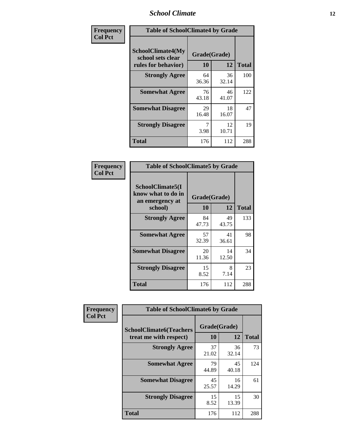### *School Climate* **12**

| Frequency      |                                                                      | <b>Table of SchoolClimate4 by Grade</b> |             |              |  |
|----------------|----------------------------------------------------------------------|-----------------------------------------|-------------|--------------|--|
| <b>Col Pct</b> | <b>SchoolClimate4(My</b><br>school sets clear<br>rules for behavior) | Grade(Grade)<br>10                      | 12          | <b>Total</b> |  |
|                | <b>Strongly Agree</b>                                                | 64<br>36.36                             | 36<br>32.14 | 100          |  |
|                | <b>Somewhat Agree</b>                                                | 76<br>43.18                             | 46<br>41.07 | 122          |  |
|                | <b>Somewhat Disagree</b>                                             | 29<br>16.48                             | 18<br>16.07 | 47           |  |
|                | <b>Strongly Disagree</b>                                             | 7<br>3.98                               | 12<br>10.71 | 19           |  |
|                | <b>Total</b>                                                         | 176                                     | 112         | 288          |  |

| <b>Table of SchoolClimate5 by Grade</b>                   |              |             |              |  |  |  |
|-----------------------------------------------------------|--------------|-------------|--------------|--|--|--|
| SchoolClimate5(I<br>know what to do in<br>an emergency at | Grade(Grade) |             |              |  |  |  |
| school)                                                   | 10           | 12          | <b>Total</b> |  |  |  |
| <b>Strongly Agree</b>                                     | 84<br>47.73  | 49<br>43.75 | 133          |  |  |  |
| <b>Somewhat Agree</b>                                     | 57<br>32.39  | 41<br>36.61 | 98           |  |  |  |
| <b>Somewhat Disagree</b>                                  | 20<br>11.36  | 14<br>12.50 | 34           |  |  |  |
| <b>Strongly Disagree</b>                                  | 15<br>8.52   | 8<br>7.14   | 23           |  |  |  |
| <b>Total</b>                                              | 176          | 112         | 288          |  |  |  |

| Frequency      | <b>Table of SchoolClimate6 by Grade</b>                  |                    |             |              |  |
|----------------|----------------------------------------------------------|--------------------|-------------|--------------|--|
| <b>Col Pct</b> | <b>SchoolClimate6(Teachers</b><br>treat me with respect) | Grade(Grade)<br>10 | 12          | <b>Total</b> |  |
|                | <b>Strongly Agree</b>                                    | 37<br>21.02        | 36<br>32.14 | 73           |  |
|                | <b>Somewhat Agree</b>                                    | 79<br>44.89        | 45<br>40.18 | 124          |  |
|                | <b>Somewhat Disagree</b>                                 | 45<br>25.57        | 16<br>14.29 | 61           |  |
|                | <b>Strongly Disagree</b>                                 | 15<br>8.52         | 15<br>13.39 | 30           |  |
|                | <b>Total</b>                                             | 176                | 112         | 288          |  |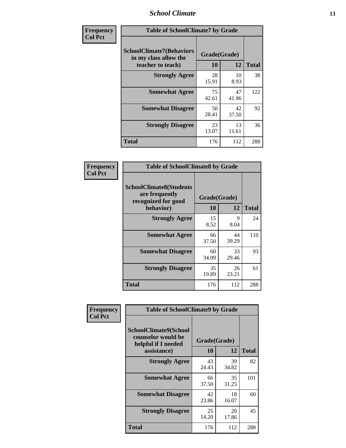### *School Climate* **13**

| Frequency      | <b>Table of SchoolClimate7 by Grade</b>                                       |                           |             |              |
|----------------|-------------------------------------------------------------------------------|---------------------------|-------------|--------------|
| <b>Col Pct</b> | <b>SchoolClimate7(Behaviors</b><br>in my class allow the<br>teacher to teach) | Grade(Grade)<br><b>10</b> | 12          | <b>Total</b> |
|                | <b>Strongly Agree</b>                                                         | 28<br>15.91               | 10<br>8.93  | 38           |
|                | <b>Somewhat Agree</b>                                                         | 75<br>42.61               | 47<br>41.96 | 122          |
|                | <b>Somewhat Disagree</b>                                                      | 50<br>28.41               | 42<br>37.50 | 92           |
|                | <b>Strongly Disagree</b>                                                      | 23<br>13.07               | 13<br>11.61 | 36           |
|                | <b>Total</b>                                                                  | 176                       | 112         | 288          |

| Frequency      | <b>Table of SchoolClimate8 by Grade</b>                                              |                    |             |              |
|----------------|--------------------------------------------------------------------------------------|--------------------|-------------|--------------|
| <b>Col Pct</b> | <b>SchoolClimate8(Students</b><br>are frequently<br>recognized for good<br>behavior) | Grade(Grade)<br>10 | 12          | <b>Total</b> |
|                | <b>Strongly Agree</b>                                                                | 15<br>8.52         | 9<br>8.04   | 24           |
|                | <b>Somewhat Agree</b>                                                                | 66<br>37.50        | 44<br>39.29 | 110          |
|                | <b>Somewhat Disagree</b>                                                             | 60<br>34.09        | 33<br>29.46 | 93           |
|                | <b>Strongly Disagree</b>                                                             | 35<br>19.89        | 26<br>23.21 | 61           |
|                | <b>Total</b>                                                                         | 176                | 112         | 288          |

| Frequency      | <b>Table of SchoolClimate9 by Grade</b>                                           |                    |             |              |
|----------------|-----------------------------------------------------------------------------------|--------------------|-------------|--------------|
| <b>Col Pct</b> | SchoolClimate9(School<br>counselor would be<br>helpful if I needed<br>assistance) | Grade(Grade)<br>10 | 12          | <b>Total</b> |
|                | <b>Strongly Agree</b>                                                             | 43<br>24.43        | 39<br>34.82 | 82           |
|                | <b>Somewhat Agree</b>                                                             | 66<br>37.50        | 35<br>31.25 | 101          |
|                | <b>Somewhat Disagree</b>                                                          | 42<br>23.86        | 18<br>16.07 | 60           |
|                | <b>Strongly Disagree</b>                                                          | 25<br>14.20        | 20<br>17.86 | 45           |
|                | Total                                                                             | 176                | 112         | 288          |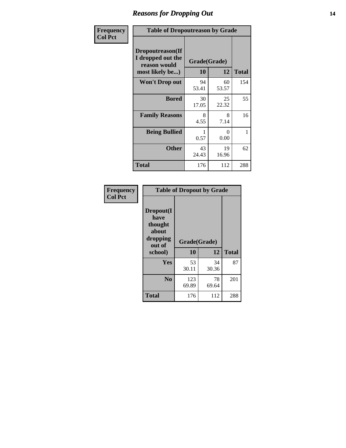### *Reasons for Dropping Out* **14**

| Frequency      | <b>Table of Dropoutreason by Grade</b>                                   |                    |             |              |
|----------------|--------------------------------------------------------------------------|--------------------|-------------|--------------|
| <b>Col Pct</b> | Dropoutreason(If<br>I dropped out the<br>reason would<br>most likely be) | Grade(Grade)<br>10 | 12          | <b>Total</b> |
|                | Won't Drop out                                                           | 94<br>53.41        | 60<br>53.57 | 154          |
|                | <b>Bored</b>                                                             | 30<br>17.05        | 25<br>22.32 | 55           |
|                | <b>Family Reasons</b>                                                    | 8<br>4.55          | 8<br>7.14   | 16           |
|                | <b>Being Bullied</b>                                                     | 0.57               | 0<br>0.00   | 1            |
|                | <b>Other</b>                                                             | 43<br>24.43        | 19<br>16.96 | 62           |
|                | Total                                                                    | 176                | 112         | 288          |

| Frequency      | <b>Table of Dropout by Grade</b>                                       |                    |             |              |  |
|----------------|------------------------------------------------------------------------|--------------------|-------------|--------------|--|
| <b>Col Pct</b> | Dropout(I<br>have<br>thought<br>about<br>dropping<br>out of<br>school) | Grade(Grade)<br>10 | 12          | <b>Total</b> |  |
|                |                                                                        |                    |             |              |  |
|                | Yes                                                                    | 53<br>30.11        | 34<br>30.36 | 87           |  |
|                | N <sub>0</sub>                                                         | 123<br>69.89       | 78<br>69.64 | 201          |  |
|                | <b>Total</b>                                                           | 176                | 112         | 288          |  |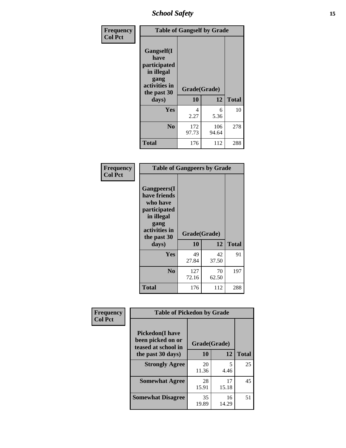*School Safety* **15**

| Frequency      |                                                                                                   | <b>Table of Gangself by Grade</b> |              |     |  |              |
|----------------|---------------------------------------------------------------------------------------------------|-----------------------------------|--------------|-----|--|--------------|
| <b>Col Pct</b> | Gangself(I<br>have<br>participated<br>in illegal<br>gang<br>activities in<br>the past 30<br>days) | Grade(Grade)<br>10<br>12          |              |     |  | <b>Total</b> |
|                | Yes                                                                                               | 4<br>2.27                         | 6<br>5.36    | 10  |  |              |
|                | N <sub>o</sub>                                                                                    | 172<br>97.73                      | 106<br>94.64 | 278 |  |              |
|                | Total                                                                                             | 176                               | 112          | 288 |  |              |

| Frequency<br><b>Col Pct</b> | <b>Table of Gangpeers by Grade</b>                                                                                             |                    |             |              |
|-----------------------------|--------------------------------------------------------------------------------------------------------------------------------|--------------------|-------------|--------------|
|                             | <b>Gangpeers</b> (I<br>have friends<br>who have<br>participated<br>in illegal<br>gang<br>activities in<br>the past 30<br>days) | Grade(Grade)<br>10 | 12          | <b>Total</b> |
|                             | <b>Yes</b>                                                                                                                     | 49<br>27.84        | 42<br>37.50 | 91           |
|                             | N <sub>0</sub>                                                                                                                 | 127<br>72.16       | 70<br>62.50 | 197          |
|                             | <b>Total</b>                                                                                                                   | 176                | 112         | 288          |

| Frequency      | <b>Table of Pickedon by Grade</b>                                  |              |             |              |
|----------------|--------------------------------------------------------------------|--------------|-------------|--------------|
| <b>Col Pct</b> | <b>Pickedon(I have</b><br>been picked on or<br>teased at school in | Grade(Grade) |             |              |
|                | the past 30 days)                                                  | 10           | 12          | <b>Total</b> |
|                | <b>Strongly Agree</b>                                              | 20<br>11.36  | 5<br>4.46   | 25           |
|                | <b>Somewhat Agree</b>                                              | 28<br>15.91  | 17<br>15.18 | 45           |
|                | <b>Somewhat Disagree</b>                                           | 35<br>19.89  | 16<br>14.29 | 51           |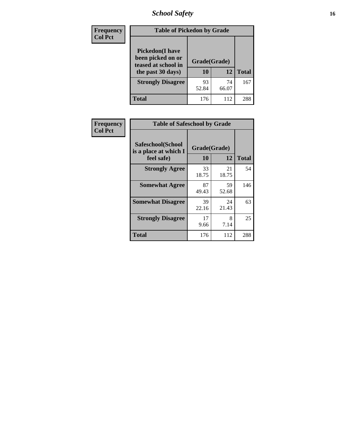# *School Safety* **16**

| <b>Frequency</b> | <b>Table of Pickedon by Grade</b>                                                        |                    |              |     |  |  |  |  |  |  |
|------------------|------------------------------------------------------------------------------------------|--------------------|--------------|-----|--|--|--|--|--|--|
| <b>Col Pct</b>   | <b>Pickedon</b> (I have<br>been picked on or<br>teased at school in<br>the past 30 days) | Grade(Grade)<br>10 | <b>Total</b> |     |  |  |  |  |  |  |
|                  | <b>Strongly Disagree</b>                                                                 | 93<br>52.84        | 74<br>66.07  | 167 |  |  |  |  |  |  |
|                  | Total                                                                                    | 176                | 112          | 288 |  |  |  |  |  |  |

| Frequency      |                                                          | <b>Table of Safeschool by Grade</b> |             |              |  |  |  |  |  |
|----------------|----------------------------------------------------------|-------------------------------------|-------------|--------------|--|--|--|--|--|
| <b>Col Pct</b> | Safeschool(School<br>is a place at which I<br>feel safe) | Grade(Grade)<br>10                  | 12          | <b>Total</b> |  |  |  |  |  |
|                | <b>Strongly Agree</b>                                    | 33<br>18.75                         | 21<br>18.75 | 54           |  |  |  |  |  |
|                | <b>Somewhat Agree</b>                                    | 87<br>49.43                         | 59<br>52.68 | 146          |  |  |  |  |  |
|                | <b>Somewhat Disagree</b>                                 | 39<br>22.16                         | 24<br>21.43 | 63           |  |  |  |  |  |
|                | <b>Strongly Disagree</b>                                 | 17<br>9.66                          | 8<br>7.14   | 25           |  |  |  |  |  |
|                | <b>Total</b>                                             | 176                                 | 112         | 288          |  |  |  |  |  |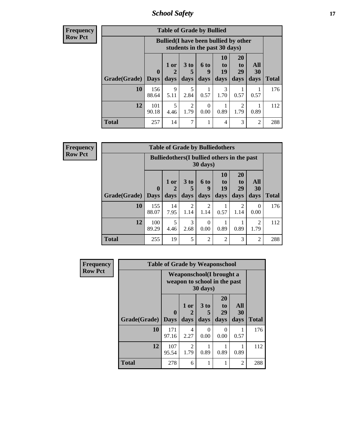*School Safety* **17**

| Frequency |  |
|-----------|--|
| Row Pct   |  |

| <b>Table of Grade by Bullied</b> |                        |                                                                               |                              |                          |                               |                               |                   |              |  |  |  |
|----------------------------------|------------------------|-------------------------------------------------------------------------------|------------------------------|--------------------------|-------------------------------|-------------------------------|-------------------|--------------|--|--|--|
|                                  |                        | <b>Bullied</b> (I have been bullied by other<br>students in the past 30 days) |                              |                          |                               |                               |                   |              |  |  |  |
| Grade(Grade)                     | $\mathbf{0}$<br>  Days | $1$ or<br>days                                                                | 3 <sub>to</sub><br>5<br>days | <b>6 to</b><br>9<br>days | <b>10</b><br>to<br>19<br>days | <b>20</b><br>to<br>29<br>days | All<br>30<br>days | <b>Total</b> |  |  |  |
| 10                               | 156<br>88.64           | 9<br>5.11                                                                     | 5<br>2.84                    | 0.57                     | 3<br>1.70                     | 0.57                          | 0.57              | 176          |  |  |  |
| 12                               | 101<br>90.18           | 5<br>4.46                                                                     | $\overline{c}$<br>1.79       | 0<br>0.00                | 0.89                          | 2<br>1.79                     | 0.89              | 112          |  |  |  |
| <b>Total</b>                     | 257                    | 14                                                                            | 7                            |                          | 4                             | 3                             | $\overline{c}$    | 288          |  |  |  |

| <b>Frequency</b> |
|------------------|
| <b>Row Pct</b>   |

| <b>Table of Grade by Bulliedothers</b> |                                                                |                   |                              |                        |                        |                               |                        |              |  |  |  |
|----------------------------------------|----------------------------------------------------------------|-------------------|------------------------------|------------------------|------------------------|-------------------------------|------------------------|--------------|--|--|--|
|                                        | <b>Bulliedothers</b> (I bullied others in the past<br>30 days) |                   |                              |                        |                        |                               |                        |              |  |  |  |
| <b>Grade</b> (Grade)                   | $\bf{0}$<br>  Days                                             | 1 or<br>2<br>days | 3 <sub>to</sub><br>5<br>days | 6 to<br>g<br>days      | 10<br>to<br>19<br>days | <b>20</b><br>to<br>29<br>days | All<br>30<br>days      | <b>Total</b> |  |  |  |
| 10                                     | 155<br>88.07                                                   | 14<br>7.95        | 2<br>1.14                    | $\overline{c}$<br>1.14 | 0.57                   | 2<br>1.14                     | 0<br>0.00              | 176          |  |  |  |
| 12                                     | 100<br>89.29                                                   | 5<br>4.46         | 3<br>2.68                    | 0<br>0.00              | 0.89                   | 0.89                          | $\overline{c}$<br>1.79 | 112          |  |  |  |
| <b>Total</b>                           | 255                                                            | 19                | 5                            | $\mathfrak{D}$         | $\overline{2}$         | 3                             | $\mathfrak{D}$         | 288          |  |  |  |

| <b>Frequency</b> | <b>Table of Grade by Weaponschool</b> |                         |                                                                  |                   |                        |                          |              |  |  |  |
|------------------|---------------------------------------|-------------------------|------------------------------------------------------------------|-------------------|------------------------|--------------------------|--------------|--|--|--|
| <b>Row Pct</b>   |                                       |                         | <b>Weaponschool</b> (I brought a<br>weapon to school in the past | 30 days)          |                        |                          |              |  |  |  |
|                  | Grade(Grade)                          | $\bf{0}$<br><b>Days</b> | 1 or<br>2<br>days                                                | 3 to<br>5<br>days | 20<br>to<br>29<br>days | All<br><b>30</b><br>days | <b>Total</b> |  |  |  |
|                  | 10                                    | 171<br>97.16            | 4<br>2.27                                                        | 0<br>0.00         | $\Omega$<br>0.00       | 0.57                     | 176          |  |  |  |
|                  | 12                                    | 107<br>95.54            | 2<br>1.79                                                        | 0.89              | 0.89                   | 0.89                     | 112          |  |  |  |
|                  | <b>Total</b>                          | 278                     | 6                                                                |                   |                        | 2                        | 288          |  |  |  |

ł,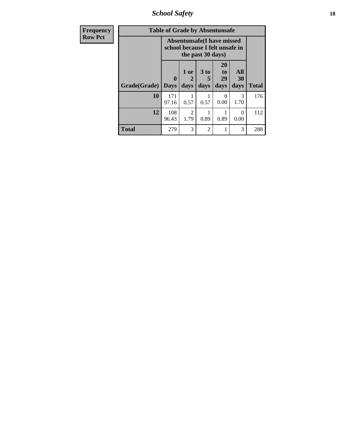*School Safety* **18**

| <b>Frequency</b> | <b>Table of Grade by Absentunsafe</b> |                                                                      |                        |                   |                        |                   |              |  |  |
|------------------|---------------------------------------|----------------------------------------------------------------------|------------------------|-------------------|------------------------|-------------------|--------------|--|--|
| <b>Row Pct</b>   |                                       | <b>Absentunsafe(I have missed</b><br>school because I felt unsafe in |                        |                   |                        |                   |              |  |  |
|                  | Grade(Grade)                          | 0<br><b>Days</b>                                                     | 1 or<br>2<br>days      | 3 to<br>5<br>days | 20<br>to<br>29<br>days | All<br>30<br>days | <b>Total</b> |  |  |
|                  | 10                                    | 171<br>97.16                                                         | 0.57                   | 0.57              | 0.00                   | 3<br>1.70         | 176          |  |  |
|                  | 12                                    | 108<br>96.43                                                         | $\overline{2}$<br>1.79 | 0.89              | 0.89                   | ∩<br>0.00         | 112          |  |  |
|                  | Total                                 | 279                                                                  | 3                      | $\mathfrak{D}$    |                        | 3                 | 288          |  |  |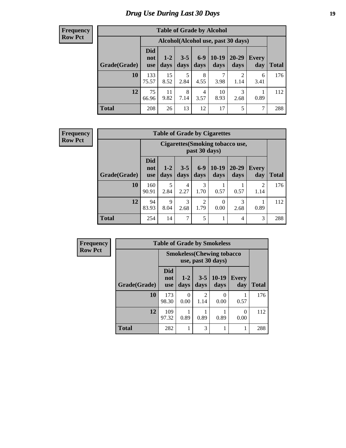# *Drug Use During Last 30 Days* **19**

#### **Frequency Row Pct**

| <b>Table of Grade by Alcohol</b> |                                 |                                    |                 |               |                 |                        |              |              |  |  |
|----------------------------------|---------------------------------|------------------------------------|-----------------|---------------|-----------------|------------------------|--------------|--------------|--|--|
|                                  |                                 | Alcohol(Alcohol use, past 30 days) |                 |               |                 |                        |              |              |  |  |
| Grade(Grade)                     | <b>Did</b><br>not<br><b>use</b> | $1-2$<br>days                      | $3 - 5$<br>days | $6-9$<br>days | $10-19$<br>days | 20-29<br>days          | Every<br>day | <b>Total</b> |  |  |
| 10                               | 133<br>75.57                    | 15<br>8.52                         | 5<br>2.84       | 8<br>4.55     | 7<br>3.98       | $\overline{2}$<br>1.14 | 6<br>3.41    | 176          |  |  |
| 12                               | 75<br>66.96                     | 11<br>9.82                         | 8<br>7.14       | 4<br>3.57     | 10<br>8.93      | 3<br>2.68              | 0.89         | 112          |  |  |
| <b>Total</b>                     | 208                             | 26                                 | 13              | 12            | 17              | 5                      | 7            | 288          |  |  |

#### **Frequency Row Pct**

| <b>Table of Grade by Cigarettes</b> |                                 |                                                          |                 |                        |                        |                   |                     |       |  |  |
|-------------------------------------|---------------------------------|----------------------------------------------------------|-----------------|------------------------|------------------------|-------------------|---------------------|-------|--|--|
|                                     |                                 | <b>Cigarettes (Smoking tobacco use,</b><br>past 30 days) |                 |                        |                        |                   |                     |       |  |  |
| Grade(Grade)                        | <b>Did</b><br>not<br><b>use</b> | $1-2$<br>days                                            | $3 - 5$<br>days | $6-9$<br>days          | $10-19$<br>days        | $20 - 29$<br>days | <b>Every</b><br>day | Total |  |  |
| 10                                  | 160<br>90.91                    | 5<br>2.84                                                | 4<br>2.27       | 3<br>1.70              | 0.57                   | 0.57              | 2<br>1.14           | 176   |  |  |
| 12                                  | 94<br>83.93                     | 9<br>8.04                                                | 3<br>2.68       | $\overline{2}$<br>1.79 | $\overline{0}$<br>0.00 | 3<br>2.68         | 0.89                | 112   |  |  |
| <b>Total</b>                        | 254                             | 14                                                       | 7               | 5                      | 1                      | 4                 | 3                   | 288   |  |  |

| Frequency      | <b>Table of Grade by Smokeless</b> |                          |                                                         |                        |                 |              |              |  |
|----------------|------------------------------------|--------------------------|---------------------------------------------------------|------------------------|-----------------|--------------|--------------|--|
| <b>Row Pct</b> |                                    |                          | <b>Smokeless</b> (Chewing tobacco<br>use, past 30 days) |                        |                 |              |              |  |
|                | Grade(Grade)                       | Did<br>not<br><b>use</b> | $1 - 2$<br>days                                         | $3 - 5$<br>days        | $10-19$<br>days | Every<br>day | <b>Total</b> |  |
|                | 10                                 | 173<br>98.30             | 0<br>0.00                                               | $\mathfrak{D}$<br>1.14 | 0.00            | 0.57         | 176          |  |
|                | 12                                 | 109<br>97.32             | 0.89                                                    | 0.89                   | 0.89            | 0.00         | 112          |  |
|                | <b>Total</b>                       | 282                      |                                                         | 3                      |                 |              | 288          |  |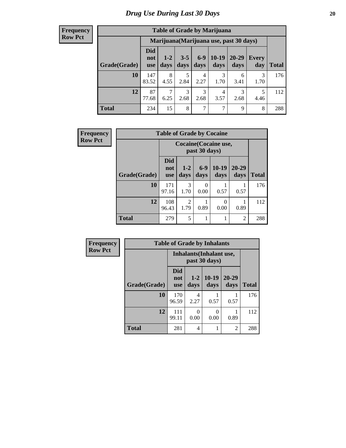#### **Frequency Row Pct**

| <b>Table of Grade by Marijuana</b> |                          |                                         |                 |                        |                 |               |              |       |  |
|------------------------------------|--------------------------|-----------------------------------------|-----------------|------------------------|-----------------|---------------|--------------|-------|--|
|                                    |                          | Marijuana (Marijuana use, past 30 days) |                 |                        |                 |               |              |       |  |
| Grade(Grade)                       | Did<br>not<br><b>use</b> | $1 - 2$<br>days                         | $3 - 5$<br>days | $6 - 9$<br>days        | $10-19$<br>days | 20-29<br>days | Every<br>day | Total |  |
| 10                                 | 147<br>83.52             | 8<br>4.55                               | 5<br>2.84       | $\overline{4}$<br>2.27 | 3<br>1.70       | 6<br>3.41     | 3<br>1.70    | 176   |  |
| 12                                 | 87<br>77.68              | 7<br>6.25                               | 3<br>2.68       | 3<br>2.68              | 4<br>3.57       | 3<br>2.68     | 5<br>4.46    | 112   |  |
| <b>Total</b>                       | 234                      | 15                                      | 8               | 7                      | 7               | 9             | 8            | 288   |  |

| Frequency      |              | <b>Table of Grade by Cocaine</b> |                                        |               |                 |                   |              |  |
|----------------|--------------|----------------------------------|----------------------------------------|---------------|-----------------|-------------------|--------------|--|
| <b>Row Pct</b> |              |                                  | Cocaine (Cocaine use,<br>past 30 days) |               |                 |                   |              |  |
|                | Grade(Grade) | Did<br>not<br><b>use</b>         | $1-2$<br>days                          | $6-9$<br>days | $10-19$<br>days | $20 - 29$<br>days | <b>Total</b> |  |
|                | 10           | 171<br>97.16                     | $\mathcal{R}$<br>1.70                  | 0<br>0.00     | 0.57            | 0.57              | 176          |  |
|                | 12           | 108<br>96.43                     | $\mathfrak{D}$<br>1.79                 | 0.89          | 0<br>0.00       | 0.89              | 112          |  |
|                | <b>Total</b> | 279                              | 5                                      | 1             |                 | 2                 | 288          |  |

| <b>Frequency</b> | <b>Table of Grade by Inhalants</b> |                          |                                                  |                 |                   |              |  |  |
|------------------|------------------------------------|--------------------------|--------------------------------------------------|-----------------|-------------------|--------------|--|--|
| <b>Row Pct</b>   |                                    |                          | <b>Inhalants</b> (Inhalant use,<br>past 30 days) |                 |                   |              |  |  |
|                  | Grade(Grade)                       | Did<br>not<br><b>use</b> | $1 - 2$<br>days                                  | $10-19$<br>days | $20 - 29$<br>days | <b>Total</b> |  |  |
|                  | 10                                 | 170<br>96.59             | 4<br>2.27                                        | 0.57            | 0.57              | 176          |  |  |
|                  | 12                                 | 111<br>99.11             | 0<br>0.00                                        | 0<br>0.00       | 0.89              | 112          |  |  |
|                  | <b>Total</b>                       | 281                      | 4                                                | 1               | $\overline{c}$    | 288          |  |  |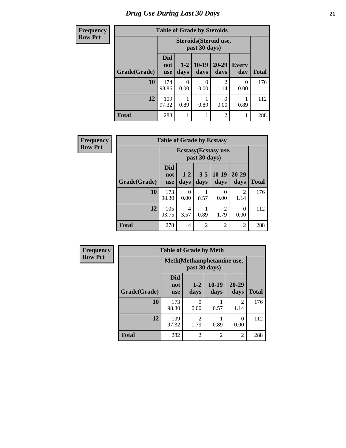| <b>Frequency</b> | <b>Table of Grade by Steroids</b> |                                 |                 |                  |                   |                     |              |  |
|------------------|-----------------------------------|---------------------------------|-----------------|------------------|-------------------|---------------------|--------------|--|
| <b>Row Pct</b>   |                                   |                                 |                 |                  |                   |                     |              |  |
|                  | Grade(Grade)                      | <b>Did</b><br>not<br><b>use</b> | $1 - 2$<br>days | $10-19$<br>days  | $20 - 29$<br>days | <b>Every</b><br>day | <b>Total</b> |  |
|                  | 10                                | 174<br>98.86                    | 0<br>0.00       | $\Omega$<br>0.00 | 2<br>1.14         | $\Omega$<br>0.00    | 176          |  |
|                  | 12                                | 109<br>97.32                    | 0.89            | 0.89             | 0<br>0.00         | 0.89                | 112          |  |
|                  | <b>Total</b>                      | 283                             |                 | 1                | $\overline{2}$    | 1                   | 288          |  |

| Frequency      |              | <b>Table of Grade by Ecstasy</b> |                                        |                 |                 |                        |              |  |
|----------------|--------------|----------------------------------|----------------------------------------|-----------------|-----------------|------------------------|--------------|--|
| <b>Row Pct</b> |              |                                  | Ecstasy (Ecstasy use,<br>past 30 days) |                 |                 |                        |              |  |
|                | Grade(Grade) | <b>Did</b><br>not<br><b>use</b>  | $1 - 2$<br>days                        | $3 - 5$<br>days | $10-19$<br>days | 20-29<br>days          | <b>Total</b> |  |
|                | 10           | 173<br>98.30                     | 0<br>0.00                              | 0.57            | 0<br>0.00       | $\mathfrak{D}$<br>1.14 | 176          |  |
|                | 12           | 105<br>93.75                     | 4<br>3.57                              | 0.89            | 2<br>1.79       | 0<br>0.00              | 112          |  |
|                | <b>Total</b> | 278                              | 4                                      | $\overline{2}$  | $\overline{2}$  | $\overline{2}$         | 288          |  |

| <b>Frequency</b> | <b>Table of Grade by Meth</b> |                                 |                        |                 |                        |              |  |
|------------------|-------------------------------|---------------------------------|------------------------|-----------------|------------------------|--------------|--|
| <b>Row Pct</b>   |                               | Meth (Methamphetamine use,      |                        |                 |                        |              |  |
|                  | Grade(Grade)                  | <b>Did</b><br>not<br><b>use</b> | $1 - 2$<br>days        | $10-19$<br>days | 20-29<br>days          | <b>Total</b> |  |
|                  | 10                            | 173<br>98.30                    | 0<br>0.00              | 0.57            | $\mathfrak{D}$<br>1.14 | 176          |  |
|                  | 12                            | 109<br>97.32                    | $\overline{c}$<br>1.79 | 0.89            | 0<br>0.00              | 112          |  |
|                  | <b>Total</b>                  | 282                             | 2                      | $\overline{2}$  | $\overline{2}$         | 288          |  |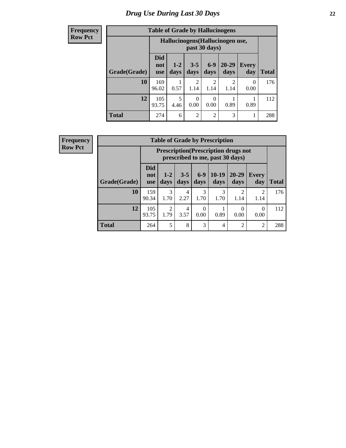#### **Frequency Row Pct**

| <b>Table of Grade by Hallucinogens</b> |                                 |                                                   |                        |                        |                       |                     |              |  |
|----------------------------------------|---------------------------------|---------------------------------------------------|------------------------|------------------------|-----------------------|---------------------|--------------|--|
|                                        |                                 | Hallucinogens (Hallucinogen use,<br>past 30 days) |                        |                        |                       |                     |              |  |
| Grade(Grade)                           | <b>Did</b><br>not<br><b>use</b> | $1 - 2$<br>days                                   | $3 - 5$<br>days        | $6-9$<br>days          | 20-29<br>days         | <b>Every</b><br>day | <b>Total</b> |  |
| 10                                     | 169<br>96.02                    | 0.57                                              | $\mathfrak{D}$<br>1.14 | $\overline{c}$<br>1.14 | $\mathcal{D}$<br>1.14 | 0<br>0.00           | 176          |  |
| 12                                     | 105<br>93.75                    | 5<br>4.46                                         | 0<br>0.00              | 0.00                   | 0.89                  | 0.89                | 112          |  |
| <b>Total</b>                           | 274                             | 6                                                 | $\overline{2}$         | $\overline{c}$         | 3                     | 1                   | 288          |  |

**Frequency Row Pct**

| <b>Table of Grade by Prescription</b> |                                 |                                                                                |                 |                  |                 |                       |                        |              |  |
|---------------------------------------|---------------------------------|--------------------------------------------------------------------------------|-----------------|------------------|-----------------|-----------------------|------------------------|--------------|--|
|                                       |                                 | <b>Prescription</b> (Prescription drugs not<br>prescribed to me, past 30 days) |                 |                  |                 |                       |                        |              |  |
| Grade(Grade)                          | <b>Did</b><br>not<br><b>use</b> | $1-2$<br>days                                                                  | $3 - 5$<br>days | $6 - 9$<br>days  | $10-19$<br>days | 20-29<br>days         | Every<br>day           | <b>Total</b> |  |
| 10                                    | 159<br>90.34                    | $\mathcal{R}$<br>1.70                                                          | 4<br>2.27       | 3<br>1.70        | 3<br>1.70       | $\mathcal{D}$<br>1.14 | $\mathfrak{D}$<br>1.14 | 176          |  |
| 12                                    | 105<br>93.75                    | っ<br>1.79                                                                      | 4<br>3.57       | $\Omega$<br>0.00 | 0.89            | 0<br>0.00             | 0.00                   | 112          |  |
| <b>Total</b>                          | 264                             | 5                                                                              | 8               | 3                | 4               | $\overline{2}$        | $\overline{2}$         | 288          |  |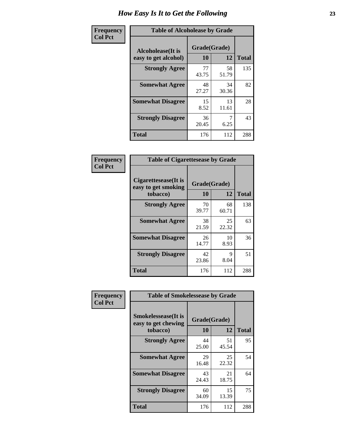| Frequency      | <b>Table of Alcoholease by Grade</b>              |                    |             |              |  |  |  |  |
|----------------|---------------------------------------------------|--------------------|-------------|--------------|--|--|--|--|
| <b>Col Pct</b> | <b>Alcoholease</b> (It is<br>easy to get alcohol) | Grade(Grade)<br>10 | 12          | <b>Total</b> |  |  |  |  |
|                | <b>Strongly Agree</b>                             | 77<br>43.75        | 58<br>51.79 | 135          |  |  |  |  |
|                | <b>Somewhat Agree</b>                             | 48<br>27.27        | 34<br>30.36 | 82           |  |  |  |  |
|                | <b>Somewhat Disagree</b>                          | 15<br>8.52         | 13<br>11.61 | 28           |  |  |  |  |
|                | <b>Strongly Disagree</b>                          | 36<br>20.45        | 6.25        | 43           |  |  |  |  |
|                | <b>Total</b>                                      | 176                | 112         | 288          |  |  |  |  |

| Frequency      | <b>Table of Cigarettesease by Grade</b>                  |                    |             |              |  |  |  |
|----------------|----------------------------------------------------------|--------------------|-------------|--------------|--|--|--|
| <b>Col Pct</b> | Cigarettesease (It is<br>easy to get smoking<br>tobacco) | Grade(Grade)<br>10 | 12          | <b>Total</b> |  |  |  |
|                | <b>Strongly Agree</b>                                    | 70<br>39.77        | 68<br>60.71 | 138          |  |  |  |
|                | <b>Somewhat Agree</b>                                    | 38<br>21.59        | 25<br>22.32 | 63           |  |  |  |
|                | <b>Somewhat Disagree</b>                                 | 26<br>14.77        | 10<br>8.93  | 36           |  |  |  |
|                | <b>Strongly Disagree</b>                                 | 42<br>23.86        | Q<br>8.04   | 51           |  |  |  |
|                | <b>Total</b>                                             | 176                | 112         | 288          |  |  |  |

| Frequency      | <b>Table of Smokelessease by Grade</b>             |              |             |              |  |  |  |
|----------------|----------------------------------------------------|--------------|-------------|--------------|--|--|--|
| <b>Col Pct</b> | <b>Smokelessease</b> (It is<br>easy to get chewing | Grade(Grade) |             |              |  |  |  |
|                | tobacco)                                           | 10           | 12          | <b>Total</b> |  |  |  |
|                | <b>Strongly Agree</b>                              | 44<br>25.00  | 51<br>45.54 | 95           |  |  |  |
|                | <b>Somewhat Agree</b>                              | 29<br>16.48  | 25<br>22.32 | 54           |  |  |  |
|                | <b>Somewhat Disagree</b>                           | 43<br>24.43  | 21<br>18.75 | 64           |  |  |  |
|                | <b>Strongly Disagree</b>                           | 60<br>34.09  | 15<br>13.39 | 75           |  |  |  |
|                | <b>Total</b>                                       | 176          | 112         | 288          |  |  |  |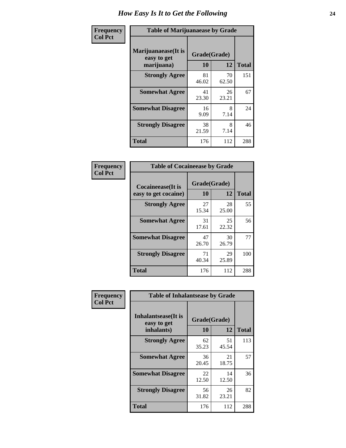| Frequency      | <b>Table of Marijuanaease by Grade</b>           |                    |             |              |  |  |  |
|----------------|--------------------------------------------------|--------------------|-------------|--------------|--|--|--|
| <b>Col Pct</b> | Marijuanaease(It is<br>easy to get<br>marijuana) | Grade(Grade)<br>10 | 12          | <b>Total</b> |  |  |  |
|                | <b>Strongly Agree</b>                            | 81<br>46.02        | 70<br>62.50 | 151          |  |  |  |
|                | <b>Somewhat Agree</b>                            | 41<br>23.30        | 26<br>23.21 | 67           |  |  |  |
|                | <b>Somewhat Disagree</b>                         | 16<br>9.09         | 8<br>7.14   | 24           |  |  |  |
|                | <b>Strongly Disagree</b>                         | 38<br>21.59        | 8<br>7.14   | 46           |  |  |  |
|                | <b>Total</b>                                     | 176                | 112         | 288          |  |  |  |

| <b>Table of Cocaineease by Grade</b>              |             |                    |                    |  |  |  |  |  |  |
|---------------------------------------------------|-------------|--------------------|--------------------|--|--|--|--|--|--|
| <b>Cocaineease</b> (It is<br>easy to get cocaine) | 10          | Grade(Grade)<br>12 |                    |  |  |  |  |  |  |
| <b>Strongly Agree</b>                             | 27<br>15.34 | 28<br>25.00        | <b>Total</b><br>55 |  |  |  |  |  |  |
| <b>Somewhat Agree</b>                             | 31<br>17.61 | 25<br>22.32        | 56                 |  |  |  |  |  |  |
| <b>Somewhat Disagree</b>                          | 47<br>26.70 | 30<br>26.79        | 77                 |  |  |  |  |  |  |
| <b>Strongly Disagree</b>                          | 71<br>40.34 | 29<br>25.89        | 100                |  |  |  |  |  |  |
| <b>Total</b>                                      | 176         | 112                | 288                |  |  |  |  |  |  |

| Frequency      | <b>Table of Inhalantsease by Grade</b>                   |                           |              |     |  |  |  |  |  |  |
|----------------|----------------------------------------------------------|---------------------------|--------------|-----|--|--|--|--|--|--|
| <b>Col Pct</b> | <b>Inhalantsease</b> (It is<br>easy to get<br>inhalants) | Grade(Grade)<br><b>10</b> | <b>Total</b> |     |  |  |  |  |  |  |
|                | <b>Strongly Agree</b>                                    | 62<br>35.23               | 51<br>45.54  | 113 |  |  |  |  |  |  |
|                | <b>Somewhat Agree</b>                                    | 36<br>20.45               | 21<br>18.75  | 57  |  |  |  |  |  |  |
|                | <b>Somewhat Disagree</b>                                 | 22<br>12.50               | 14<br>12.50  | 36  |  |  |  |  |  |  |
|                | <b>Strongly Disagree</b>                                 | 56<br>31.82               | 26<br>23.21  | 82  |  |  |  |  |  |  |
|                | <b>Total</b>                                             | 176                       | 112          | 288 |  |  |  |  |  |  |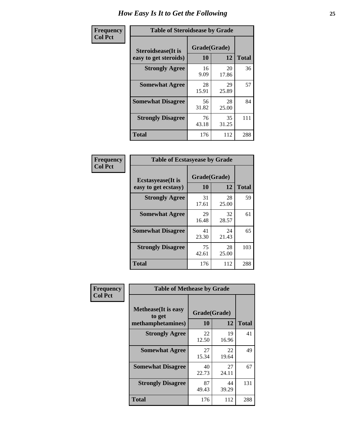| Frequency      | <b>Table of Steroidsease by Grade</b>               |                    |              |     |  |  |  |  |
|----------------|-----------------------------------------------------|--------------------|--------------|-----|--|--|--|--|
| <b>Col Pct</b> | <b>Steroidsease</b> (It is<br>easy to get steroids) | Grade(Grade)<br>10 | <b>Total</b> |     |  |  |  |  |
|                | <b>Strongly Agree</b>                               | 16<br>9.09         | 20<br>17.86  | 36  |  |  |  |  |
|                | <b>Somewhat Agree</b>                               | 28<br>15.91        | 29<br>25.89  | 57  |  |  |  |  |
|                | <b>Somewhat Disagree</b>                            | 56<br>31.82        | 28<br>25.00  | 84  |  |  |  |  |
|                | <b>Strongly Disagree</b>                            | 76<br>43.18        | 35<br>31.25  | 111 |  |  |  |  |
|                | <b>Total</b>                                        | 176                | 112          | 288 |  |  |  |  |

| Frequency      | <b>Table of Ecstasyease by Grade</b>              |                    |             |              |  |  |  |  |  |
|----------------|---------------------------------------------------|--------------------|-------------|--------------|--|--|--|--|--|
| <b>Col Pct</b> | <b>Ecstasyease</b> (It is<br>easy to get ecstasy) | Grade(Grade)<br>10 | 12          | <b>Total</b> |  |  |  |  |  |
|                | <b>Strongly Agree</b>                             | 31<br>17.61        | 28<br>25.00 | 59           |  |  |  |  |  |
|                | <b>Somewhat Agree</b>                             | 29<br>16.48        | 32<br>28.57 | 61           |  |  |  |  |  |
|                | <b>Somewhat Disagree</b>                          | 41<br>23.30        | 24<br>21.43 | 65           |  |  |  |  |  |
|                | <b>Strongly Disagree</b>                          | 75<br>42.61        | 28<br>25.00 | 103          |  |  |  |  |  |
|                | <b>Total</b>                                      | 176                | 112         | 288          |  |  |  |  |  |

| Frequency      | <b>Table of Methease by Grade</b>          |                   |                   |                    |  |  |  |  |  |  |  |
|----------------|--------------------------------------------|-------------------|-------------------|--------------------|--|--|--|--|--|--|--|
| <b>Col Pct</b> | <b>Methease</b> (It is easy<br>to get      | Grade(Grade)      |                   |                    |  |  |  |  |  |  |  |
|                | methamphetamines)<br><b>Strongly Agree</b> | 10<br>22<br>12.50 | 12<br>19<br>16.96 | <b>Total</b><br>41 |  |  |  |  |  |  |  |
|                | <b>Somewhat Agree</b>                      | 27<br>15.34       | 22<br>19.64       | 49                 |  |  |  |  |  |  |  |
|                | <b>Somewhat Disagree</b>                   | 40<br>22.73       | 27<br>24.11       | 67                 |  |  |  |  |  |  |  |
|                | <b>Strongly Disagree</b>                   | 87<br>49.43       | 44<br>39.29       | 131                |  |  |  |  |  |  |  |
|                | Total                                      | 176               | 112               | 288                |  |  |  |  |  |  |  |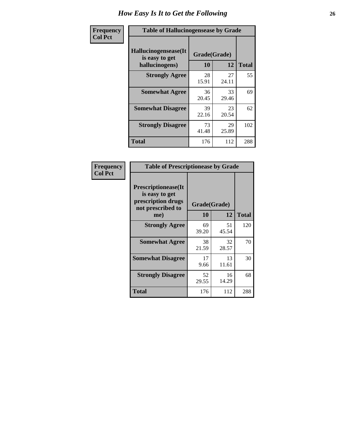| <b>Frequency</b> | <b>Table of Hallucinogensease by Grade</b>               |                    |             |              |  |  |  |  |  |  |
|------------------|----------------------------------------------------------|--------------------|-------------|--------------|--|--|--|--|--|--|
| <b>Col Pct</b>   | Hallucinogensease(It<br>is easy to get<br>hallucinogens) | Grade(Grade)<br>10 | 12          | <b>Total</b> |  |  |  |  |  |  |
|                  | <b>Strongly Agree</b>                                    | 28<br>15.91        | 27<br>24.11 | 55           |  |  |  |  |  |  |
|                  | <b>Somewhat Agree</b>                                    | 36<br>20.45        | 33<br>29.46 | 69           |  |  |  |  |  |  |
|                  | <b>Somewhat Disagree</b>                                 | 39<br>22.16        | 23<br>20.54 | 62           |  |  |  |  |  |  |
|                  | <b>Strongly Disagree</b>                                 | 73<br>41.48        | 29<br>25.89 | 102          |  |  |  |  |  |  |
|                  | <b>Total</b>                                             | 176                | 112         | 288          |  |  |  |  |  |  |

| Frequency<br>  Col Pct |
|------------------------|
|                        |

| <b>Table of Prescriptionease by Grade</b>                                                |             |              |              |  |  |  |  |  |  |
|------------------------------------------------------------------------------------------|-------------|--------------|--------------|--|--|--|--|--|--|
| <b>Prescriptionease</b> (It<br>is easy to get<br>prescription drugs<br>not prescribed to |             | Grade(Grade) |              |  |  |  |  |  |  |
| me)                                                                                      | 10          | 12           | <b>Total</b> |  |  |  |  |  |  |
| <b>Strongly Agree</b>                                                                    | 69<br>39.20 | 51<br>45.54  | 120          |  |  |  |  |  |  |
| <b>Somewhat Agree</b>                                                                    | 38<br>21.59 | 32<br>28.57  | 70           |  |  |  |  |  |  |
| <b>Somewhat Disagree</b>                                                                 | 17<br>9.66  | 13<br>11.61  | 30           |  |  |  |  |  |  |
| <b>Strongly Disagree</b>                                                                 | 52<br>29.55 | 16<br>14.29  | 68           |  |  |  |  |  |  |
| <b>Total</b>                                                                             | 176         | 112          | 288          |  |  |  |  |  |  |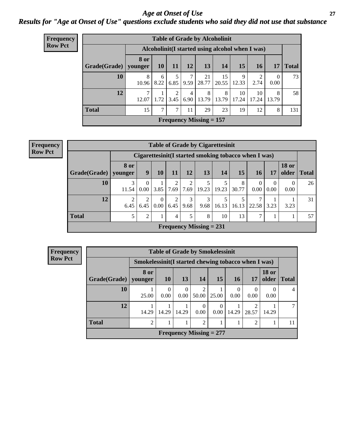### *Age at Onset of Use* **27** *Results for "Age at Onset of Use" questions exclude students who said they did not use that substance*

| Frequency      | <b>Table of Grade by Alcoholinit</b> |                                                  |           |           |           |                           |             |             |             |                  |              |  |
|----------------|--------------------------------------|--------------------------------------------------|-----------|-----------|-----------|---------------------------|-------------|-------------|-------------|------------------|--------------|--|
| <b>Row Pct</b> |                                      | Alcoholinit (I started using alcohol when I was) |           |           |           |                           |             |             |             |                  |              |  |
|                | $Grade(Grade)$   younger             | 8 or                                             | <b>10</b> | 11        | 12        | 13                        | 14          | 15          | <b>16</b>   | 17               | <b>Total</b> |  |
|                | 10                                   | 8<br>10.96                                       | 6<br>8.22 | 5<br>6.85 | 7<br>9.59 | 21<br>28.77               | 15<br>20.55 | 9<br>12.33  | 2.74        | $\theta$<br>0.00 | 73           |  |
|                | 12                                   | 7<br>12.07                                       | 1.72      | 2<br>3.45 | 4<br>6.90 | 8<br>13.79                | 8<br>13.79  | 10<br>17.24 | 10<br>17.24 | 8<br>13.79       | 58           |  |
|                | <b>Total</b>                         | 15                                               | $\tau$    | 7         | 11        | 29                        | 23          | 19          | 12          | 8                | 131          |  |
|                |                                      |                                                  |           |           |           | Frequency Missing $= 157$ |             |             |             |                  |              |  |

| <b>Frequency</b> |  |
|------------------|--|
| <b>Row Pct</b>   |  |

| <b>Table of Grade by Cigarettesinit</b> |                                                       |                  |                      |           |                        |                                |       |            |                        |                      |                       |              |
|-----------------------------------------|-------------------------------------------------------|------------------|----------------------|-----------|------------------------|--------------------------------|-------|------------|------------------------|----------------------|-----------------------|--------------|
|                                         | Cigarettesinit (I started smoking tobacco when I was) |                  |                      |           |                        |                                |       |            |                        |                      |                       |              |
| Grade(Grade)                            | <b>8 or</b><br>younger                                | 9                | 10                   | 11        | 12                     | 13                             | 14    | 15         | 16                     | 17                   | <b>18 or</b><br>older | <b>Total</b> |
| 10                                      | 3<br>11.54                                            | $\Omega$<br>0.00 | 3.85                 | 2<br>7.69 | $\overline{2}$<br>7.69 | 5<br>19.23                     | 19.23 | 8<br>30.77 | $\Omega$<br>0.00       | $\mathbf{0}$<br>0.00 | $\theta$<br>0.00      | 26           |
| 12                                      | $\overline{2}$<br>6.45                                | 2<br>6.45        | $\mathbf{0}$<br>0.00 | 2<br>6.45 | 3<br>9.68              | 3<br>9.68                      | 16.13 | 16.13      | $\mathcal{I}$<br>22.58 | 3.23                 | 3.23                  | 31           |
| <b>Total</b>                            | 5                                                     | $\overline{2}$   |                      | 4         | 5                      | 8                              | 10    | 13         | 7                      |                      |                       | 57           |
|                                         |                                                       |                  |                      |           |                        | <b>Frequency Missing = 231</b> |       |            |                        |                      |                       |              |

| <b>Frequency</b> | <b>Table of Grade by Smokelessinit</b>               |                        |                        |                  |                |                           |                  |                  |                       |                |  |  |  |
|------------------|------------------------------------------------------|------------------------|------------------------|------------------|----------------|---------------------------|------------------|------------------|-----------------------|----------------|--|--|--|
| <b>Row Pct</b>   | Smokelessinit (I started chewing tobacco when I was) |                        |                        |                  |                |                           |                  |                  |                       |                |  |  |  |
|                  | Grade(Grade)                                         | <b>8</b> or<br>younger | 10                     | <b>13</b>        | <b>14</b>      | 15                        | 16               | 17               | <b>18 or</b><br>older | <b>Total</b>   |  |  |  |
|                  | 10                                                   | 25.00                  | $\overline{0}$<br>0.00 | $\theta$<br>0.00 | 50.00          | 25.00                     | $\Omega$<br>0.00 | $\theta$<br>0.00 | 0.00                  | $\overline{4}$ |  |  |  |
|                  | 12                                                   | 14.29                  | 14.29                  | 14.29            | 0.00           | $\Omega$<br>$0.00\,$      | 14.29            | 28.57            | 14.29                 | $\overline{7}$ |  |  |  |
|                  | <b>Total</b>                                         | $\overline{2}$         |                        |                  | $\overline{2}$ |                           |                  | 2                |                       | 11             |  |  |  |
|                  |                                                      |                        |                        |                  |                | Frequency Missing $= 277$ |                  |                  |                       |                |  |  |  |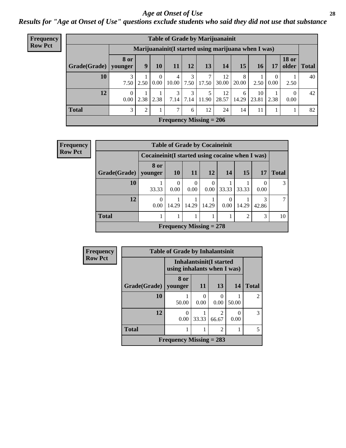#### *Age at Onset of Use* **28**

*Results for "Age at Onset of Use" questions exclude students who said they did not use that substance*

| <b>Frequency</b> | <b>Table of Grade by Marijuanainit</b> |                               |      |                  |                                                      |           |            |             |            |                 |                  |                                |              |
|------------------|----------------------------------------|-------------------------------|------|------------------|------------------------------------------------------|-----------|------------|-------------|------------|-----------------|------------------|--------------------------------|--------------|
| <b>Row Pct</b>   |                                        |                               |      |                  | Marijuanainit (I started using marijuana when I was) |           |            |             |            |                 |                  |                                |              |
|                  | Grade(Grade)                           | <b>8 or</b><br>younger        | 9    | <b>10</b>        | 11                                                   | 12        | 13         | 14          | 15         | 16 <sup>1</sup> | 17               | <b>18 or</b><br>$\Omega$ older | <b>Total</b> |
|                  | 10                                     | 3<br>7.50                     | 2.50 | $\Omega$<br>0.00 | 4<br>10.00                                           | 3<br>7.50 | 7<br>17.50 | 12<br>30.00 | 8<br>20.00 | 2.50            | $\theta$<br>0.00 | 2.50                           | 40           |
|                  | 12                                     | $\Omega$<br>0.00 <sub>1</sub> | 2.38 | 2.38             | 3<br>7.14                                            | 3<br>7.14 | 5<br>11.90 | 12<br>28.57 | 6<br>14.29 | 10<br>23.81     | 2.38             | $\theta$<br>0.00               | 42           |
|                  | <b>Total</b>                           | 3                             | 2    |                  | 7                                                    | 6         | 12         | 24          | 14         | 11              |                  |                                | 82           |
|                  |                                        |                               |      |                  | Frequency Missing $= 206$                            |           |            |             |            |                 |                  |                                |              |

| <b>Frequency</b> | <b>Table of Grade by Cocaineinit</b> |                                                  |           |                  |           |       |                |            |               |  |  |
|------------------|--------------------------------------|--------------------------------------------------|-----------|------------------|-----------|-------|----------------|------------|---------------|--|--|
| <b>Row Pct</b>   |                                      | Cocaineinit (I started using cocaine when I was) |           |                  |           |       |                |            |               |  |  |
|                  | Grade(Grade)   younger               | 8 or                                             | <b>10</b> | <b>11</b>        | 12        | 14    | <b>15</b>      | 17         | <b>Total</b>  |  |  |
|                  | 10                                   | 33.33                                            | 0<br>0.00 | $\Omega$<br>0.00 | 0<br>0.00 | 33.33 | 33.33          | 0.00       | $\mathcal{R}$ |  |  |
|                  | 12                                   | $\Omega$<br>0.00                                 | 14.29     | 14.29            | 14.29     | 0.001 | 14.29          | 3<br>42.86 |               |  |  |
|                  | <b>Total</b>                         |                                                  |           |                  |           |       | $\mathfrak{D}$ | 3          | 10            |  |  |
|                  | Frequency Missing $= 278$            |                                                  |           |                  |           |       |                |            |               |  |  |

| <b>Frequency</b> | <b>Table of Grade by Inhalantsinit</b> |                             |                         |                |           |                |  |  |  |
|------------------|----------------------------------------|-----------------------------|-------------------------|----------------|-----------|----------------|--|--|--|
| <b>Row Pct</b>   |                                        | using inhalants when I was) | Inhalantsinit(I started |                |           |                |  |  |  |
|                  | Grade(Grade)                           | 8 or<br>vounger             | -11                     | 13             | 14        | <b>Total</b>   |  |  |  |
|                  | 10                                     | 50.00                       | 0.00                    | 0.00           | 50.00     | $\mathfrak{D}$ |  |  |  |
|                  | 12                                     | 0.00                        | 33.33                   | っ<br>66.67     | 0<br>0.00 | 3              |  |  |  |
|                  | <b>Total</b>                           |                             |                         | $\mathfrak{D}$ |           | 5              |  |  |  |
|                  |                                        | Frequency Missing $= 283$   |                         |                |           |                |  |  |  |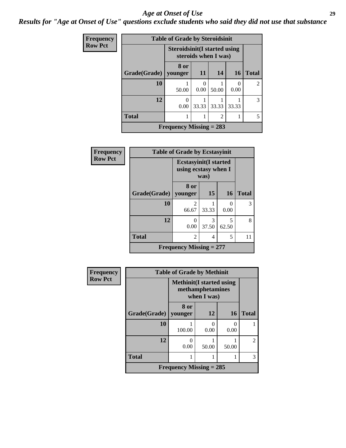#### *Age at Onset of Use* **29**

### *Results for "Age at Onset of Use" questions exclude students who said they did not use that substance*

| Frequency      |              | <b>Table of Grade by Steroidsinit</b> |           |                      |                  |                |
|----------------|--------------|---------------------------------------|-----------|----------------------|------------------|----------------|
| <b>Row Pct</b> |              | <b>Steroidsinit (I started using</b>  |           | steroids when I was) |                  |                |
|                | Grade(Grade) | 8 or<br>younger                       | 11        | 14                   | <b>16</b>        | <b>Total</b>   |
|                | 10           | 50.00                                 | 0<br>0.00 | 50.00                | $\Omega$<br>0.00 | $\mathfrak{D}$ |
|                | 12           | 0.00                                  | 33.33     | 33.33                | 33.33            | 3              |
|                | <b>Total</b> |                                       |           | $\overline{2}$       |                  | 5              |
|                |              | Frequency Missing $= 283$             |           |                      |                  |                |

| Frequency      |                     | <b>Table of Grade by Ecstasyinit</b> |                                                              |            |              |  |  |
|----------------|---------------------|--------------------------------------|--------------------------------------------------------------|------------|--------------|--|--|
| <b>Row Pct</b> |                     |                                      | <b>Ecstasyinit(I started</b><br>using ecstasy when I<br>was) |            |              |  |  |
|                | <b>Grade(Grade)</b> | 8 or<br>vounger                      | <b>15</b>                                                    | <b>16</b>  | <b>Total</b> |  |  |
|                | 10                  | 2<br>66.67                           | 33.33                                                        | 0<br>0.00  | 3            |  |  |
|                | 12                  | 0.00                                 | 3<br>37.50                                                   | 5<br>62.50 | 8            |  |  |
|                | <b>Total</b>        | $\overline{2}$                       | 4                                                            | 5          | 11           |  |  |
|                |                     | Frequency Missing $= 277$            |                                                              |            |              |  |  |

| <b>Frequency</b> | <b>Table of Grade by Methinit</b> |                                                                     |       |           |              |  |  |  |  |
|------------------|-----------------------------------|---------------------------------------------------------------------|-------|-----------|--------------|--|--|--|--|
| <b>Row Pct</b>   |                                   | <b>Methinit</b> (I started using<br>methamphetamines<br>when I was) |       |           |              |  |  |  |  |
|                  | <b>Grade</b> (Grade)              | 8 or<br>younger                                                     | 12    | <b>16</b> | <b>Total</b> |  |  |  |  |
|                  | 10                                | 100.00                                                              | 0.00  | 0.00      |              |  |  |  |  |
|                  | 12                                | 0.00                                                                | 50.00 | 50.00     | 2            |  |  |  |  |
|                  | <b>Total</b>                      |                                                                     |       |           | 3            |  |  |  |  |
|                  |                                   | Frequency Missing $= 285$                                           |       |           |              |  |  |  |  |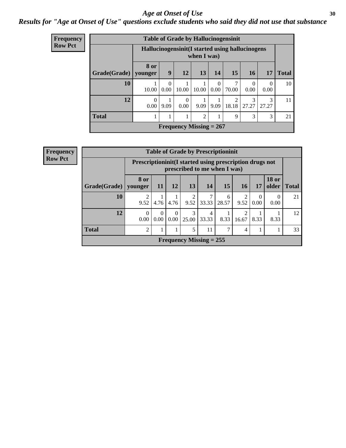#### Age at Onset of Use **30**

### *Results for "Age at Onset of Use" questions exclude students who said they did not use that substance*

| <b>Frequency</b> |              |                                                  |                  | <b>Table of Grade by Hallucinogensinit</b> |             |                  |             |                  |            |              |
|------------------|--------------|--------------------------------------------------|------------------|--------------------------------------------|-------------|------------------|-------------|------------------|------------|--------------|
| <b>Row Pct</b>   |              | Hallucinogensinit (I started using hallucinogens |                  |                                            | when I was) |                  |             |                  |            |              |
|                  | Grade(Grade) | <b>8 or</b><br>younger                           | 9                | 12                                         | 13          | 14               | 15          | <b>16</b>        | 17         | <b>Total</b> |
|                  | 10           | 10.00                                            | $\Omega$<br>0.00 | 10.00                                      | 10.00       | $\Omega$<br>0.00 | 70.00       | $\Omega$<br>0.00 | 0<br>0.00  | 10           |
|                  | 12           | 0<br>0.00                                        | 9.09             | $\Omega$<br>0.00                           | 9.09        | 9.09             | 2<br>18.18  | 3<br>27.27       | 3<br>27.27 | 11           |
|                  | <b>Total</b> |                                                  | 1                |                                            | 2           |                  | $\mathbf Q$ | 3                | 3          | 21           |
|                  |              |                                                  |                  | Frequency Missing $= 267$                  |             |                  |             |                  |            |              |

| <b>Frequency</b> |              |                                                            |                  |                  |            |                           | <b>Table of Grade by Prescriptioninit</b> |            |                  |                       |              |
|------------------|--------------|------------------------------------------------------------|------------------|------------------|------------|---------------------------|-------------------------------------------|------------|------------------|-----------------------|--------------|
| <b>Row Pct</b>   |              | Prescription in it (I started using prescription drugs not |                  |                  |            |                           | prescribed to me when I was)              |            |                  |                       |              |
|                  | Grade(Grade) | <b>8 or</b><br>younger                                     | <b>11</b>        | 12               | 13         | 14                        | 15                                        | 16         | <b>17</b>        | <b>18 or</b><br>older | <b>Total</b> |
|                  | 10           | ∍<br>9.52                                                  | 4.76             | 4.76             | າ<br>9.52  | 7<br>33.33                | 6<br>28.57                                | 2<br>9.52  | $\Omega$<br>0.00 | $\Omega$<br>0.00      | 21           |
|                  | 12           | 0<br>0.00                                                  | $\theta$<br>0.00 | $\Omega$<br>0.00 | 3<br>25.00 | 4<br>33.33                | 8.33                                      | ∍<br>16.67 | 8.33             | 8.33                  | 12           |
|                  | <b>Total</b> | 2                                                          |                  |                  | 5          | 11                        | ⇁                                         | 4          |                  |                       | 33           |
|                  |              |                                                            |                  |                  |            | Frequency Missing $= 255$ |                                           |            |                  |                       |              |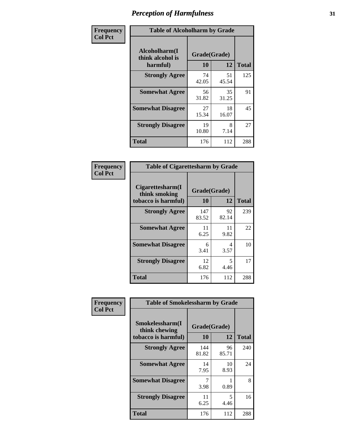| Frequency      |                                               | <b>Table of Alcoholharm by Grade</b> |             |              |  |  |  |  |  |
|----------------|-----------------------------------------------|--------------------------------------|-------------|--------------|--|--|--|--|--|
| <b>Col Pct</b> | Alcoholharm(I<br>think alcohol is<br>harmful) | Grade(Grade)<br>10                   | 12          | <b>Total</b> |  |  |  |  |  |
|                | <b>Strongly Agree</b>                         | 74<br>42.05                          | 51<br>45.54 | 125          |  |  |  |  |  |
|                | <b>Somewhat Agree</b>                         | 56<br>31.82                          | 35<br>31.25 | 91           |  |  |  |  |  |
|                | <b>Somewhat Disagree</b>                      | 27<br>15.34                          | 18<br>16.07 | 45           |  |  |  |  |  |
|                | <b>Strongly Disagree</b>                      | 19<br>10.80                          | 8<br>7.14   | 27           |  |  |  |  |  |
|                | <b>Total</b>                                  | 176                                  | 112         | 288          |  |  |  |  |  |

| <b>Table of Cigarettesharm by Grade</b>                  |                    |             |              |
|----------------------------------------------------------|--------------------|-------------|--------------|
| Cigarettesharm(I<br>think smoking<br>tobacco is harmful) | Grade(Grade)<br>10 | 12          | <b>Total</b> |
| <b>Strongly Agree</b>                                    | 147<br>83.52       | 92<br>82.14 | 239          |
| <b>Somewhat Agree</b>                                    | 11<br>6.25         | 11<br>9.82  | 22           |
| <b>Somewhat Disagree</b>                                 | 6<br>3.41          | 4<br>3.57   | 10           |
| <b>Strongly Disagree</b>                                 | 12<br>6.82         | 5<br>4.46   | 17           |
| <b>Total</b>                                             | 176                | 112         | 288          |

| Frequency      | <b>Table of Smokelessharm by Grade</b>                  |                           |             |              |
|----------------|---------------------------------------------------------|---------------------------|-------------|--------------|
| <b>Col Pct</b> | Smokelessharm(I<br>think chewing<br>tobacco is harmful) | Grade(Grade)<br><b>10</b> | 12          | <b>Total</b> |
|                | <b>Strongly Agree</b>                                   | 144<br>81.82              | 96<br>85.71 | 240          |
|                | <b>Somewhat Agree</b>                                   | 14<br>7.95                | 10<br>8.93  | 24           |
|                | <b>Somewhat Disagree</b>                                | 3.98                      | 0.89        | 8            |
|                | <b>Strongly Disagree</b>                                | 11<br>6.25                | 5<br>4.46   | 16           |
|                | <b>Total</b>                                            | 176                       | 112         | 288          |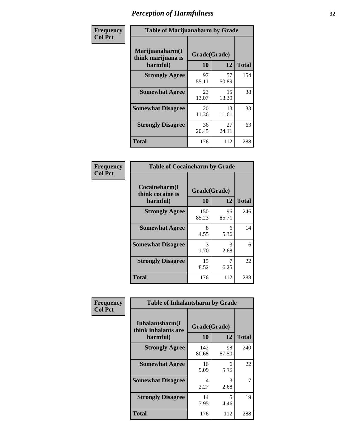| Frequency      | <b>Table of Marijuanaharm by Grade</b>            |                    |             |              |
|----------------|---------------------------------------------------|--------------------|-------------|--------------|
| <b>Col Pct</b> | Marijuanaharm(I<br>think marijuana is<br>harmful) | Grade(Grade)<br>10 | 12          | <b>Total</b> |
|                | <b>Strongly Agree</b>                             | 97<br>55.11        | 57<br>50.89 | 154          |
|                | <b>Somewhat Agree</b>                             | 23<br>13.07        | 15<br>13.39 | 38           |
|                | <b>Somewhat Disagree</b>                          | 20<br>11.36        | 13<br>11.61 | 33           |
|                | <b>Strongly Disagree</b>                          | 36<br>20.45        | 27<br>24.11 | 63           |
|                | <b>Total</b>                                      | 176                | 112         | 288          |

| <b>Table of Cocaineharm by Grade</b>          |                    |             |              |  |  |
|-----------------------------------------------|--------------------|-------------|--------------|--|--|
| Cocaineharm(I<br>think cocaine is<br>harmful) | Grade(Grade)<br>10 | 12          | <b>Total</b> |  |  |
| <b>Strongly Agree</b>                         | 150<br>85.23       | 96<br>85.71 | 246          |  |  |
| <b>Somewhat Agree</b>                         | 8<br>4.55          | 6<br>5.36   | 14           |  |  |
| <b>Somewhat Disagree</b>                      | 3<br>1.70          | 3<br>2.68   | 6            |  |  |
| <b>Strongly Disagree</b>                      | 15<br>8.52         | 7<br>6.25   | 22           |  |  |
| <b>Total</b>                                  | 176                | 112         | 288          |  |  |

| Frequency      | <b>Table of Inhalantsharm by Grade</b>             |                           |             |              |  |
|----------------|----------------------------------------------------|---------------------------|-------------|--------------|--|
| <b>Col Pct</b> | Inhalantsharm(I<br>think inhalants are<br>harmful) | Grade(Grade)<br><b>10</b> | 12          | <b>Total</b> |  |
|                | <b>Strongly Agree</b>                              | 142<br>80.68              | 98<br>87.50 | 240          |  |
|                | <b>Somewhat Agree</b>                              | 16<br>9.09                | 6<br>5.36   | 22           |  |
|                | <b>Somewhat Disagree</b>                           | 4<br>2.27                 | 3<br>2.68   | 7            |  |
|                | <b>Strongly Disagree</b>                           | 14<br>7.95                | 5<br>4.46   | 19           |  |
|                | Total                                              | 176                       | 112         | 288          |  |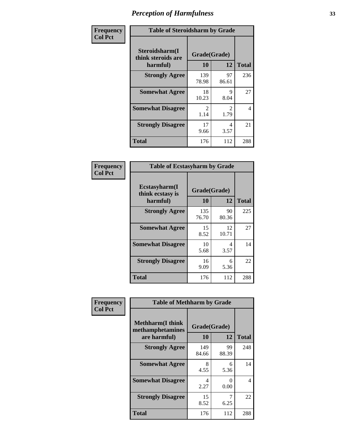| Frequency      | <b>Table of Steroidsharm by Grade</b>            |                                     |                        |              |
|----------------|--------------------------------------------------|-------------------------------------|------------------------|--------------|
| <b>Col Pct</b> | Steroidsharm(I<br>think steroids are<br>harmful) | Grade(Grade)<br>10                  | 12                     | <b>Total</b> |
|                | <b>Strongly Agree</b>                            | 139<br>78.98                        | 97<br>86.61            | 236          |
|                | <b>Somewhat Agree</b>                            | 18<br>10.23                         | 9<br>8.04              | 27           |
|                | <b>Somewhat Disagree</b>                         | $\mathcal{D}_{\mathcal{L}}$<br>1.14 | $\mathfrak{D}$<br>1.79 | 4            |
|                | <b>Strongly Disagree</b>                         | 17<br>9.66                          | 4<br>3.57              | 21           |
|                | <b>Total</b>                                     | 176                                 | 112                    | 288          |

| <b>Table of Ecstasyharm by Grade</b>          |                    |              |     |  |  |
|-----------------------------------------------|--------------------|--------------|-----|--|--|
| Ecstasyharm(I<br>think ecstasy is<br>harmful) | Grade(Grade)<br>10 | <b>Total</b> |     |  |  |
| <b>Strongly Agree</b>                         | 135<br>76.70       | 90<br>80.36  | 225 |  |  |
| <b>Somewhat Agree</b>                         | 15<br>8.52         | 12<br>10.71  | 27  |  |  |
| <b>Somewhat Disagree</b>                      | 10<br>5.68         | 4<br>3.57    | 14  |  |  |
| <b>Strongly Disagree</b>                      | 16<br>9.09         | 6<br>5.36    | 22  |  |  |
| Total                                         | 176                | 112          | 288 |  |  |

| Frequency      | <b>Table of Methharm by Grade</b>                            |                    |                           |              |  |
|----------------|--------------------------------------------------------------|--------------------|---------------------------|--------------|--|
| <b>Col Pct</b> | <b>Methharm</b> (I think<br>methamphetamines<br>are harmful) | Grade(Grade)<br>10 | 12                        | <b>Total</b> |  |
|                | <b>Strongly Agree</b>                                        | 149<br>84.66       | 99<br>88.39               | 248          |  |
|                | <b>Somewhat Agree</b>                                        | 8<br>4.55          | 6<br>5.36                 | 14           |  |
|                | <b>Somewhat Disagree</b>                                     | 4<br>2.27          | $\mathbf{\Omega}$<br>0.00 | 4            |  |
|                | <b>Strongly Disagree</b>                                     | 15<br>8.52         | 6.25                      | 22           |  |
|                | <b>Total</b>                                                 | 176                | 112                       | 288          |  |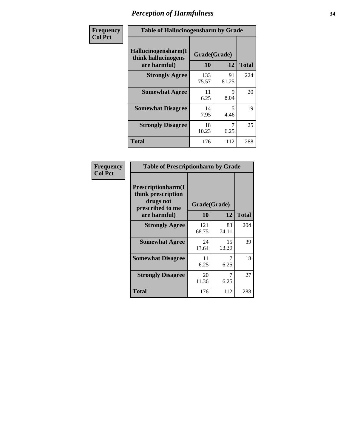| Frequency      | <b>Table of Hallucinogensharm by Grade</b>                 |                    |                                  |              |
|----------------|------------------------------------------------------------|--------------------|----------------------------------|--------------|
| <b>Col Pct</b> | Hallucinogensharm(I<br>think hallucinogens<br>are harmful) | Grade(Grade)<br>10 | 12                               | <b>Total</b> |
|                | <b>Strongly Agree</b>                                      | 133<br>75.57       | 91<br>81.25                      | 224          |
|                | <b>Somewhat Agree</b>                                      | 11<br>6.25         | 9<br>8.04                        | 20           |
|                | <b>Somewhat Disagree</b>                                   | 14<br>7.95         | $\overline{\phantom{0}}$<br>4.46 | 19           |
|                | <b>Strongly Disagree</b>                                   | 18<br>10.23        | 7<br>6.25                        | 25           |
|                | <b>Total</b>                                               | 176                | 112                              | 288          |

| <b>Table of Prescriptionharm by Grade</b>                                         |                    |             |              |  |  |
|-----------------------------------------------------------------------------------|--------------------|-------------|--------------|--|--|
| <b>Prescriptionharm</b> (I<br>think prescription<br>drugs not<br>prescribed to me | Grade(Grade)<br>10 | 12          | <b>Total</b> |  |  |
| are harmful)                                                                      |                    |             |              |  |  |
| <b>Strongly Agree</b>                                                             | 121<br>68.75       | 83<br>74.11 | 204          |  |  |
| <b>Somewhat Agree</b>                                                             | 24<br>13.64        | 15<br>13.39 | 39           |  |  |
| <b>Somewhat Disagree</b>                                                          | 11<br>6.25         | 6.25        | 18           |  |  |
| <b>Strongly Disagree</b>                                                          | 20<br>11.36        | 7<br>6.25   | 27           |  |  |
| <b>Total</b>                                                                      | 176                | 112         | 288          |  |  |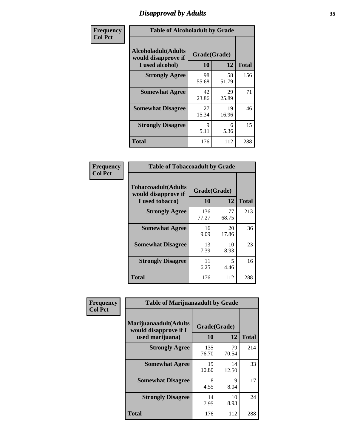# *Disapproval by Adults* **35**

| Frequency      | <b>Table of Alcoholadult by Grade</b>                                 |                    |             |              |
|----------------|-----------------------------------------------------------------------|--------------------|-------------|--------------|
| <b>Col Pct</b> | <b>Alcoholadult</b> (Adults<br>would disapprove if<br>I used alcohol) | Grade(Grade)<br>10 | 12          | <b>Total</b> |
|                | <b>Strongly Agree</b>                                                 | 98<br>55.68        | 58<br>51.79 | 156          |
|                | <b>Somewhat Agree</b>                                                 | 42<br>23.86        | 29<br>25.89 | 71           |
|                | <b>Somewhat Disagree</b>                                              | 27<br>15.34        | 19<br>16.96 | 46           |
|                | <b>Strongly Disagree</b>                                              | 9<br>5.11          | 6<br>5.36   | 15           |
|                | <b>Total</b>                                                          | 176                | 112         | 288          |

| <b>Table of Tobaccoadult by Grade</b>                         |                    |                                  |              |  |  |
|---------------------------------------------------------------|--------------------|----------------------------------|--------------|--|--|
| Tobaccoadult(Adults<br>would disapprove if<br>I used tobacco) | Grade(Grade)<br>10 | 12                               | <b>Total</b> |  |  |
| <b>Strongly Agree</b>                                         | 136<br>77.27       | 77<br>68.75                      | 213          |  |  |
| <b>Somewhat Agree</b>                                         | 16<br>9.09         | 20<br>17.86                      | 36           |  |  |
| <b>Somewhat Disagree</b>                                      | 13<br>7.39         | 10<br>8.93                       | 23           |  |  |
| <b>Strongly Disagree</b>                                      | 11<br>6.25         | $\overline{\mathcal{L}}$<br>4.46 | 16           |  |  |
| Total                                                         | 176                | 112                              | 288          |  |  |

| Frequency<br><b>Col Pct</b> | <b>Table of Marijuanaadult by Grade</b>                           |                    |             |              |  |
|-----------------------------|-------------------------------------------------------------------|--------------------|-------------|--------------|--|
|                             | Marijuanaadult(Adults<br>would disapprove if I<br>used marijuana) | Grade(Grade)<br>10 | 12          | <b>Total</b> |  |
|                             | <b>Strongly Agree</b>                                             | 135<br>76.70       | 79<br>70.54 | 214          |  |
|                             | <b>Somewhat Agree</b>                                             | 19<br>10.80        | 14<br>12.50 | 33           |  |
|                             | <b>Somewhat Disagree</b>                                          | 8<br>4.55          | 9<br>8.04   | 17           |  |
|                             | <b>Strongly Disagree</b>                                          | 14<br>7.95         | 10<br>8.93  | 24           |  |
|                             | <b>Total</b>                                                      | 176                | 112         | 288          |  |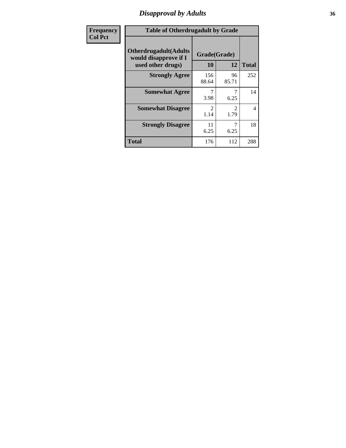### *Disapproval by Adults* **36**

| <b>Frequency</b> | <b>Table of Otherdrugadult by Grade</b>                                     |                                     |                        |                |
|------------------|-----------------------------------------------------------------------------|-------------------------------------|------------------------|----------------|
| <b>Col Pct</b>   | <b>Otherdrugadult</b> (Adults<br>would disapprove if I<br>used other drugs) | Grade(Grade)<br>10                  | 12                     | <b>Total</b>   |
|                  | <b>Strongly Agree</b>                                                       | 156<br>88.64                        | 96<br>85.71            | 252            |
|                  | <b>Somewhat Agree</b>                                                       | 3.98                                | 6.25                   | 14             |
|                  | <b>Somewhat Disagree</b>                                                    | $\mathcal{D}_{\mathcal{L}}$<br>1.14 | $\mathfrak{D}$<br>1.79 | $\overline{4}$ |
|                  | <b>Strongly Disagree</b>                                                    | 11<br>6.25                          | 6.25                   | 18             |
|                  | <b>Total</b>                                                                | 176                                 | 112                    | 288            |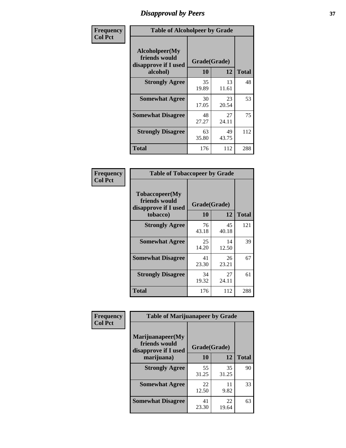# *Disapproval by Peers* **37**

| Frequency      | <b>Table of Alcoholpeer by Grade</b>                    |              |             |              |  |
|----------------|---------------------------------------------------------|--------------|-------------|--------------|--|
| <b>Col Pct</b> | Alcoholpeer(My<br>friends would<br>disapprove if I used | Grade(Grade) |             |              |  |
|                | alcohol)                                                | 10           | 12          | <b>Total</b> |  |
|                | <b>Strongly Agree</b>                                   | 35<br>19.89  | 13<br>11.61 | 48           |  |
|                | <b>Somewhat Agree</b>                                   | 30<br>17.05  | 23<br>20.54 | 53           |  |
|                | <b>Somewhat Disagree</b>                                | 48<br>27.27  | 27<br>24.11 | 75           |  |
|                | <b>Strongly Disagree</b>                                | 63<br>35.80  | 49<br>43.75 | 112          |  |
|                | Total                                                   | 176          | 112         | 288          |  |

| Frequency      | <b>Table of Tobaccopeer by Grade</b>                                |                    |             |              |
|----------------|---------------------------------------------------------------------|--------------------|-------------|--------------|
| <b>Col Pct</b> | Tobaccopeer(My<br>friends would<br>disapprove if I used<br>tobacco) | Grade(Grade)<br>10 | 12          | <b>Total</b> |
|                | <b>Strongly Agree</b>                                               | 76<br>43.18        | 45<br>40.18 | 121          |
|                | <b>Somewhat Agree</b>                                               | 25<br>14.20        | 14<br>12.50 | 39           |
|                | <b>Somewhat Disagree</b>                                            | 41<br>23.30        | 26<br>23.21 | 67           |
|                | <b>Strongly Disagree</b>                                            | 34<br>19.32        | 27<br>24.11 | 61           |
|                | Total                                                               | 176                | 112         | 288          |

| Frequency<br><b>Col Pct</b> | <b>Table of Marijuanapeer by Grade</b>                    |              |             |              |
|-----------------------------|-----------------------------------------------------------|--------------|-------------|--------------|
|                             | Marijuanapeer(My<br>friends would<br>disapprove if I used | Grade(Grade) |             |              |
|                             | marijuana)                                                | <b>10</b>    | 12          | <b>Total</b> |
|                             | <b>Strongly Agree</b>                                     | 55<br>31.25  | 35<br>31.25 | 90           |
|                             | <b>Somewhat Agree</b>                                     | 22<br>12.50  | 11<br>9.82  | 33           |
|                             | <b>Somewhat Disagree</b>                                  | 41<br>23.30  | 22<br>19.64 | 63           |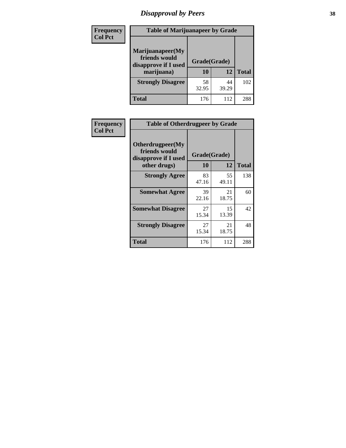# *Disapproval by Peers* **38**

| <b>Frequency</b> | <b>Table of Marijuanapeer by Grade</b>                                  |                    |             |              |
|------------------|-------------------------------------------------------------------------|--------------------|-------------|--------------|
| <b>Col Pct</b>   | Marijuanapeer(My<br>friends would<br>disapprove if I used<br>marijuana) | Grade(Grade)<br>10 | 12          | <b>Total</b> |
|                  | <b>Strongly Disagree</b>                                                | 58<br>32.95        | 44<br>39.29 | 102          |
|                  | <b>Total</b>                                                            | 176                | 112         | 288          |

| Frequency      | <b>Table of Otherdrugpeer by Grade</b>                                    |                           |             |              |
|----------------|---------------------------------------------------------------------------|---------------------------|-------------|--------------|
| <b>Col Pct</b> | Otherdrugpeer(My<br>friends would<br>disapprove if I used<br>other drugs) | Grade(Grade)<br><b>10</b> | 12          | <b>Total</b> |
|                | <b>Strongly Agree</b>                                                     | 83<br>47.16               | 55<br>49.11 | 138          |
|                | <b>Somewhat Agree</b>                                                     | 39<br>22.16               | 21<br>18.75 | 60           |
|                | <b>Somewhat Disagree</b>                                                  | 27<br>15.34               | 15<br>13.39 | 42           |
|                | <b>Strongly Disagree</b>                                                  | 27<br>15.34               | 21<br>18.75 | 48           |
|                | <b>Total</b>                                                              | 176                       | 112         | 288          |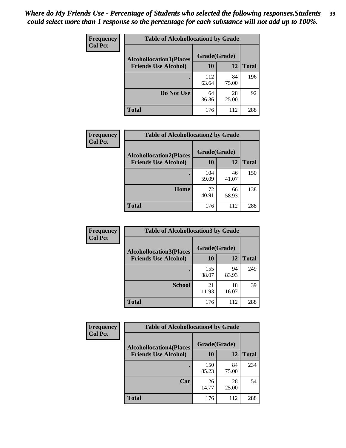| Frequency<br><b>Col Pct</b> | <b>Table of Alcohollocation1 by Grade</b> |              |             |              |
|-----------------------------|-------------------------------------------|--------------|-------------|--------------|
|                             | <b>Alcohollocation1(Places</b>            | Grade(Grade) |             |              |
|                             | <b>Friends Use Alcohol)</b>               | 10           | 12          | <b>Total</b> |
|                             |                                           | 112<br>63.64 | 84<br>75.00 | 196          |
|                             | Do Not Use                                | 64<br>36.36  | 28<br>25.00 | 92           |
|                             | <b>Total</b>                              | 176          | 112         | 288          |

| Frequency      | <b>Table of Alcohollocation2 by Grade</b>                     |                    |             |              |
|----------------|---------------------------------------------------------------|--------------------|-------------|--------------|
| <b>Col Pct</b> | <b>Alcohollocation2(Places</b><br><b>Friends Use Alcohol)</b> | Grade(Grade)<br>10 | 12          | <b>Total</b> |
|                |                                                               | 104<br>59.09       | 46<br>41.07 | 150          |
|                | Home                                                          | 72<br>40.91        | 66<br>58.93 | 138          |
|                | Total                                                         | 176                | 112         | 288          |

| Frequency<br><b>Col Pct</b> | <b>Table of Alcohollocation 3 by Grade</b>                    |                    |             |              |
|-----------------------------|---------------------------------------------------------------|--------------------|-------------|--------------|
|                             | <b>Alcohollocation3(Places</b><br><b>Friends Use Alcohol)</b> | Grade(Grade)<br>10 | 12          | <b>Total</b> |
|                             |                                                               | 155<br>88.07       | 94<br>83.93 | 249          |
|                             | <b>School</b>                                                 | 21<br>11.93        | 18<br>16.07 | 39           |
|                             | <b>Total</b>                                                  | 176                | 112         | 288          |

| <b>Frequency</b> | <b>Table of Alcohollocation4 by Grade</b> |              |             |              |
|------------------|-------------------------------------------|--------------|-------------|--------------|
| <b>Col Pct</b>   | <b>Alcohollocation4(Places</b>            | Grade(Grade) |             |              |
|                  | <b>Friends Use Alcohol)</b>               | <b>10</b>    | 12          | <b>Total</b> |
|                  |                                           | 150<br>85.23 | 84<br>75.00 | 234          |
|                  | Car                                       | 26<br>14.77  | 28<br>25.00 | 54           |
|                  | <b>Total</b>                              | 176          | 112         | 288          |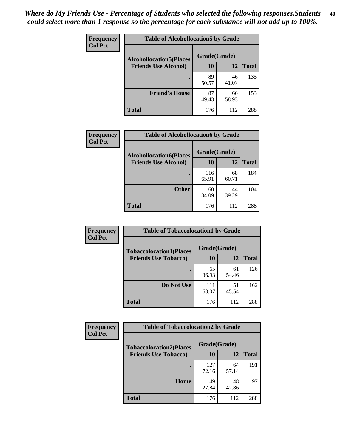| Frequency<br><b>Col Pct</b> | <b>Table of Alcohollocation5 by Grade</b> |              |             |              |
|-----------------------------|-------------------------------------------|--------------|-------------|--------------|
|                             | <b>Alcohollocation5(Places</b>            | Grade(Grade) |             |              |
|                             | <b>Friends Use Alcohol)</b>               | 10           | 12          | <b>Total</b> |
|                             |                                           | 89<br>50.57  | 46<br>41.07 | 135          |
|                             | <b>Friend's House</b>                     | 87<br>49.43  | 66<br>58.93 | 153          |
|                             | <b>Total</b>                              | 176          | 112         | 288          |

| <b>Frequency</b> | <b>Table of Alcohollocation6 by Grade</b> |              |             |              |
|------------------|-------------------------------------------|--------------|-------------|--------------|
| <b>Col Pct</b>   | <b>Alcohollocation6(Places</b>            | Grade(Grade) |             |              |
|                  | <b>Friends Use Alcohol)</b>               | 10           | 12          | <b>Total</b> |
|                  |                                           | 116<br>65.91 | 68<br>60.71 | 184          |
|                  | <b>Other</b>                              | 60<br>34.09  | 44<br>39.29 | 104          |
|                  | <b>Total</b>                              | 176          | 112         | 288          |

| Frequency      | <b>Table of Tobaccolocation1 by Grade</b> |              |             |              |
|----------------|-------------------------------------------|--------------|-------------|--------------|
| <b>Col Pct</b> | <b>Tobaccolocation1(Places</b>            | Grade(Grade) |             |              |
|                | <b>Friends Use Tobacco)</b>               | 10           | 12          | <b>Total</b> |
|                |                                           | 65<br>36.93  | 61<br>54.46 | 126          |
|                | Do Not Use                                | 111<br>63.07 | 51<br>45.54 | 162          |
|                | <b>Total</b>                              | 176          | 112         | 288          |

| <b>Frequency</b> | <b>Table of Tobaccolocation2 by Grade</b> |              |             |              |  |
|------------------|-------------------------------------------|--------------|-------------|--------------|--|
| <b>Col Pct</b>   | <b>Tobaccolocation2(Places</b>            | Grade(Grade) |             |              |  |
|                  | <b>Friends Use Tobacco)</b>               | 10           | 12          | <b>Total</b> |  |
|                  |                                           | 127<br>72.16 | 64<br>57.14 | 191          |  |
|                  | Home                                      | 49<br>27.84  | 48<br>42.86 | 97           |  |
|                  | <b>Total</b>                              | 176          | 112         | 288          |  |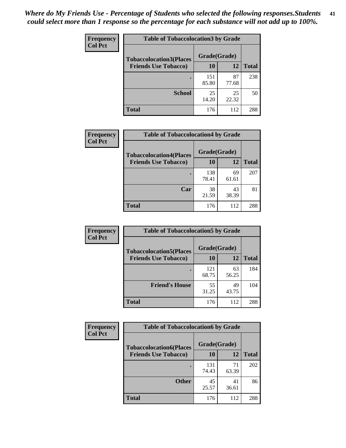| Frequency      | <b>Table of Tobaccolocation 3 by Grade</b> |              |             |              |  |
|----------------|--------------------------------------------|--------------|-------------|--------------|--|
| <b>Col Pct</b> | <b>Tobaccolocation3(Places</b>             | Grade(Grade) |             |              |  |
|                | <b>Friends Use Tobacco)</b>                | 10           | 12          | <b>Total</b> |  |
|                |                                            | 151<br>85.80 | 87<br>77.68 | 238          |  |
|                | <b>School</b>                              | 25<br>14.20  | 25<br>22.32 | 50           |  |
|                | <b>Total</b>                               | 176          | 112         | 288          |  |

| Frequency      | <b>Table of Tobaccolocation4 by Grade</b> |              |             |              |
|----------------|-------------------------------------------|--------------|-------------|--------------|
| <b>Col Pct</b> | <b>Tobaccolocation4(Places</b>            | Grade(Grade) |             |              |
|                | <b>Friends Use Tobacco)</b>               | 10           | 12          | <b>Total</b> |
|                |                                           | 138<br>78.41 | 69<br>61.61 | 207          |
|                | Car                                       | 38<br>21.59  | 43<br>38.39 | 81           |
|                | <b>Total</b>                              | 176          | 112         | 288          |

| Frequency      | <b>Table of Tobaccolocation5 by Grade</b> |              |             |              |
|----------------|-------------------------------------------|--------------|-------------|--------------|
| <b>Col Pct</b> | <b>Tobaccolocation5(Places</b>            | Grade(Grade) |             |              |
|                | <b>Friends Use Tobacco)</b>               | 10           | <b>12</b>   | <b>Total</b> |
|                |                                           | 121<br>68.75 | 63<br>56.25 | 184          |
|                | <b>Friend's House</b>                     | 55<br>31.25  | 49<br>43.75 | 104          |
|                | <b>Total</b>                              | 176          | 112         | 288          |

| <b>Frequency</b> | <b>Table of Tobaccolocation6 by Grade</b> |              |             |              |  |
|------------------|-------------------------------------------|--------------|-------------|--------------|--|
| <b>Col Pct</b>   | <b>Tobaccolocation6(Places</b>            | Grade(Grade) |             |              |  |
|                  | <b>Friends Use Tobacco)</b>               | 10           | 12          | <b>Total</b> |  |
|                  |                                           | 131<br>74.43 | 71<br>63.39 | 202          |  |
|                  | <b>Other</b>                              | 45<br>25.57  | 41<br>36.61 | 86           |  |
|                  | <b>Total</b>                              | 176          | 112         | 288          |  |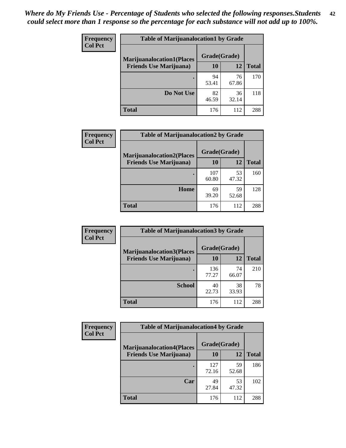| <b>Frequency</b> | <b>Table of Marijuanalocation1 by Grade</b> |              |             |              |
|------------------|---------------------------------------------|--------------|-------------|--------------|
| <b>Col Pct</b>   | <b>Marijuanalocation1(Places</b>            | Grade(Grade) |             |              |
|                  | <b>Friends Use Marijuana</b> )              | 10           | 12          | <b>Total</b> |
|                  |                                             | 94<br>53.41  | 76<br>67.86 | 170          |
|                  | Do Not Use                                  | 82<br>46.59  | 36<br>32.14 | 118          |
|                  | Total                                       | 176          | 112         | 288          |

| <b>Frequency</b> | <b>Table of Marijuanalocation2 by Grade</b>                        |                    |             |              |
|------------------|--------------------------------------------------------------------|--------------------|-------------|--------------|
| <b>Col Pct</b>   | <b>Marijuanalocation2(Places</b><br><b>Friends Use Marijuana</b> ) | Grade(Grade)<br>10 | 12          | <b>Total</b> |
|                  |                                                                    | 107<br>60.80       | 53<br>47.32 | 160          |
|                  | <b>Home</b>                                                        | 69<br>39.20        | 59<br>52.68 | 128          |
|                  | <b>Total</b>                                                       | 176                | 112         | 288          |

| <b>Frequency</b><br><b>Col Pct</b> | <b>Table of Marijuanalocation3 by Grade</b> |              |             |              |
|------------------------------------|---------------------------------------------|--------------|-------------|--------------|
|                                    | <b>Marijuanalocation3</b> (Places           | Grade(Grade) |             |              |
|                                    | <b>Friends Use Marijuana</b> )              | <b>10</b>    | 12          | <b>Total</b> |
|                                    |                                             | 136<br>77.27 | 74<br>66.07 | 210          |
|                                    | <b>School</b>                               | 40<br>22.73  | 38<br>33.93 | 78           |
|                                    | <b>Total</b>                                | 176          | 112         | 288          |

| <b>Frequency</b> | <b>Table of Marijuanalocation4 by Grade</b> |              |             |              |  |
|------------------|---------------------------------------------|--------------|-------------|--------------|--|
| <b>Col Pct</b>   | <b>Marijuanalocation4(Places</b>            | Grade(Grade) |             |              |  |
|                  | <b>Friends Use Marijuana</b> )              | <b>10</b>    | 12          | <b>Total</b> |  |
|                  |                                             | 127<br>72.16 | 59<br>52.68 | 186          |  |
|                  | Car                                         | 49<br>27.84  | 53<br>47.32 | 102          |  |
|                  | <b>Total</b>                                | 176          | 112         | 288          |  |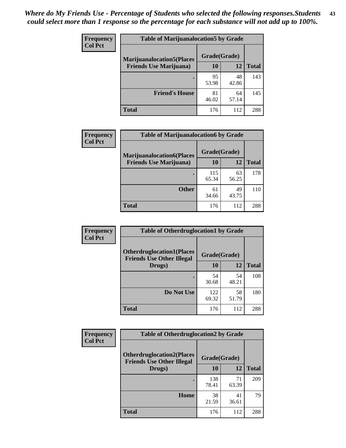| <b>Frequency</b> | <b>Table of Marijuanalocation5 by Grade</b> |              |             |              |
|------------------|---------------------------------------------|--------------|-------------|--------------|
| <b>Col Pct</b>   | <b>Marijuanalocation5</b> (Places           | Grade(Grade) |             |              |
|                  | <b>Friends Use Marijuana</b> )              | 10           | 12          | <b>Total</b> |
|                  |                                             | 95<br>53.98  | 48<br>42.86 | 143          |
|                  | <b>Friend's House</b>                       | 81<br>46.02  | 64<br>57.14 | 145          |
|                  | <b>Total</b>                                | 176          | 112         | 288          |

| <b>Frequency</b> | <b>Table of Marijuanalocation6 by Grade</b>                        |                    |             |              |
|------------------|--------------------------------------------------------------------|--------------------|-------------|--------------|
| <b>Col Pct</b>   | <b>Marijuanalocation6(Places</b><br><b>Friends Use Marijuana</b> ) | Grade(Grade)<br>10 | 12          | <b>Total</b> |
|                  |                                                                    | 115<br>65.34       | 63<br>56.25 | 178          |
|                  | <b>Other</b>                                                       | 61<br>34.66        | 49<br>43.75 | 110          |
|                  | <b>Total</b>                                                       | 176                | 112         | 288          |

| <b>Frequency</b> | <b>Table of Otherdruglocation1 by Grade</b>                          |              |             |              |
|------------------|----------------------------------------------------------------------|--------------|-------------|--------------|
| <b>Col Pct</b>   | <b>Otherdruglocation1(Places</b><br><b>Friends Use Other Illegal</b> | Grade(Grade) |             |              |
|                  | Drugs)                                                               | 10           | 12          | <b>Total</b> |
|                  |                                                                      | 54<br>30.68  | 54<br>48.21 | 108          |
|                  | Do Not Use                                                           | 122<br>69.32 | 58<br>51.79 | 180          |
|                  | <b>Total</b>                                                         | 176          | 112         | 288          |

| <b>Frequency</b> | <b>Table of Otherdruglocation2 by Grade</b>                          |              |             |              |
|------------------|----------------------------------------------------------------------|--------------|-------------|--------------|
| <b>Col Pct</b>   | <b>Otherdruglocation2(Places</b><br><b>Friends Use Other Illegal</b> | Grade(Grade) |             |              |
|                  | Drugs)                                                               | 10           | 12          | <b>Total</b> |
|                  |                                                                      | 138<br>78.41 | 71<br>63.39 | 209          |
|                  | Home                                                                 | 38<br>21.59  | 41<br>36.61 | 79           |
|                  | <b>Total</b>                                                         | 176          | 112         | 288          |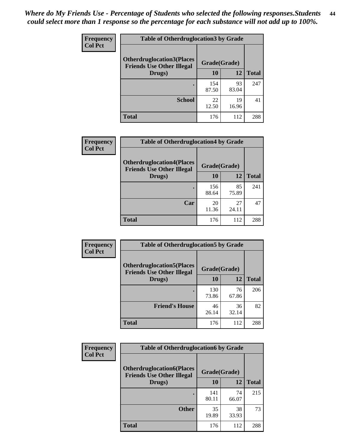| <b>Frequency</b> | <b>Table of Otherdruglocation3 by Grade</b>                           |              |             |              |
|------------------|-----------------------------------------------------------------------|--------------|-------------|--------------|
| <b>Col Pct</b>   | <b>Otherdruglocation3(Places)</b><br><b>Friends Use Other Illegal</b> | Grade(Grade) |             |              |
|                  | Drugs)                                                                | 10           | 12          | <b>Total</b> |
|                  |                                                                       | 154<br>87.50 | 93<br>83.04 | 247          |
|                  | <b>School</b>                                                         | 22<br>12.50  | 19<br>16.96 | 41           |
|                  | Total                                                                 | 176          | 112         | 288          |

| <b>Frequency</b> | <b>Table of Otherdruglocation4 by Grade</b>                          |              |             |              |
|------------------|----------------------------------------------------------------------|--------------|-------------|--------------|
| <b>Col Pct</b>   | <b>Otherdruglocation4(Places</b><br><b>Friends Use Other Illegal</b> | Grade(Grade) |             |              |
|                  | Drugs)                                                               | <b>10</b>    | 12          | <b>Total</b> |
|                  |                                                                      | 156<br>88.64 | 85<br>75.89 | 241          |
|                  | Car                                                                  | 20<br>11.36  | 27<br>24.11 | 47           |
|                  | <b>Total</b>                                                         | 176          | 112         | 288          |

| <b>Frequency</b> | <b>Table of Otherdruglocation5 by Grade</b>                          |              |             |              |
|------------------|----------------------------------------------------------------------|--------------|-------------|--------------|
| <b>Col Pct</b>   | <b>Otherdruglocation5(Places</b><br><b>Friends Use Other Illegal</b> | Grade(Grade) |             |              |
|                  | Drugs)                                                               | 10           | 12          | <b>Total</b> |
|                  |                                                                      | 130<br>73.86 | 76<br>67.86 | 206          |
|                  | <b>Friend's House</b>                                                | 46<br>26.14  | 36<br>32.14 | 82           |
|                  | <b>Total</b>                                                         | 176          | 112         | 288          |

| <b>Frequency</b> | <b>Table of Otherdruglocation6 by Grade</b>                          |              |             |              |
|------------------|----------------------------------------------------------------------|--------------|-------------|--------------|
| <b>Col Pct</b>   | <b>Otherdruglocation6(Places</b><br><b>Friends Use Other Illegal</b> | Grade(Grade) |             |              |
|                  | Drugs)                                                               | 10           | 12          | <b>Total</b> |
|                  |                                                                      | 141<br>80.11 | 74<br>66.07 | 215          |
|                  | <b>Other</b>                                                         | 35<br>19.89  | 38<br>33.93 | 73           |
|                  | <b>Total</b>                                                         | 176          | 112         | 288          |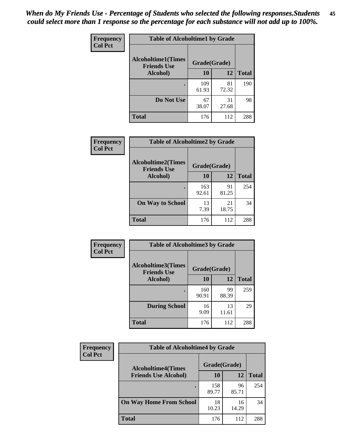| Frequency      | <b>Table of Alcoholtime1 by Grade</b>                           |              |             |              |
|----------------|-----------------------------------------------------------------|--------------|-------------|--------------|
| <b>Col Pct</b> | <b>Alcoholtime1(Times</b><br>Grade(Grade)<br><b>Friends Use</b> |              |             |              |
|                | Alcohol)                                                        | <b>10</b>    | 12          | <b>Total</b> |
|                |                                                                 | 109<br>61.93 | 81<br>72.32 | 190          |
|                | Do Not Use                                                      | 67<br>38.07  | 31<br>27.68 | 98           |
|                | <b>Total</b>                                                    | 176          | 112         | 288          |

| Frequency      | <b>Table of Alcoholtime2 by Grade</b>           |              |             |              |
|----------------|-------------------------------------------------|--------------|-------------|--------------|
| <b>Col Pct</b> | <b>Alcoholtime2(Times</b><br><b>Friends Use</b> | Grade(Grade) |             |              |
|                | Alcohol)                                        | 10           | 12          | <b>Total</b> |
|                |                                                 | 163<br>92.61 | 91<br>81.25 | 254          |
|                | <b>On Way to School</b>                         | 13<br>7.39   | 21<br>18.75 | 34           |
|                | <b>Total</b>                                    | 176          | 112         | 288          |

| Frequency      | <b>Table of Alcoholtime3 by Grade</b>           |              |             |              |
|----------------|-------------------------------------------------|--------------|-------------|--------------|
| <b>Col Pct</b> | <b>Alcoholtime3(Times</b><br><b>Friends Use</b> | Grade(Grade) |             |              |
|                | Alcohol)                                        | 10           | 12          | <b>Total</b> |
|                |                                                 | 160<br>90.91 | 99<br>88.39 | 259          |
|                | <b>During School</b>                            | 16<br>9.09   | 13<br>11.61 | 29           |
|                | <b>Total</b>                                    | 176          | 112         | 288          |

| <b>Frequency</b> | <b>Table of Alcoholtime4 by Grade</b> |              |             |              |
|------------------|---------------------------------------|--------------|-------------|--------------|
| <b>Col Pct</b>   | <b>Alcoholtime4(Times</b>             | Grade(Grade) |             |              |
|                  | <b>Friends Use Alcohol)</b>           | 10           | 12          | <b>Total</b> |
|                  | ٠                                     | 158<br>89.77 | 96<br>85.71 | 254          |
|                  | <b>On Way Home From School</b>        | 18<br>10.23  | 16<br>14.29 | 34           |
|                  | <b>Total</b>                          | 176          | 112         | 288          |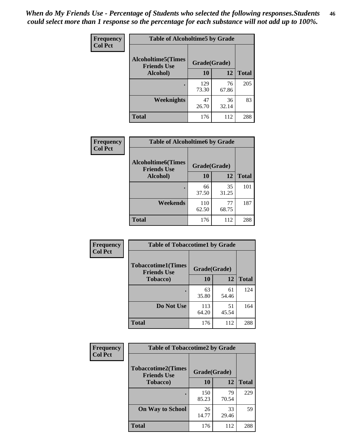*When do My Friends Use - Percentage of Students who selected the following responses.Students could select more than 1 response so the percentage for each substance will not add up to 100%.* **46**

| Frequency      | <b>Table of Alcoholtime5 by Grade</b>           |              |             |              |
|----------------|-------------------------------------------------|--------------|-------------|--------------|
| <b>Col Pct</b> | <b>Alcoholtime5(Times</b><br><b>Friends Use</b> | Grade(Grade) |             |              |
|                | Alcohol)                                        | 10           | 12          | <b>Total</b> |
|                |                                                 | 129<br>73.30 | 76<br>67.86 | 205          |
|                | Weeknights                                      | 47<br>26.70  | 36<br>32.14 | 83           |
|                | <b>Total</b>                                    | 176          | 112         | 288          |

| <b>Frequency</b> | <b>Table of Alcoholtime6 by Grade</b>           |              |             |              |
|------------------|-------------------------------------------------|--------------|-------------|--------------|
| <b>Col Pct</b>   | <b>Alcoholtime6(Times</b><br><b>Friends Use</b> | Grade(Grade) |             |              |
|                  | Alcohol)                                        | 10           | 12          | <b>Total</b> |
|                  |                                                 | 66<br>37.50  | 35<br>31.25 | 101          |
|                  | Weekends                                        | 110<br>62.50 | 77<br>68.75 | 187          |
|                  | <b>Total</b>                                    | 176          | 112         | 288          |

| Frequency      | <b>Table of Tobaccotime1 by Grade</b>           |              |             |              |
|----------------|-------------------------------------------------|--------------|-------------|--------------|
| <b>Col Pct</b> | <b>Tobaccotime1(Times</b><br><b>Friends Use</b> | Grade(Grade) |             |              |
|                | <b>Tobacco</b> )                                | 10           | 12          | <b>Total</b> |
|                | $\bullet$                                       | 63<br>35.80  | 61<br>54.46 | 124          |
|                | Do Not Use                                      | 113<br>64.20 | 51<br>45.54 | 164          |
|                | <b>Total</b>                                    | 176          | 112         | 288          |

| <b>Frequency</b> | <b>Table of Tobaccotime2 by Grade</b>           |              |             |              |
|------------------|-------------------------------------------------|--------------|-------------|--------------|
| <b>Col Pct</b>   | <b>Tobaccotime2(Times</b><br><b>Friends Use</b> | Grade(Grade) |             |              |
|                  | <b>Tobacco</b> )                                | <b>10</b>    | 12          | <b>Total</b> |
|                  |                                                 | 150<br>85.23 | 79<br>70.54 | 229          |
|                  | <b>On Way to School</b>                         | 26<br>14.77  | 33<br>29.46 | 59           |
|                  | <b>Total</b>                                    | 176          | 112         | 288          |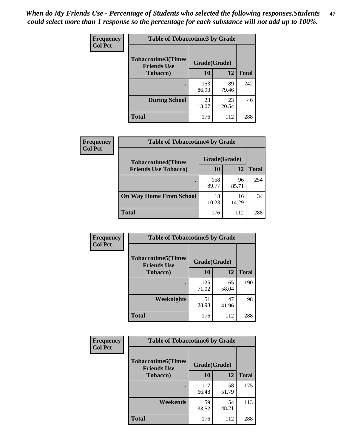*When do My Friends Use - Percentage of Students who selected the following responses.Students could select more than 1 response so the percentage for each substance will not add up to 100%.* **47**

| <b>Frequency</b> | <b>Table of Tobaccotime3 by Grade</b>           |              |             |              |  |
|------------------|-------------------------------------------------|--------------|-------------|--------------|--|
| <b>Col Pct</b>   | <b>Tobaccotime3(Times</b><br><b>Friends Use</b> | Grade(Grade) |             |              |  |
|                  | <b>Tobacco</b> )                                | 10           | 12          | <b>Total</b> |  |
|                  |                                                 | 153<br>86.93 | 89<br>79.46 | 242          |  |
|                  | <b>During School</b>                            | 23<br>13.07  | 23<br>20.54 | 46           |  |
|                  | <b>Total</b>                                    | 176          | 112         | 288          |  |

| Frequency<br><b>Col Pct</b> | <b>Table of Tobaccotime4 by Grade</b> |              |             |              |
|-----------------------------|---------------------------------------|--------------|-------------|--------------|
|                             | <b>Tobaccotime4(Times</b>             | Grade(Grade) |             |              |
|                             | <b>Friends Use Tobacco)</b>           | 10           | 12          | <b>Total</b> |
|                             |                                       | 158<br>89.77 | 96<br>85.71 | 254          |
|                             | <b>On Way Home From School</b>        | 18<br>10.23  | 16<br>14.29 | 34           |
|                             | Total                                 | 176          | 112         | 288          |

| <b>Frequency</b> | <b>Table of Tobaccotime5 by Grade</b>            |              |             |              |
|------------------|--------------------------------------------------|--------------|-------------|--------------|
| <b>Col Pct</b>   | <b>Tobaccotime5</b> (Times<br><b>Friends Use</b> | Grade(Grade) |             |              |
|                  | <b>Tobacco</b> )                                 | 10           | 12          | <b>Total</b> |
|                  |                                                  | 125<br>71.02 | 65<br>58.04 | 190          |
|                  | Weeknights                                       | 51<br>28.98  | 47<br>41.96 | 98           |
|                  | <b>Total</b>                                     | 176          | 112         | 288          |

| Frequency<br><b>Col Pct</b> | <b>Table of Tobaccotime6 by Grade</b>                           |              |             |              |
|-----------------------------|-----------------------------------------------------------------|--------------|-------------|--------------|
|                             | <b>Tobaccotime6(Times</b><br>Grade(Grade)<br><b>Friends Use</b> |              |             |              |
|                             | <b>Tobacco</b> )                                                | 10           | 12          | <b>Total</b> |
|                             | $\bullet$                                                       | 117<br>66.48 | 58<br>51.79 | 175          |
|                             | Weekends                                                        | 59<br>33.52  | 54<br>48.21 | 113          |
|                             | <b>Total</b>                                                    | 176          | 112         | 288          |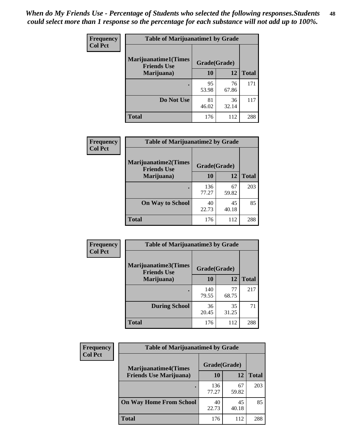| Frequency<br><b>Col Pct</b> | <b>Table of Marijuanatime1 by Grade</b>           |              |             |              |
|-----------------------------|---------------------------------------------------|--------------|-------------|--------------|
|                             | <b>Marijuanatime1(Times</b><br><b>Friends Use</b> | Grade(Grade) |             |              |
|                             | Marijuana)                                        | 10           | 12          | <b>Total</b> |
|                             |                                                   | 95<br>53.98  | 76<br>67.86 | 171          |
|                             | Do Not Use                                        | 81<br>46.02  | 36<br>32.14 | 117          |
|                             | <b>Total</b>                                      | 176          | 112         | 288          |

| Frequency      | <b>Table of Marijuanatime2 by Grade</b>           |              |             |              |
|----------------|---------------------------------------------------|--------------|-------------|--------------|
| <b>Col Pct</b> | <b>Marijuanatime2(Times</b><br><b>Friends Use</b> | Grade(Grade) |             |              |
|                | Marijuana)                                        | 10           | 12          | <b>Total</b> |
|                |                                                   | 136<br>77.27 | 67<br>59.82 | 203          |
|                | <b>On Way to School</b>                           | 40<br>22.73  | 45<br>40.18 | 85           |
|                | <b>Total</b>                                      | 176          | 112         | 288          |

| <b>Frequency</b> | <b>Table of Marijuanatime3 by Grade</b>    |              |             |              |  |
|------------------|--------------------------------------------|--------------|-------------|--------------|--|
| <b>Col Pct</b>   | Marijuanatime3(Times<br><b>Friends Use</b> | Grade(Grade) |             |              |  |
|                  | Marijuana)                                 | 10           | 12          | <b>Total</b> |  |
|                  |                                            | 140<br>79.55 | 77<br>68.75 | 217          |  |
|                  | <b>During School</b>                       | 36<br>20.45  | 35<br>31.25 | 71           |  |
|                  | <b>Total</b>                               | 176          | 112         | 288          |  |

| Frequency      | <b>Table of Marijuanatime4 by Grade</b> |              |             |       |
|----------------|-----------------------------------------|--------------|-------------|-------|
| <b>Col Pct</b> | <b>Marijuanatime4</b> (Times            | Grade(Grade) |             |       |
|                | <b>Friends Use Marijuana</b> )          | 10           | 12          | Total |
|                |                                         | 136<br>77.27 | 67<br>59.82 | 203   |
|                | <b>On Way Home From School</b>          | 40<br>22.73  | 45<br>40.18 | 85    |
|                | <b>Total</b>                            | 176          | 112         | 288   |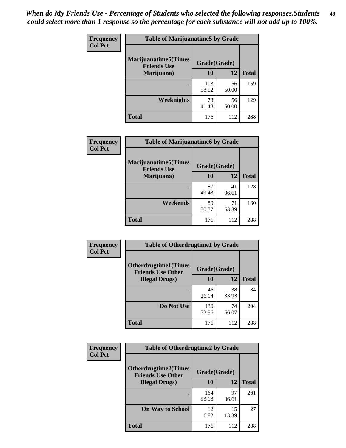| Frequency      | <b>Table of Marijuanatime5 by Grade</b>            |              |             |              |
|----------------|----------------------------------------------------|--------------|-------------|--------------|
| <b>Col Pct</b> | <b>Marijuanatime5</b> (Times<br><b>Friends Use</b> | Grade(Grade) |             |              |
|                | Marijuana)                                         | 10           | 12          | <b>Total</b> |
|                |                                                    | 103<br>58.52 | 56<br>50.00 | 159          |
|                | Weeknights                                         | 73<br>41.48  | 56<br>50.00 | 129          |
|                | <b>Total</b>                                       | 176          | 112         | 288          |

| Frequency      | <b>Table of Marijuanatime6 by Grade</b>    |              |             |              |
|----------------|--------------------------------------------|--------------|-------------|--------------|
| <b>Col Pct</b> | Marijuanatime6(Times<br><b>Friends Use</b> | Grade(Grade) |             |              |
|                | Marijuana)                                 | 10           | 12          | <b>Total</b> |
|                |                                            | 87<br>49.43  | 41<br>36.61 | 128          |
|                | Weekends                                   | 89<br>50.57  | 71<br>63.39 | 160          |
|                | <b>Total</b>                               | 176          | 112         | 288          |

| <b>Frequency</b> | <b>Table of Otherdrugtime1 by Grade</b>                  |              |             |              |  |
|------------------|----------------------------------------------------------|--------------|-------------|--------------|--|
| <b>Col Pct</b>   | <b>Otherdrugtime1</b> (Times<br><b>Friends Use Other</b> | Grade(Grade) |             |              |  |
|                  | <b>Illegal Drugs</b> )                                   | 10           | 12          | <b>Total</b> |  |
|                  |                                                          | 46<br>26.14  | 38<br>33.93 | 84           |  |
|                  | Do Not Use                                               | 130<br>73.86 | 74<br>66.07 | 204          |  |
|                  | <b>Total</b>                                             | 176          | 112         | 288          |  |

| <b>Frequency</b> | <b>Table of Otherdrugtime2 by Grade</b>                                 |              |             |              |  |  |
|------------------|-------------------------------------------------------------------------|--------------|-------------|--------------|--|--|
| <b>Col Pct</b>   | <b>Otherdrugtime2(Times</b><br>Grade(Grade)<br><b>Friends Use Other</b> |              |             |              |  |  |
|                  | <b>Illegal Drugs</b> )                                                  | 10           | 12          | <b>Total</b> |  |  |
|                  |                                                                         | 164<br>93.18 | 97<br>86.61 | 261          |  |  |
|                  | <b>On Way to School</b>                                                 | 12<br>6.82   | 15<br>13.39 | 27           |  |  |
|                  | Total                                                                   | 176          | 112         | 288          |  |  |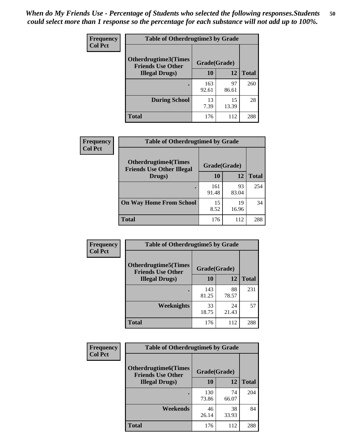| <b>Frequency</b> | <b>Table of Otherdrugtime3 by Grade</b>          |              |             |              |  |  |
|------------------|--------------------------------------------------|--------------|-------------|--------------|--|--|
| <b>Col Pct</b>   | Otherdrugtime3(Times<br><b>Friends Use Other</b> | Grade(Grade) |             |              |  |  |
|                  | <b>Illegal Drugs</b> )                           | 10           | 12          | <b>Total</b> |  |  |
|                  |                                                  | 163<br>92.61 | 97<br>86.61 | 260          |  |  |
|                  | <b>During School</b>                             | 13<br>7.39   | 15<br>13.39 | 28           |  |  |
|                  | Total                                            | 176          | 112         | 288          |  |  |

| Frequency      | <b>Table of Otherdrugtime4 by Grade</b>                         |              |             |              |  |  |
|----------------|-----------------------------------------------------------------|--------------|-------------|--------------|--|--|
| <b>Col Pct</b> | <b>Otherdrugtime4(Times</b><br><b>Friends Use Other Illegal</b> | Grade(Grade) |             |              |  |  |
|                | Drugs)                                                          | 10           | 12          | <b>Total</b> |  |  |
|                |                                                                 | 161<br>91.48 | 93<br>83.04 | 254          |  |  |
|                | <b>On Way Home From School</b>                                  | 15<br>8.52   | 19<br>16.96 | 34           |  |  |
|                | <b>Total</b>                                                    | 176          | 112         | 288          |  |  |

| <b>Frequency</b> | <b>Table of Otherdrugtime5 by Grade</b>                  |              |             |              |  |  |
|------------------|----------------------------------------------------------|--------------|-------------|--------------|--|--|
| <b>Col Pct</b>   | <b>Otherdrugtime5</b> (Times<br><b>Friends Use Other</b> | Grade(Grade) |             |              |  |  |
|                  | <b>Illegal Drugs</b> )                                   | 10           | 12          | <b>Total</b> |  |  |
|                  |                                                          | 143<br>81.25 | 88<br>78.57 | 231          |  |  |
|                  | Weeknights                                               | 33<br>18.75  | 24<br>21.43 | 57           |  |  |
|                  | Total                                                    | 176          | 112         | 288          |  |  |

| <b>Frequency</b> | <b>Table of Otherdrugtime6 by Grade</b>                 |              |             |              |  |  |
|------------------|---------------------------------------------------------|--------------|-------------|--------------|--|--|
| <b>Col Pct</b>   | <b>Otherdrugtime6(Times</b><br><b>Friends Use Other</b> | Grade(Grade) |             |              |  |  |
|                  | <b>Illegal Drugs</b> )                                  | 10           | 12          | <b>Total</b> |  |  |
|                  |                                                         | 130<br>73.86 | 74<br>66.07 | 204          |  |  |
|                  | Weekends                                                | 46<br>26.14  | 38<br>33.93 | 84           |  |  |
|                  | <b>Total</b>                                            | 176          | 112         | 288          |  |  |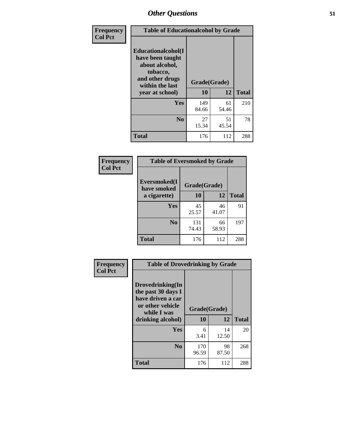| Frequency      | <b>Table of Educationalcohol by Grade</b>                                                                  |              |             |              |  |
|----------------|------------------------------------------------------------------------------------------------------------|--------------|-------------|--------------|--|
| <b>Col Pct</b> | Educationalcohol(I<br>have been taught<br>about alcohol,<br>tobacco,<br>and other drugs<br>within the last | Grade(Grade) |             |              |  |
|                | year at school)                                                                                            | 10           | 12          | <b>Total</b> |  |
|                | <b>Yes</b>                                                                                                 | 149<br>84.66 | 61<br>54.46 | 210          |  |
|                | N <sub>0</sub>                                                                                             | 27<br>15.34  | 51<br>45.54 | 78           |  |
|                | <b>Total</b>                                                                                               | 176          | 112         | 288          |  |

| Frequency      | <b>Table of Eversmoked by Grade</b>         |              |             |              |  |  |  |
|----------------|---------------------------------------------|--------------|-------------|--------------|--|--|--|
| <b>Col Pct</b> | Eversmoked(I<br>Grade(Grade)<br>have smoked |              |             |              |  |  |  |
|                | a cigarette)                                | 10           | 12          | <b>Total</b> |  |  |  |
|                | <b>Yes</b>                                  | 45<br>25.57  | 46<br>41.07 | 91           |  |  |  |
|                | N <sub>0</sub>                              | 131<br>74.43 | 66<br>58.93 | 197          |  |  |  |
|                | <b>Total</b>                                | 176          | 112         | 288          |  |  |  |

| Frequency<br><b>Col Pct</b> | <b>Table of Drovedrinking by Grade</b>                                                                              |                    |             |              |  |  |
|-----------------------------|---------------------------------------------------------------------------------------------------------------------|--------------------|-------------|--------------|--|--|
|                             | Drovedrinking(In<br>the past 30 days I<br>have driven a car<br>or other vehicle<br>while I was<br>drinking alcohol) | Grade(Grade)<br>10 | 12          | <b>Total</b> |  |  |
|                             | <b>Yes</b>                                                                                                          | 6<br>3.41          | 14<br>12.50 | 20           |  |  |
|                             | N <sub>0</sub>                                                                                                      | 170<br>96.59       | 98<br>87.50 | 268          |  |  |
|                             | <b>Total</b>                                                                                                        | 176                | 112         | 288          |  |  |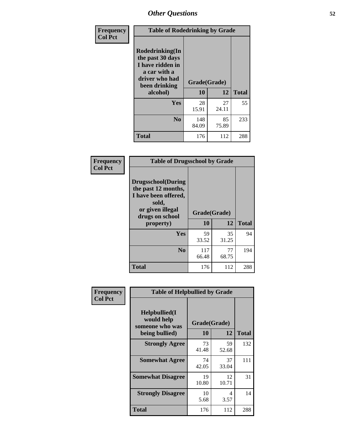| Frequency      | <b>Table of Rodedrinking by Grade</b>                                                                                                              |              |              |     |  |  |
|----------------|----------------------------------------------------------------------------------------------------------------------------------------------------|--------------|--------------|-----|--|--|
| <b>Col Pct</b> | Rodedrinking(In<br>the past 30 days<br>I have ridden in<br>a car with a<br>driver who had<br>Grade(Grade)<br>been drinking<br>12<br>10<br>alcohol) |              | <b>Total</b> |     |  |  |
|                |                                                                                                                                                    |              |              |     |  |  |
|                | <b>Yes</b>                                                                                                                                         | 28<br>15.91  | 27<br>24.11  | 55  |  |  |
|                | N <sub>0</sub>                                                                                                                                     | 148<br>84.09 | 85<br>75.89  | 233 |  |  |
|                | <b>Total</b>                                                                                                                                       | 176          | 112          | 288 |  |  |

#### **Frequency Col Pct**

| <b>Table of Drugsschool by Grade</b>                                                                                      |              |             |              |  |  |  |
|---------------------------------------------------------------------------------------------------------------------------|--------------|-------------|--------------|--|--|--|
| <b>Drugsschool</b> (During<br>the past 12 months,<br>I have been offered,<br>sold,<br>or given illegal<br>drugs on school | Grade(Grade) |             |              |  |  |  |
| property)                                                                                                                 | 10           | 12          | <b>Total</b> |  |  |  |
| Yes                                                                                                                       | 59<br>33.52  | 35<br>31.25 | 94           |  |  |  |
| N <sub>0</sub>                                                                                                            | 117<br>66.48 | 77<br>68.75 | 194          |  |  |  |
| <b>Total</b>                                                                                                              | 176          | 112         | 288          |  |  |  |

| Frequency      | <b>Table of Helpbullied by Grade</b>           |              |             |              |  |  |  |
|----------------|------------------------------------------------|--------------|-------------|--------------|--|--|--|
| <b>Col Pct</b> | Helpbullied(I<br>would help<br>someone who was | Grade(Grade) |             |              |  |  |  |
|                | being bullied)                                 | 10           | 12          | <b>Total</b> |  |  |  |
|                | <b>Strongly Agree</b>                          | 73<br>41.48  | 59<br>52.68 | 132          |  |  |  |
|                | <b>Somewhat Agree</b>                          | 74<br>42.05  | 37<br>33.04 | 111          |  |  |  |
|                | <b>Somewhat Disagree</b>                       | 19<br>10.80  | 12<br>10.71 | 31           |  |  |  |
|                | <b>Strongly Disagree</b>                       | 10<br>5.68   | 4<br>3.57   | 14           |  |  |  |
|                | <b>Total</b>                                   | 176          | 112         | 288          |  |  |  |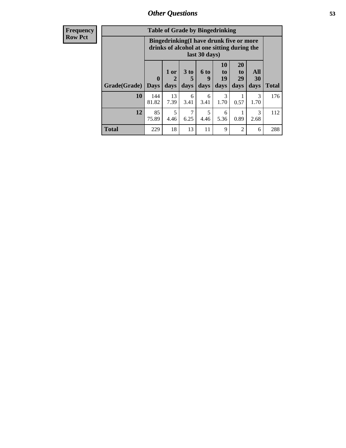| <b>Frequency</b><br><b>Row Pct</b> |                           | <b>Table of Grade by Bingedrinking</b><br>Bingedrinking(I have drunk five or more<br>drinks of alcohol at one sitting during the<br>last 30 days) |                   |                |                              |                        |                               |                   |              |
|------------------------------------|---------------------------|---------------------------------------------------------------------------------------------------------------------------------------------------|-------------------|----------------|------------------------------|------------------------|-------------------------------|-------------------|--------------|
|                                    | <b>Grade</b> (Grade) Days | $\mathbf{0}$                                                                                                                                      | 1 or<br>2<br>days | $3$ to<br>days | $6 \text{ to }$<br>9<br>days | 10<br>to<br>19<br>days | <b>20</b><br>to<br>29<br>days | All<br>30<br>days | <b>Total</b> |
|                                    | 10                        | 144<br>81.82                                                                                                                                      | 13<br>7.39        | 6<br>3.41      | 6<br>3.41                    | 3<br>1.70              | 0.57                          | 3<br>1.70         | 176          |
|                                    | 12                        | 85<br>75.89                                                                                                                                       | 5<br>4.46         | 6.25           | 5<br>4.46                    | 6<br>5.36              | 0.89                          | 3<br>2.68         | 112          |
|                                    | <b>Total</b>              | 229                                                                                                                                               | 18                | 13             | 11                           | 9                      | $\mathcal{D}_{\mathcal{A}}$   | 6                 | 288          |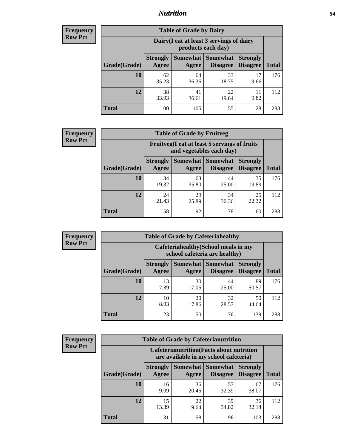### *Nutrition* **54**

| <b>Frequency</b><br>Row Pct |
|-----------------------------|
|                             |

| <b>Table of Grade by Dairy</b> |                                                                                                                             |                                                                 |             |            |     |  |  |  |
|--------------------------------|-----------------------------------------------------------------------------------------------------------------------------|-----------------------------------------------------------------|-------------|------------|-----|--|--|--|
|                                |                                                                                                                             | Dairy (I eat at least 3 servings of dairy<br>products each day) |             |            |     |  |  |  |
| Grade(Grade)                   | Somewhat  <br><b>Somewhat</b><br><b>Strongly</b><br><b>Strongly</b><br><b>Disagree</b><br><b>Disagree</b><br>Agree<br>Agree |                                                                 |             |            |     |  |  |  |
| 10                             | 62<br>35.23                                                                                                                 | 64<br>36.36                                                     | 33<br>18.75 | 17<br>9.66 | 176 |  |  |  |
| 12                             | 38<br>33.93                                                                                                                 | 41<br>36.61                                                     | 22<br>19.64 | 11<br>9.82 | 112 |  |  |  |
| <b>Total</b>                   | 100                                                                                                                         | 105                                                             | 55          | 28         | 288 |  |  |  |

| <b>Frequency</b> |  |
|------------------|--|
| <b>Row Pct</b>   |  |

| <b>Table of Grade by Fruitveg</b>                                        |                          |             |                               |                                    |              |  |  |  |
|--------------------------------------------------------------------------|--------------------------|-------------|-------------------------------|------------------------------------|--------------|--|--|--|
| Fruitveg(I eat at least 5 servings of fruits<br>and vegetables each day) |                          |             |                               |                                    |              |  |  |  |
| Grade(Grade)                                                             | <b>Strongly</b><br>Agree | Agree       | Somewhat Somewhat<br>Disagree | <b>Strongly</b><br><b>Disagree</b> | <b>Total</b> |  |  |  |
| 10                                                                       | 34<br>19.32              | 63<br>35.80 | 44<br>25.00                   | 35<br>19.89                        | 176          |  |  |  |
| 12                                                                       | 24<br>21.43              | 29<br>25.89 | 34<br>30.36                   | 25<br>22.32                        | 112          |  |  |  |
| <b>Total</b>                                                             | 58                       | 92          | 78                            | 60                                 | 288          |  |  |  |

| <b>Frequency</b> | <b>Table of Grade by Cafeteriahealthy</b> |                          |                                                                       |                 |                                    |              |  |
|------------------|-------------------------------------------|--------------------------|-----------------------------------------------------------------------|-----------------|------------------------------------|--------------|--|
| <b>Row Pct</b>   |                                           |                          | Cafeteriahealthy (School meals in my<br>school cafeteria are healthy) |                 |                                    |              |  |
|                  | Grade(Grade)                              | <b>Strongly</b><br>Agree | Somewhat Somewhat<br>Agree                                            | <b>Disagree</b> | <b>Strongly</b><br><b>Disagree</b> | <b>Total</b> |  |
|                  | 10                                        | 13<br>7.39               | 30<br>17.05                                                           | 44<br>25.00     | 89<br>50.57                        | 176          |  |
|                  | 12                                        | 10<br>8.93               | 20<br>17.86                                                           | 32<br>28.57     | 50<br>44.64                        | 112          |  |
|                  | Total                                     | 23                       | 50                                                                    | 76              | 139                                | 288          |  |

| <b>Frequency</b> |
|------------------|
| <b>Row Pct</b>   |

| <b>Table of Grade by Cafeterianutrition</b>                                                                                               |             |             |             |             |     |  |  |
|-------------------------------------------------------------------------------------------------------------------------------------------|-------------|-------------|-------------|-------------|-----|--|--|
| <b>Cafeterianutrition</b> (Facts about nutrition<br>are available in my school cafeteria)                                                 |             |             |             |             |     |  |  |
| <b>Somewhat</b><br><b>Somewhat</b><br><b>Strongly</b><br><b>Strongly</b><br><b>Disagree</b><br>Grade(Grade)<br>Agree<br>Disagree<br>Agree |             |             |             |             |     |  |  |
| 10                                                                                                                                        | 16<br>9.09  | 36<br>20.45 | 57<br>32.39 | 67<br>38.07 | 176 |  |  |
| 12                                                                                                                                        | 15<br>13.39 | 22<br>19.64 | 39<br>34.82 | 36<br>32.14 | 112 |  |  |
| <b>Total</b>                                                                                                                              | 31          | 58          | 96          | 103         | 288 |  |  |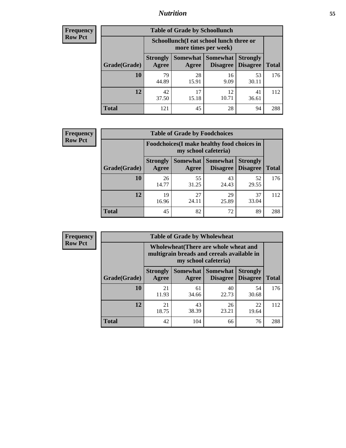### *Nutrition* **55**

| <b>Frequency</b> |
|------------------|
| Row Pct          |

| <b>Table of Grade by Schoollunch</b> |                                                                                                                            |                                                                 |             |             |     |  |  |  |
|--------------------------------------|----------------------------------------------------------------------------------------------------------------------------|-----------------------------------------------------------------|-------------|-------------|-----|--|--|--|
|                                      |                                                                                                                            | Schoollunch(I eat school lunch three or<br>more times per week) |             |             |     |  |  |  |
| Grade(Grade)                         | Somewhat   Somewhat<br><b>Strongly</b><br><b>Strongly</b><br><b>Disagree</b><br>Disagree<br><b>Total</b><br>Agree<br>Agree |                                                                 |             |             |     |  |  |  |
| 10                                   | 79<br>44.89                                                                                                                | 28<br>15.91                                                     | 16<br>9.09  | 53<br>30.11 | 176 |  |  |  |
| 12                                   | 42<br>37.50                                                                                                                | 17<br>15.18                                                     | 12<br>10.71 | 41<br>36.61 | 112 |  |  |  |
| <b>Total</b>                         | 121                                                                                                                        | 45                                                              | 28          | 94          | 288 |  |  |  |

| <b>Frequency</b> |  |
|------------------|--|
| <b>Row Pct</b>   |  |

| <b>Table of Grade by Foodchoices</b> |                                                                     |             |                                        |                                    |              |  |  |  |
|--------------------------------------|---------------------------------------------------------------------|-------------|----------------------------------------|------------------------------------|--------------|--|--|--|
|                                      | Foodchoices (I make healthy food choices in<br>my school cafeteria) |             |                                        |                                    |              |  |  |  |
| Grade(Grade)                         | <b>Strongly</b><br>Agree                                            | Agree       | <b>Somewhat   Somewhat</b><br>Disagree | <b>Strongly</b><br><b>Disagree</b> | <b>Total</b> |  |  |  |
| 10                                   | 26<br>14.77                                                         | 55<br>31.25 | 43<br>24.43                            | 52<br>29.55                        | 176          |  |  |  |
| 12                                   | 19<br>16.96                                                         | 27<br>24.11 | 29<br>25.89                            | 37<br>33.04                        | 112          |  |  |  |
| <b>Total</b>                         | 45                                                                  | 82          | 72                                     | 89                                 | 288          |  |  |  |

| <b>Frequency</b> | <b>Table of Grade by Wholewheat</b> |                                                                                                                    |             |                               |                                    |              |  |  |  |
|------------------|-------------------------------------|--------------------------------------------------------------------------------------------------------------------|-------------|-------------------------------|------------------------------------|--------------|--|--|--|
| <b>Row Pct</b>   |                                     | <b>Wholewheat</b> (There are whole wheat and<br>multigrain breads and cereals available in<br>my school cafeteria) |             |                               |                                    |              |  |  |  |
|                  | Grade(Grade)                        | <b>Strongly</b><br>Agree                                                                                           | Agree       | Somewhat Somewhat<br>Disagree | <b>Strongly</b><br><b>Disagree</b> | <b>Total</b> |  |  |  |
|                  | 10                                  | 21<br>11.93                                                                                                        | 61<br>34.66 | 40<br>22.73                   | 54<br>30.68                        | 176          |  |  |  |
|                  | 12                                  | 21<br>18.75                                                                                                        | 43<br>38.39 | 26<br>23.21                   | 22<br>19.64                        | 112          |  |  |  |
|                  | <b>Total</b>                        | 42                                                                                                                 | 104         | 66                            | 76                                 | 288          |  |  |  |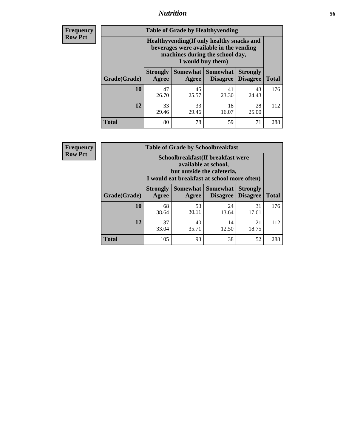### *Nutrition* **56**

**Frequency Row Pct**

| <b>Table of Grade by Healthyvending</b> |                                                                                                                                               |                          |                                    |                                    |              |
|-----------------------------------------|-----------------------------------------------------------------------------------------------------------------------------------------------|--------------------------|------------------------------------|------------------------------------|--------------|
|                                         | Healthyvending (If only healthy snacks and<br>beverages were available in the vending<br>machines during the school day,<br>I would buy them) |                          |                                    |                                    |              |
| Grade(Grade)                            | <b>Strongly</b><br>Agree                                                                                                                      | <b>Somewhat</b><br>Agree | <b>Somewhat</b><br><b>Disagree</b> | <b>Strongly</b><br><b>Disagree</b> | <b>Total</b> |
| 10                                      | 47<br>26.70                                                                                                                                   | 45<br>25.57              | 41<br>23.30                        | 43<br>24.43                        | 176          |
| 12                                      | 33<br>29.46                                                                                                                                   | 33<br>29.46              | 18<br>16.07                        | 28<br>25.00                        | 112          |
| Total                                   | 80                                                                                                                                            | 78                       | 59                                 | 71                                 | 288          |

**Frequency Row Pct**

| <b>Table of Grade by Schoolbreakfast</b> |                                                                                                                                         |             |                                        |                                    |              |  |
|------------------------------------------|-----------------------------------------------------------------------------------------------------------------------------------------|-------------|----------------------------------------|------------------------------------|--------------|--|
|                                          | Schoolbreakfast (If breakfast were<br>available at school,<br>but outside the cafeteria,<br>I would eat breakfast at school more often) |             |                                        |                                    |              |  |
| Grade(Grade)                             | <b>Strongly</b><br>Agree                                                                                                                | Agree       | Somewhat   Somewhat<br><b>Disagree</b> | <b>Strongly</b><br><b>Disagree</b> | <b>Total</b> |  |
| 10                                       | 68<br>38.64                                                                                                                             | 53<br>30.11 | 24<br>13.64                            | 31<br>17.61                        | 176          |  |
| 12                                       | 37<br>40<br>14<br>21<br>33.04<br>35.71<br>18.75<br>12.50                                                                                |             |                                        |                                    |              |  |
| <b>Total</b>                             | 105                                                                                                                                     | 93          | 38                                     | 52                                 | 288          |  |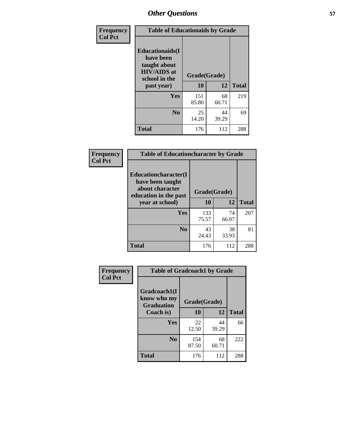| Frequency<br><b>Col Pct</b> | <b>Table of Educationaids by Grade</b>                                                                    |                    |             |              |
|-----------------------------|-----------------------------------------------------------------------------------------------------------|--------------------|-------------|--------------|
|                             | <b>Educationaids</b> (I<br>have been<br>taught about<br><b>HIV/AIDS</b> at<br>school in the<br>past year) | Grade(Grade)<br>10 | 12          | <b>Total</b> |
|                             | Yes                                                                                                       | 151<br>85.80       | 68<br>60.71 | 219          |
|                             | N <sub>0</sub>                                                                                            | 25<br>14.20        | 44<br>39.29 | 69           |
|                             | <b>Total</b>                                                                                              | 176                | 112         | 288          |

| Frequency      | <b>Table of Educationcharacter by Grade</b>                 |              |             |              |  |
|----------------|-------------------------------------------------------------|--------------|-------------|--------------|--|
| <b>Col Pct</b> | Educationcharacter(I<br>have been taught<br>about character |              |             |              |  |
|                | education in the past                                       | Grade(Grade) |             |              |  |
|                | year at school)                                             | 10           | 12          | <b>Total</b> |  |
|                | Yes                                                         | 133<br>75.57 | 74<br>66.07 | 207          |  |
|                | N <sub>0</sub>                                              | 43<br>24.43  | 38<br>33.93 | 81           |  |
|                | <b>Total</b>                                                | 176          | 112         | 288          |  |

| <b>Frequency</b><br><b>Col Pct</b> | <b>Table of Gradcoach1 by Grade</b>              |              |             |              |
|------------------------------------|--------------------------------------------------|--------------|-------------|--------------|
|                                    | Gradcoach1(I<br>know who my<br><b>Graduation</b> | Grade(Grade) |             |              |
|                                    | Coach is)                                        | 10           | 12          | <b>Total</b> |
|                                    | Yes                                              | 22<br>12.50  | 44<br>39.29 | 66           |
|                                    | N <sub>0</sub>                                   | 154<br>87.50 | 68<br>60.71 | 222          |
|                                    | <b>Total</b>                                     | 176          | 112         | 288          |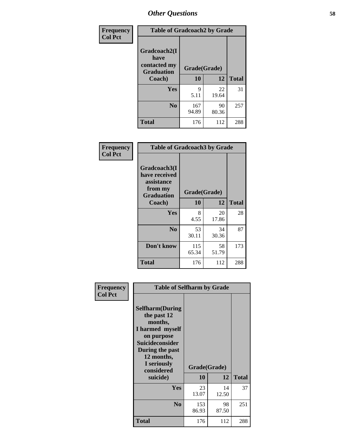| Frequency      | <b>Table of Gradcoach2 by Grade</b> |              |             |              |
|----------------|-------------------------------------|--------------|-------------|--------------|
| <b>Col Pct</b> |                                     |              |             |              |
|                | Gradcoach2(I<br>have                |              |             |              |
|                | contacted my<br><b>Graduation</b>   | Grade(Grade) |             |              |
|                | Coach)                              | 10           | 12          | <b>Total</b> |
|                | <b>Yes</b>                          | 9<br>5.11    | 22<br>19.64 | 31           |
|                | N <sub>0</sub>                      | 167<br>94.89 | 90<br>80.36 | 257          |
|                | <b>Total</b>                        | 176          | 112         | 288          |

| Frequency<br><b>Col Pct</b> | <b>Table of Gradcoach3 by Grade</b>                                         |              |             |              |
|-----------------------------|-----------------------------------------------------------------------------|--------------|-------------|--------------|
|                             | Gradcoach3(I<br>have received<br>assistance<br>from my<br><b>Graduation</b> | Grade(Grade) |             |              |
|                             | Coach)                                                                      | 10           | 12          | <b>Total</b> |
|                             | <b>Yes</b>                                                                  | 8            | 20          | 28           |
|                             |                                                                             | 4.55         | 17.86       |              |
|                             | N <sub>0</sub>                                                              | 53           | 34          | 87           |
|                             |                                                                             | 30.11        | 30.36       |              |
|                             | Don't know                                                                  | 115<br>65.34 | 58<br>51.79 | 173          |
|                             | <b>Total</b>                                                                | 176          | 112         | 288          |

| Frequency<br><b>Col Pct</b> | <b>Table of Selfharm by Grade</b>                                                                                                                                                      |                    |             |              |  |
|-----------------------------|----------------------------------------------------------------------------------------------------------------------------------------------------------------------------------------|--------------------|-------------|--------------|--|
|                             | <b>Selfharm</b> (During<br>the past 12<br>months,<br>I harmed myself<br>on purpose<br><b>Suicideconsider</b><br>During the past<br>12 months,<br>I seriously<br>considered<br>suicide) | Grade(Grade)<br>10 | 12          | <b>Total</b> |  |
|                             | Yes                                                                                                                                                                                    | 23<br>13.07        | 14<br>12.50 | 37           |  |
|                             | N <sub>0</sub>                                                                                                                                                                         | 153<br>86.93       | 98<br>87.50 | 251          |  |
|                             | <b>Total</b>                                                                                                                                                                           | 176                | 112         | 288          |  |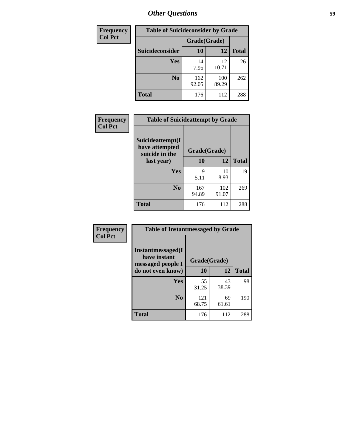| <b>Frequency</b> | <b>Table of Suicideconsider by Grade</b> |              |              |              |
|------------------|------------------------------------------|--------------|--------------|--------------|
| <b>Col Pct</b>   |                                          | Grade(Grade) |              |              |
|                  | <b>Suicideconsider</b>                   | <b>10</b>    | 12           | <b>Total</b> |
|                  | <b>Yes</b>                               | 14<br>7.95   | 12<br>10.71  | 26           |
|                  | N <sub>0</sub>                           | 162<br>92.05 | 100<br>89.29 | 262          |
|                  | <b>Total</b>                             | 176          | 112          | 288          |

| Frequency      | <b>Table of Suicideattempt by Grade</b>              |              |              |              |
|----------------|------------------------------------------------------|--------------|--------------|--------------|
| <b>Col Pct</b> | Suicideattempt(I<br>have attempted<br>suicide in the | Grade(Grade) |              |              |
|                | last year)                                           | 10           | 12           | <b>Total</b> |
|                | Yes                                                  | 9<br>5.11    | 10<br>8.93   | 19           |
|                | N <sub>0</sub>                                       | 167<br>94.89 | 102<br>91.07 | 269          |
|                | <b>Total</b>                                         | 176          | 112          | 288          |

| Frequency      | <b>Table of Instantmessaged by Grade</b>               |              |             |              |
|----------------|--------------------------------------------------------|--------------|-------------|--------------|
| <b>Col Pct</b> | Instantmessaged(I<br>have instant<br>messaged people I | Grade(Grade) |             |              |
|                | do not even know)                                      | 10           | 12          | <b>Total</b> |
|                | Yes                                                    | 55<br>31.25  | 43<br>38.39 | 98           |
|                | N <sub>0</sub>                                         | 121<br>68.75 | 69<br>61.61 | 190          |
|                | <b>Total</b>                                           | 176          | 112         | 288          |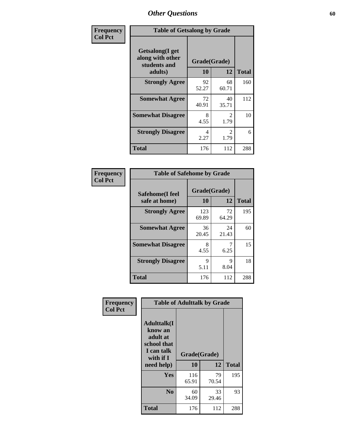| Frequency      | <b>Table of Getsalong by Grade</b>                                     |             |                    |              |
|----------------|------------------------------------------------------------------------|-------------|--------------------|--------------|
| <b>Col Pct</b> | <b>Getsalong</b> (I get<br>along with other<br>students and<br>adults) | 10          | Grade(Grade)<br>12 | <b>Total</b> |
|                | <b>Strongly Agree</b>                                                  | 92          | 68                 | 160          |
|                |                                                                        | 52.27       | 60.71              |              |
|                | <b>Somewhat Agree</b>                                                  | 72<br>40.91 | 40<br>35.71        | 112          |
|                | <b>Somewhat Disagree</b>                                               | 8<br>4.55   | 2<br>1.79          | 10           |
|                | <b>Strongly Disagree</b>                                               | 4<br>2.27   | 2<br>1.79          | 6            |
|                | <b>Total</b>                                                           | 176         | 112                | 288          |

| Frequency      | <b>Table of Safehome by Grade</b> |                    |             |              |
|----------------|-----------------------------------|--------------------|-------------|--------------|
| <b>Col Pct</b> | Safehome(I feel<br>safe at home)  | Grade(Grade)<br>10 | 12          | <b>Total</b> |
|                | <b>Strongly Agree</b>             | 123<br>69.89       | 72<br>64.29 | 195          |
|                | <b>Somewhat Agree</b>             | 36<br>20.45        | 24<br>21.43 | 60           |
|                | <b>Somewhat Disagree</b>          | 8<br>4.55          | 6.25        | 15           |
|                | <b>Strongly Disagree</b>          | 9<br>5.11          | 9<br>8.04   | 18           |
|                | <b>Total</b>                      | 176                | 112         | 288          |

| Frequency      |                                                                                     | <b>Table of Adulttalk by Grade</b> |             |              |
|----------------|-------------------------------------------------------------------------------------|------------------------------------|-------------|--------------|
| <b>Col Pct</b> | <b>Adulttalk(I</b><br>know an<br>adult at<br>school that<br>I can talk<br>with if I | Grade(Grade)                       |             |              |
|                | need help)                                                                          | 10                                 | 12          | <b>Total</b> |
|                | Yes                                                                                 | 116<br>65.91                       | 79<br>70.54 | 195          |
|                | N <sub>0</sub>                                                                      | 60<br>34.09                        | 33<br>29.46 | 93           |
|                | <b>Total</b>                                                                        | 176                                | 112         | 288          |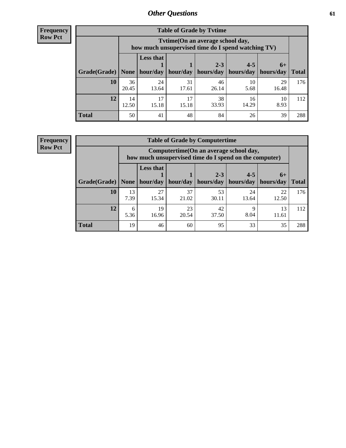**Frequency Row Pct**

| <b>Table of Grade by Tytime</b> |             |                                                                                        |             |             |             |             |              |  |  |  |
|---------------------------------|-------------|----------------------------------------------------------------------------------------|-------------|-------------|-------------|-------------|--------------|--|--|--|
|                                 |             | Tvtime(On an average school day,<br>how much unsupervised time do I spend watching TV) |             |             |             |             |              |  |  |  |
|                                 |             | <b>Less that</b>                                                                       |             | $2 - 3$     | $4 - 5$     | $6+$        |              |  |  |  |
| Grade(Grade)   None             |             | hour/day                                                                               | hour/day    | hours/day   | hours/day   | hours/day   | <b>Total</b> |  |  |  |
| 10                              | 36<br>20.45 | 24<br>13.64                                                                            | 31<br>17.61 | 46<br>26.14 | 10<br>5.68  | 29<br>16.48 | 176          |  |  |  |
| 12                              | 14<br>12.50 | 17<br>15.18                                                                            | 17<br>15.18 | 38<br>33.93 | 16<br>14.29 | 10<br>8.93  | 112          |  |  |  |
| <b>Total</b>                    | 50          | 41                                                                                     | 48          | 84          | 26          | 39          | 288          |  |  |  |

**Frequency Row Pct**

| <b>Table of Grade by Computertime</b> |            |                                                                                                                               |             |             |             |             |     |  |  |
|---------------------------------------|------------|-------------------------------------------------------------------------------------------------------------------------------|-------------|-------------|-------------|-------------|-----|--|--|
|                                       |            | Computertime(On an average school day,<br>how much unsupervised time do I spend on the computer)                              |             |             |             |             |     |  |  |
| Grade(Grade)                          | None       | <b>Less that</b><br>$4 - 5$<br>$2 - 3$<br>$6+$<br>hour/day<br>hours/day<br>hours/day<br>hour/day<br>hours/day<br><b>Total</b> |             |             |             |             |     |  |  |
| 10                                    | 13<br>7.39 | 27<br>15.34                                                                                                                   | 37<br>21.02 | 53<br>30.11 | 24<br>13.64 | 22<br>12.50 | 176 |  |  |
| 12                                    | 6<br>5.36  | 19<br>23<br>42<br>13<br>Q<br>8.04<br>16.96<br>20.54<br>37.50<br>11.61                                                         |             |             |             |             |     |  |  |
| <b>Total</b>                          | 19         | 46                                                                                                                            | 60          | 95          | 33          | 35          | 288 |  |  |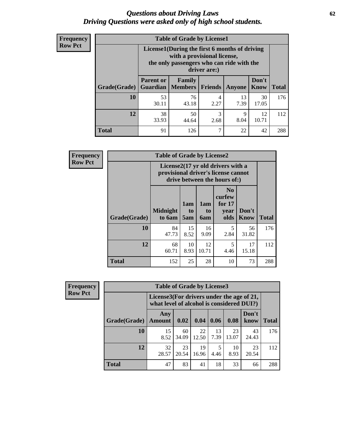#### *Questions about Driving Laws* **62** *Driving Questions were asked only of high school students.*

| <b>Frequency</b> |
|------------------|
| <b>Row Pct</b>   |

| <b>Table of Grade by License1</b> |                                                                     |                                                                                                                                           |                |            |                      |              |  |  |  |
|-----------------------------------|---------------------------------------------------------------------|-------------------------------------------------------------------------------------------------------------------------------------------|----------------|------------|----------------------|--------------|--|--|--|
|                                   |                                                                     | License1(During the first 6 months of driving<br>with a provisional license,<br>the only passengers who can ride with the<br>driver are:) |                |            |                      |              |  |  |  |
| Grade(Grade)                      | <b>Parent or</b><br>Guardian                                        | Family<br><b>Members</b>                                                                                                                  | <b>Friends</b> | Anyone     | Don't<br><b>Know</b> | <b>Total</b> |  |  |  |
| 10                                | 53<br>30.11                                                         | 76<br>43.18                                                                                                                               | 4<br>2.27      | 13<br>7.39 | 30<br>17.05          | 176          |  |  |  |
| 12                                | 38<br>3<br>12<br>50<br>9<br>33.93<br>8.04<br>10.71<br>44.64<br>2.68 |                                                                                                                                           |                |            |                      |              |  |  |  |
| Total                             | 91                                                                  | 126                                                                                                                                       | 7              | 22         | 42                   | 288          |  |  |  |

| <b>Frequency</b> |              | <b>Table of Grade by License2</b>                                                                        |                  |                  |                                                      |                      |              |  |  |
|------------------|--------------|----------------------------------------------------------------------------------------------------------|------------------|------------------|------------------------------------------------------|----------------------|--------------|--|--|
| <b>Row Pct</b>   |              | License2(17 yr old drivers with a<br>provisional driver's license cannot<br>drive between the hours of:) |                  |                  |                                                      |                      |              |  |  |
|                  | Grade(Grade) | <b>Midnight</b><br>to 6am                                                                                | 1am<br>to<br>5am | 1am<br>to<br>6am | N <sub>0</sub><br>curfew<br>for $17$<br>year<br>olds | Don't<br><b>Know</b> | <b>Total</b> |  |  |
|                  | 10           | 84<br>47.73                                                                                              | 15<br>8.52       | 16<br>9.09       | 5<br>2.84                                            | 56<br>31.82          | 176          |  |  |
|                  | 12           | 68<br>60.71                                                                                              | 10<br>8.93       | 12<br>10.71      | 5<br>4.46                                            | 17<br>15.18          | 112          |  |  |
|                  | <b>Total</b> | 152                                                                                                      | 25               | 28               | 10                                                   | 73                   | 288          |  |  |

| Frequency      | <b>Table of Grade by License3</b> |                      |                                                                                        |             |            |             |               |              |
|----------------|-----------------------------------|----------------------|----------------------------------------------------------------------------------------|-------------|------------|-------------|---------------|--------------|
| <b>Row Pct</b> |                                   |                      | License3(For drivers under the age of 21,<br>what level of alcohol is considered DUI?) |             |            |             |               |              |
|                | Grade(Grade)                      | Any<br><b>Amount</b> | 0.02                                                                                   | 0.04        | 0.06       | 0.08        | Don't<br>know | <b>Total</b> |
|                | <b>10</b>                         | 15<br>8.52           | 60<br>34.09                                                                            | 22<br>12.50 | 13<br>7.39 | 23<br>13.07 | 43<br>24.43   | 176          |
|                | 12                                | 32<br>28.57          | 23<br>20.54                                                                            | 19<br>16.96 | 5<br>4.46  | 10<br>8.93  | 23<br>20.54   | 112          |
|                | <b>Total</b>                      | 47                   | 83                                                                                     | 41          | 18         | 33          | 66            | 288          |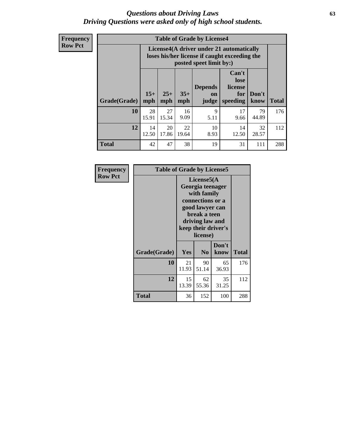#### *Questions about Driving Laws* **63** *Driving Questions were asked only of high school students.*

**Frequency Row Pct**

|              |             |                                                                                                                                                                                                                                                                                |             | <b>Table of Grade by License4</b> |             |             |     |  |
|--------------|-------------|--------------------------------------------------------------------------------------------------------------------------------------------------------------------------------------------------------------------------------------------------------------------------------|-------------|-----------------------------------|-------------|-------------|-----|--|
|              |             | License4(A driver under 21 automatically<br>loses his/her license if caught exceeding the<br>posted speet limit by:)<br>Can't<br>lose<br><b>Depends</b><br>license<br>$15+$<br>$25+$<br>$35+$<br>Don't<br>for<br>on<br><b>Total</b><br>mph<br>speeding<br>know<br>mph<br>judge |             |                                   |             |             |     |  |
| Grade(Grade) | mph         |                                                                                                                                                                                                                                                                                |             |                                   |             |             |     |  |
| 10           | 28<br>15.91 | 27<br>15.34                                                                                                                                                                                                                                                                    | 16<br>9.09  | 9<br>5.11                         | 17<br>9.66  | 79<br>44.89 | 176 |  |
| 12           | 14<br>12.50 | 20<br>17.86                                                                                                                                                                                                                                                                    | 22<br>19.64 | 10<br>8.93                        | 14<br>12.50 | 32<br>28.57 | 112 |  |
| <b>Total</b> | 42          | 47                                                                                                                                                                                                                                                                             | 38          | 19                                | 31          | 111         | 288 |  |

| Frequency      | <b>Table of Grade by License5</b> |             |                                                                                                                                      |                     |       |
|----------------|-----------------------------------|-------------|--------------------------------------------------------------------------------------------------------------------------------------|---------------------|-------|
| <b>Row Pct</b> |                                   |             | License5(A)<br>Georgia teenager<br>with family<br>connections or a<br>good lawyer can<br>break a teen<br>driving law and<br>license) | keep their driver's |       |
|                | Grade(Grade)                      | <b>Yes</b>  | N <sub>0</sub>                                                                                                                       | Don't<br>know       | Total |
|                | 10                                | 21<br>11.93 | 90<br>51.14                                                                                                                          | 65<br>36.93         | 176   |
|                | 12                                | 15<br>13.39 | 62<br>55.36                                                                                                                          | 35<br>31.25         | 112   |
|                | <b>Total</b>                      | 36          | 152                                                                                                                                  | 100                 | 288   |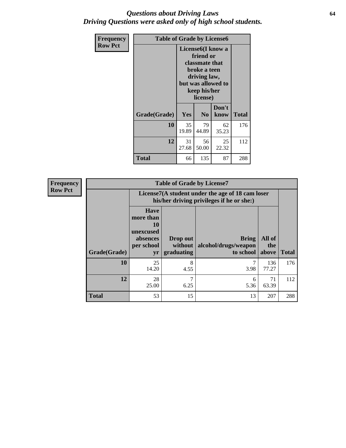#### *Questions about Driving Laws* **64** *Driving Questions were asked only of high school students.*

| <b>Frequency</b> | <b>Table of Grade by License6</b> |             |                                                                                                                           |                    |              |  |  |
|------------------|-----------------------------------|-------------|---------------------------------------------------------------------------------------------------------------------------|--------------------|--------------|--|--|
| <b>Row Pct</b>   |                                   |             | License <sub>6</sub> (I know a<br>friend or<br>classmate that<br>broke a teen<br>driving law,<br>keep his/her<br>license) | but was allowed to |              |  |  |
|                  | Grade(Grade)                      | Yes         | N <sub>0</sub>                                                                                                            | Don't<br>know      | <b>Total</b> |  |  |
|                  | 10                                | 35<br>19.89 | 79<br>44.89                                                                                                               | 62<br>35.23        | 176          |  |  |
|                  | 12                                | 31<br>27.68 | 56<br>50.00                                                                                                               | 25<br>22.32        | 112          |  |  |
|                  | <b>Total</b>                      | 66          | 135                                                                                                                       | 87                 | 288          |  |  |

| <b>Frequency</b> |              |                                                                             | <b>Table of Grade by License7</b>                                                             |                                                   |                        |              |  |  |  |
|------------------|--------------|-----------------------------------------------------------------------------|-----------------------------------------------------------------------------------------------|---------------------------------------------------|------------------------|--------------|--|--|--|
| <b>Row Pct</b>   |              |                                                                             | License7(A student under the age of 18 cam loser<br>his/her driving privileges if he or she:) |                                                   |                        |              |  |  |  |
|                  | Grade(Grade) | <b>Have</b><br>more than<br>10<br>unexcused<br>absences<br>per school<br>yr | Drop out<br>without  <br>graduating                                                           | <b>Bring</b><br>alcohol/drugs/weapon<br>to school | All of<br>the<br>above | <b>Total</b> |  |  |  |
|                  | 10           | 25<br>14.20                                                                 | 8<br>4.55                                                                                     | 3.98                                              | 136<br>77.27           | 176          |  |  |  |
|                  | 12           | 28<br>25.00                                                                 | 7<br>6.25                                                                                     | 6<br>5.36                                         | 71<br>63.39            | 112          |  |  |  |
|                  | <b>Total</b> | 53                                                                          | 15                                                                                            | 13                                                | 207                    | 288          |  |  |  |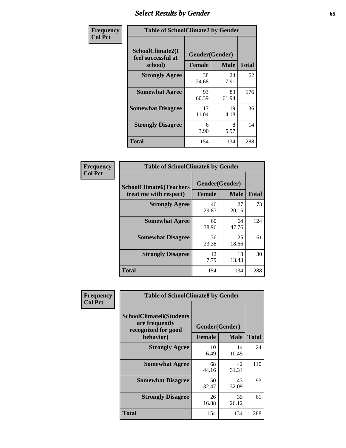# *Select Results by Gender* **65**

| Frequency      | <b>Table of SchoolClimate2 by Gender</b>          |                                 |             |              |  |
|----------------|---------------------------------------------------|---------------------------------|-------------|--------------|--|
| <b>Col Pct</b> | SchoolClimate2(I<br>feel successful at<br>school) | Gender(Gender)<br><b>Female</b> | <b>Male</b> | <b>Total</b> |  |
|                | <b>Strongly Agree</b>                             | 38<br>24.68                     | 24<br>17.91 | 62           |  |
|                | <b>Somewhat Agree</b>                             | 93<br>60.39                     | 83<br>61.94 | 176          |  |
|                | <b>Somewhat Disagree</b>                          | 17<br>11.04                     | 19<br>14.18 | 36           |  |
|                | <b>Strongly Disagree</b>                          | 6<br>3.90                       | 8<br>5.97   | 14           |  |
|                | <b>Total</b>                                      | 154                             | 134         | 288          |  |

| Frequency      | <b>Table of SchoolClimate6 by Gender</b>                 |                                 |             |              |  |
|----------------|----------------------------------------------------------|---------------------------------|-------------|--------------|--|
| <b>Col Pct</b> | <b>SchoolClimate6(Teachers</b><br>treat me with respect) | Gender(Gender)<br><b>Female</b> | <b>Male</b> | <b>Total</b> |  |
|                | <b>Strongly Agree</b>                                    | 46<br>29.87                     | 27<br>20.15 | 73           |  |
|                | <b>Somewhat Agree</b>                                    | 60<br>38.96                     | 64<br>47.76 | 124          |  |
|                | <b>Somewhat Disagree</b>                                 | 36<br>23.38                     | 25<br>18.66 | 61           |  |
|                | <b>Strongly Disagree</b>                                 | 12<br>7.79                      | 18<br>13.43 | 30           |  |
|                | <b>Total</b>                                             | 154                             | 134         | 288          |  |

| <b>Frequency</b> | <b>Table of SchoolClimate8 by Gender</b>                                             |                                 |              |     |
|------------------|--------------------------------------------------------------------------------------|---------------------------------|--------------|-----|
| <b>Col Pct</b>   | <b>SchoolClimate8(Students</b><br>are frequently<br>recognized for good<br>behavior) | Gender(Gender)<br><b>Female</b> | <b>Total</b> |     |
|                  |                                                                                      |                                 | <b>Male</b>  |     |
|                  | <b>Strongly Agree</b>                                                                | 10<br>6.49                      | 14<br>10.45  | 24  |
|                  | <b>Somewhat Agree</b>                                                                | 68<br>44.16                     | 42<br>31.34  | 110 |
|                  | <b>Somewhat Disagree</b>                                                             | 50<br>32.47                     | 43<br>32.09  | 93  |
|                  | <b>Strongly Disagree</b>                                                             | 26<br>16.88                     | 35<br>26.12  | 61  |
|                  | Total                                                                                | 154                             | 134          | 288 |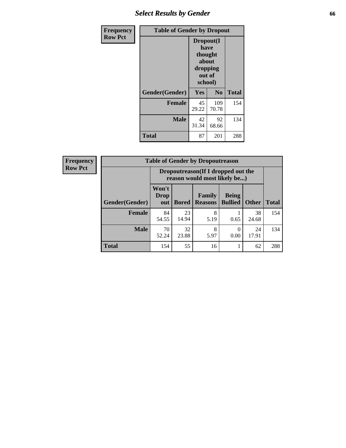# *Select Results by Gender* **66**

| <b>Frequency</b> | <b>Table of Gender by Dropout</b> |                                                                        |                |              |
|------------------|-----------------------------------|------------------------------------------------------------------------|----------------|--------------|
| <b>Row Pct</b>   |                                   | Dropout(I<br>have<br>thought<br>about<br>dropping<br>out of<br>school) |                |              |
|                  | Gender(Gender)                    | Yes                                                                    | N <sub>0</sub> | <b>Total</b> |
|                  | <b>Female</b>                     | 45<br>29.22                                                            | 109<br>70.78   | 154          |
|                  | <b>Male</b>                       | 42<br>31.34                                                            | 92<br>68.66    | 134          |
|                  | <b>Total</b>                      | 87                                                                     | 201            | 288          |

| <b>Frequency</b> | <b>Table of Gender by Dropoutreason</b> |                                                                    |              |                          |                                |              |              |
|------------------|-----------------------------------------|--------------------------------------------------------------------|--------------|--------------------------|--------------------------------|--------------|--------------|
| <b>Row Pct</b>   |                                         | Dropoutreason(If I dropped out the<br>reason would most likely be) |              |                          |                                |              |              |
|                  | Gender(Gender)                          | Won't<br><b>Drop</b><br>out                                        | <b>Bored</b> | Family<br><b>Reasons</b> | <b>Being</b><br><b>Bullied</b> | <b>Other</b> | <b>Total</b> |
|                  | Female                                  | 84<br>54.55                                                        | 23<br>14.94  | 8<br>5.19                | 0.65                           | 38<br>24.68  | 154          |
|                  | <b>Male</b>                             | 70<br>52.24                                                        | 32<br>23.88  | 8<br>5.97                | $\theta$<br>0.00               | 24<br>17.91  | 134          |
|                  | <b>Total</b>                            | 154                                                                | 55           | 16                       |                                | 62           | 288          |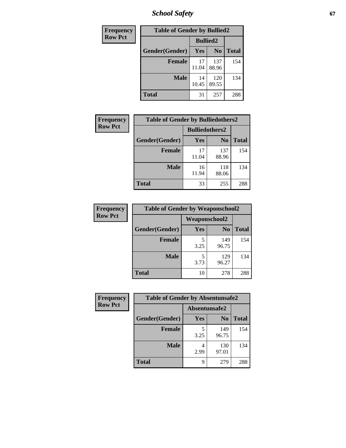*School Safety* **67**

| Frequency      | <b>Table of Gender by Bullied2</b> |                 |                |              |
|----------------|------------------------------------|-----------------|----------------|--------------|
| <b>Row Pct</b> |                                    | <b>Bullied2</b> |                |              |
|                | <b>Gender</b> (Gender)             | <b>Yes</b>      | N <sub>0</sub> | <b>Total</b> |
|                | <b>Female</b>                      | 17<br>11.04     | 137<br>88.96   | 154          |
|                | <b>Male</b>                        | 14<br>10.45     | 120<br>89.55   | 134          |
|                | <b>Total</b>                       | 31              | 257            | 288          |

| Frequency      | <b>Table of Gender by Bulliedothers2</b> |                       |                |              |
|----------------|------------------------------------------|-----------------------|----------------|--------------|
| <b>Row Pct</b> |                                          | <b>Bulliedothers2</b> |                |              |
|                | Gender(Gender)                           | Yes                   | N <sub>0</sub> | <b>Total</b> |
|                | <b>Female</b>                            | 17<br>11.04           | 137<br>88.96   | 154          |
|                | <b>Male</b>                              | 16<br>11.94           | 118<br>88.06   | 134          |
|                | <b>Total</b>                             | 33                    | 255            | 288          |

| Frequency      | <b>Table of Gender by Weaponschool2</b> |               |                |              |
|----------------|-----------------------------------------|---------------|----------------|--------------|
| <b>Row Pct</b> |                                         | Weaponschool2 |                |              |
|                | Gender(Gender)                          | Yes           | N <sub>0</sub> | <b>Total</b> |
|                | <b>Female</b>                           | 5<br>3.25     | 149<br>96.75   | 154          |
|                | <b>Male</b>                             | 5<br>3.73     | 129<br>96.27   | 134          |
|                | <b>Total</b>                            | 10            | 278            | 288          |

| Frequency      | <b>Table of Gender by Absentunsafe2</b> |               |                |              |
|----------------|-----------------------------------------|---------------|----------------|--------------|
| <b>Row Pct</b> |                                         | Absentunsafe2 |                |              |
|                | Gender(Gender)                          | Yes           | N <sub>0</sub> | <b>Total</b> |
|                | <b>Female</b>                           | 3.25          | 149<br>96.75   | 154          |
|                | <b>Male</b>                             | 4<br>2.99     | 130<br>97.01   | 134          |
|                | <b>Total</b>                            | 9             | 279            | 288          |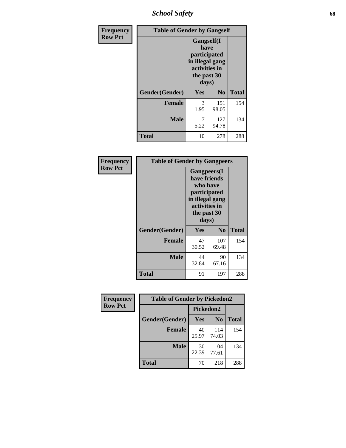*School Safety* **68**

| Frequency      | <b>Table of Gender by Gangself</b> |                                                                                                |                |              |
|----------------|------------------------------------|------------------------------------------------------------------------------------------------|----------------|--------------|
| <b>Row Pct</b> |                                    | Gangself(I<br>have<br>participated<br>in illegal gang<br>activities in<br>the past 30<br>days) |                |              |
|                | Gender(Gender)                     | Yes                                                                                            | N <sub>0</sub> | <b>Total</b> |
|                | <b>Female</b>                      | 3<br>1.95                                                                                      | 151<br>98.05   | 154          |
|                | <b>Male</b>                        | 7<br>5.22                                                                                      | 127<br>94.78   | 134          |
|                | <b>Total</b>                       | 10                                                                                             | 278            | 288          |

| <b>Frequency</b> | <b>Table of Gender by Gangpeers</b> |                                                                                                                             |                |              |
|------------------|-------------------------------------|-----------------------------------------------------------------------------------------------------------------------------|----------------|--------------|
| <b>Row Pct</b>   |                                     | <b>Gangpeers</b> (I<br>have friends<br>who have<br>participated<br>in illegal gang<br>activities in<br>the past 30<br>days) |                |              |
|                  | Gender(Gender)                      | <b>Yes</b>                                                                                                                  | N <sub>0</sub> | <b>Total</b> |
|                  | <b>Female</b>                       | 47<br>30.52                                                                                                                 | 107<br>69.48   | 154          |
|                  | <b>Male</b>                         | 44<br>32.84                                                                                                                 | 90<br>67.16    | 134          |
|                  | Total                               | 91                                                                                                                          | 197            | 288          |

| Frequency      | <b>Table of Gender by Pickedon2</b> |             |                |              |
|----------------|-------------------------------------|-------------|----------------|--------------|
| <b>Row Pct</b> |                                     | Pickedon2   |                |              |
|                | Gender(Gender)                      | Yes         | N <sub>0</sub> | <b>Total</b> |
|                | <b>Female</b>                       | 40<br>25.97 | 114<br>74.03   | 154          |
|                | <b>Male</b>                         | 30<br>22.39 | 104<br>77.61   | 134          |
|                | <b>Total</b>                        | 70          | 218            | 288          |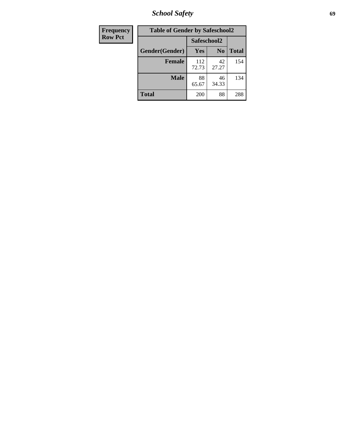*School Safety* **69**

| Frequency      | <b>Table of Gender by Safeschool2</b><br>Safeschool2 |              |                |              |  |
|----------------|------------------------------------------------------|--------------|----------------|--------------|--|
| <b>Row Pct</b> |                                                      |              |                |              |  |
|                | Gender(Gender)                                       | Yes          | N <sub>0</sub> | <b>Total</b> |  |
|                | <b>Female</b>                                        | 112<br>72.73 | 42<br>27.27    | 154          |  |
|                | <b>Male</b>                                          | 88<br>65.67  | 46<br>34.33    | 134          |  |
|                | <b>Total</b>                                         | 200          | 88             | 288          |  |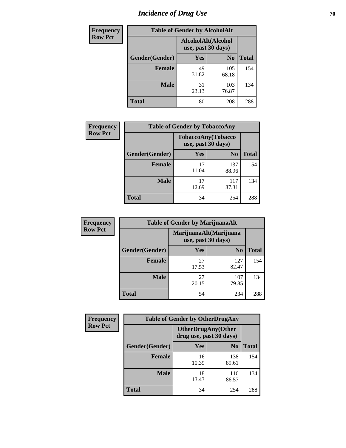# *Incidence of Drug Use* **70**

| <b>Frequency</b> | <b>Table of Gender by AlcoholAlt</b> |                                          |                |              |
|------------------|--------------------------------------|------------------------------------------|----------------|--------------|
| <b>Row Pct</b>   |                                      | AlcoholAlt(Alcohol<br>use, past 30 days) |                |              |
|                  | Gender(Gender)                       | Yes                                      | N <sub>0</sub> | <b>Total</b> |
|                  | <b>Female</b>                        | 49<br>31.82                              | 105<br>68.18   | 154          |
|                  | <b>Male</b>                          | 31<br>23.13                              | 103<br>76.87   | 134          |
|                  | <b>Total</b>                         | 80                                       | 208            | 288          |

| <b>Frequency</b> | <b>Table of Gender by TobaccoAny</b> |                    |                    |              |  |
|------------------|--------------------------------------|--------------------|--------------------|--------------|--|
| <b>Row Pct</b>   |                                      | use, past 30 days) | TobaccoAny(Tobacco |              |  |
|                  | Gender(Gender)                       | Yes                | N <sub>0</sub>     | <b>Total</b> |  |
|                  | <b>Female</b>                        | 17<br>11.04        | 137<br>88.96       | 154          |  |
|                  | <b>Male</b>                          | 17<br>12.69        | 117<br>87.31       | 134          |  |
|                  | <b>Total</b>                         | 34                 | 254                | 288          |  |

| <b>Frequency</b> | <b>Table of Gender by MarijuanaAlt</b> |                                              |                |              |  |
|------------------|----------------------------------------|----------------------------------------------|----------------|--------------|--|
| <b>Row Pct</b>   |                                        | MarijuanaAlt(Marijuana<br>use, past 30 days) |                |              |  |
|                  | Gender(Gender)                         | <b>Yes</b>                                   | N <sub>0</sub> | <b>Total</b> |  |
|                  | <b>Female</b>                          | 27<br>17.53                                  | 127<br>82.47   | 154          |  |
|                  | <b>Male</b>                            | 27<br>20.15                                  | 107<br>79.85   | 134          |  |
|                  | <b>Total</b>                           | 54                                           | 234            | 288          |  |

| <b>Frequency</b> | <b>Table of Gender by OtherDrugAny</b> |                                                      |                |              |  |
|------------------|----------------------------------------|------------------------------------------------------|----------------|--------------|--|
| <b>Row Pct</b>   |                                        | <b>OtherDrugAny(Other</b><br>drug use, past 30 days) |                |              |  |
|                  | Gender(Gender)                         | <b>Yes</b>                                           | N <sub>0</sub> | <b>Total</b> |  |
|                  | <b>Female</b>                          | 16<br>10.39                                          | 138<br>89.61   | 154          |  |
|                  | <b>Male</b>                            | 18<br>13.43                                          | 116<br>86.57   | 134          |  |
|                  | <b>Total</b>                           | 34                                                   | 254            | 288          |  |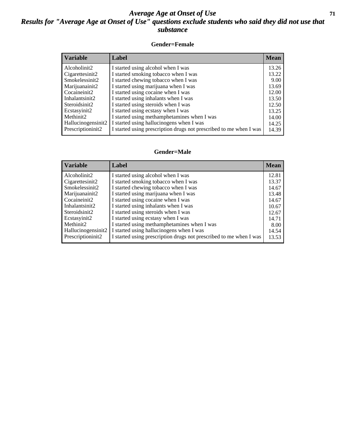#### *Average Age at Onset of Use* **71** *Results for "Average Age at Onset of Use" questions exclude students who said they did not use that substance*

#### **Gender=Female**

| <b>Variable</b>                 | Label                                                              | <b>Mean</b> |
|---------------------------------|--------------------------------------------------------------------|-------------|
| Alcoholinit2                    | I started using alcohol when I was                                 | 13.26       |
| Cigarettesinit2                 | I started smoking tobacco when I was                               | 13.22       |
| Smokelessinit2                  | I started chewing tobacco when I was                               | 9.00        |
| Marijuanainit2                  | I started using marijuana when I was                               | 13.69       |
| Cocaineinit2                    | I started using cocaine when I was                                 | 12.00       |
| Inhalantsinit2                  | I started using inhalants when I was                               | 13.50       |
| Steroidsinit2                   | I started using steroids when I was                                | 12.50       |
| Ecstasyinit2                    | I started using ecstasy when I was                                 | 13.25       |
| Methinit2                       | I started using methamphetamines when I was                        | 14.00       |
| Hallucinogensinit2              | I started using hallucinogens when I was                           | 14.25       |
| Prescription in it <sub>2</sub> | I started using prescription drugs not prescribed to me when I was | 14.39       |

#### **Gender=Male**

| <i><b>Variable</b></i> | Label                                                              | <b>Mean</b> |
|------------------------|--------------------------------------------------------------------|-------------|
| Alcoholinit2           | I started using alcohol when I was                                 | 12.81       |
| Cigarettesinit2        | I started smoking tobacco when I was                               | 13.37       |
| Smokelessinit2         | I started chewing tobacco when I was                               | 14.67       |
| Marijuanainit2         | I started using marijuana when I was                               | 13.48       |
| Cocaineinit2           | I started using cocaine when I was                                 | 14.67       |
| Inhalantsinit2         | I started using inhalants when I was                               | 10.67       |
| Steroidsinit2          | I started using steroids when I was                                | 12.67       |
| Ecstasyinit2           | I started using ecstasy when I was                                 | 14.71       |
| Methinit2              | I started using methamphetamines when I was                        | 8.00        |
| Hallucinogensinit2     | I started using hallucinogens when I was                           | 14.54       |
| Prescriptioninit2      | I started using prescription drugs not prescribed to me when I was | 13.53       |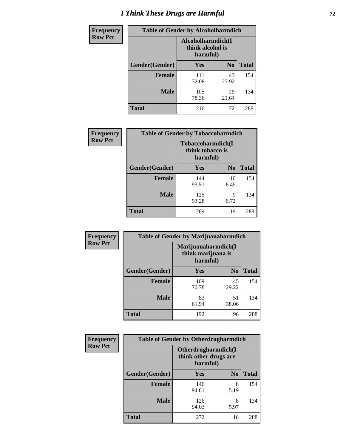# *I Think These Drugs are Harmful* **72**

| Frequency      | <b>Table of Gender by Alcoholharmdich</b> |                                                   |                |              |  |
|----------------|-------------------------------------------|---------------------------------------------------|----------------|--------------|--|
| <b>Row Pct</b> |                                           | Alcoholharmdich(I<br>think alcohol is<br>harmful) |                |              |  |
|                | Gender(Gender)                            | Yes                                               | N <sub>0</sub> | <b>Total</b> |  |
|                | <b>Female</b>                             | 111<br>72.08                                      | 43<br>27.92    | 154          |  |
|                | <b>Male</b>                               | 105<br>78.36                                      | 29<br>21.64    | 134          |  |
|                | Total                                     | 216                                               | 72             | 288          |  |

| Frequency      | <b>Table of Gender by Tobaccoharmdich</b> |                              |                   |              |  |
|----------------|-------------------------------------------|------------------------------|-------------------|--------------|--|
| <b>Row Pct</b> |                                           | think tobacco is<br>harmful) | Tobaccoharmdich(I |              |  |
|                | Gender(Gender)                            | <b>Yes</b>                   | N <sub>0</sub>    | <b>Total</b> |  |
|                | <b>Female</b>                             | 144<br>93.51                 | 10<br>6.49        | 154          |  |
|                | <b>Male</b>                               | 125<br>93.28                 | 9<br>6.72         | 134          |  |
|                | <b>Total</b>                              | 269                          | 19                | 288          |  |

| Frequency      | <b>Table of Gender by Marijuanaharmdich</b> |                                                       |                |              |  |
|----------------|---------------------------------------------|-------------------------------------------------------|----------------|--------------|--|
| <b>Row Pct</b> |                                             | Marijuanaharmdich(I<br>think marijuana is<br>harmful) |                |              |  |
|                | Gender(Gender)                              | <b>Yes</b>                                            | N <sub>0</sub> | <b>Total</b> |  |
|                | <b>Female</b>                               | 109<br>70.78                                          | 45<br>29.22    | 154          |  |
|                | <b>Male</b>                                 | 83<br>61.94                                           | 51<br>38.06    | 134          |  |
|                | <b>Total</b>                                | 192                                                   | 96             | 288          |  |

| Frequency      | <b>Table of Gender by Otherdrugharmdich</b> |                                                          |                |              |  |
|----------------|---------------------------------------------|----------------------------------------------------------|----------------|--------------|--|
| <b>Row Pct</b> |                                             | Otherdrugharmdich(I<br>think other drugs are<br>harmful) |                |              |  |
|                | Gender(Gender)                              | <b>Yes</b>                                               | N <sub>0</sub> | <b>Total</b> |  |
|                | <b>Female</b>                               | 146<br>94.81                                             | 8<br>5.19      | 154          |  |
|                | <b>Male</b>                                 | 126<br>94.03                                             | 8<br>5.97      | 134          |  |
|                | <b>Total</b>                                | 272                                                      | 16             | 288          |  |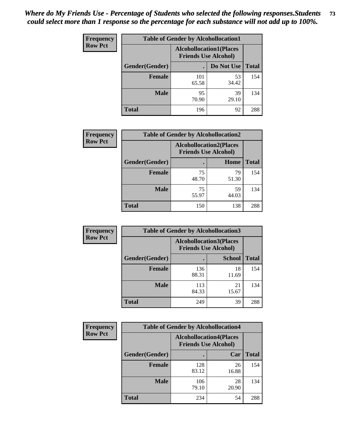| <b>Frequency</b> | <b>Table of Gender by Alcohollocation1</b> |                                                               |             |              |
|------------------|--------------------------------------------|---------------------------------------------------------------|-------------|--------------|
| <b>Row Pct</b>   |                                            | <b>Alcohollocation1(Places</b><br><b>Friends Use Alcohol)</b> |             |              |
|                  | Gender(Gender)                             |                                                               | Do Not Use  | <b>Total</b> |
|                  | <b>Female</b>                              | 101<br>65.58                                                  | 53<br>34.42 | 154          |
|                  | <b>Male</b>                                | 95<br>70.90                                                   | 39<br>29.10 | 134          |
|                  | Total                                      | 196                                                           | 92          | 288          |

| <b>Frequency</b> | <b>Table of Gender by Alcohollocation2</b> |                                                               |             |              |
|------------------|--------------------------------------------|---------------------------------------------------------------|-------------|--------------|
| <b>Row Pct</b>   |                                            | <b>Alcohollocation2(Places</b><br><b>Friends Use Alcohol)</b> |             |              |
|                  | Gender(Gender)                             |                                                               | Home        | <b>Total</b> |
|                  | <b>Female</b>                              | 75<br>48.70                                                   | 79<br>51.30 | 154          |
|                  | <b>Male</b>                                | 75<br>55.97                                                   | 59<br>44.03 | 134          |
|                  | <b>Total</b>                               | 150                                                           | 138         | 288          |

| <b>Frequency</b> | <b>Table of Gender by Alcohollocation3</b> |              |                                                               |              |
|------------------|--------------------------------------------|--------------|---------------------------------------------------------------|--------------|
| <b>Row Pct</b>   |                                            |              | <b>Alcohollocation3(Places</b><br><b>Friends Use Alcohol)</b> |              |
|                  | Gender(Gender)                             |              | <b>School</b>                                                 | <b>Total</b> |
|                  | <b>Female</b>                              | 136<br>88.31 | 18<br>11.69                                                   | 154          |
|                  | <b>Male</b>                                | 113<br>84.33 | 21<br>15.67                                                   | 134          |
|                  | <b>Total</b>                               | 249          | 39                                                            | 288          |

| <b>Frequency</b> | <b>Table of Gender by Alcohollocation4</b> |                                                               |             |              |
|------------------|--------------------------------------------|---------------------------------------------------------------|-------------|--------------|
| <b>Row Pct</b>   |                                            | <b>Alcohollocation4(Places</b><br><b>Friends Use Alcohol)</b> |             |              |
|                  | Gender(Gender)                             |                                                               | Car         | <b>Total</b> |
|                  | Female                                     | 128<br>83.12                                                  | 26<br>16.88 | 154          |
|                  | <b>Male</b>                                | 106<br>79.10                                                  | 28<br>20.90 | 134          |
|                  | <b>Total</b>                               | 234                                                           | 54          | 288          |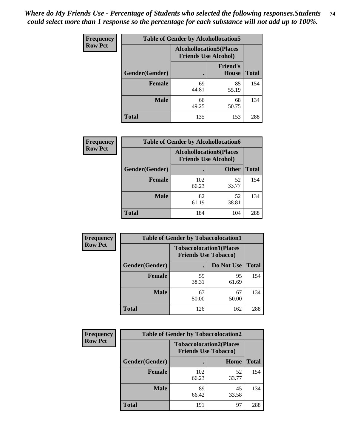| <b>Frequency</b> |                | <b>Table of Gender by Alcohollocation5</b>                     |                                 |              |
|------------------|----------------|----------------------------------------------------------------|---------------------------------|--------------|
| <b>Row Pct</b>   |                | <b>Alcohollocation5</b> (Places<br><b>Friends Use Alcohol)</b> |                                 |              |
|                  | Gender(Gender) | $\bullet$                                                      | <b>Friend's</b><br><b>House</b> | <b>Total</b> |
|                  | <b>Female</b>  | 69<br>44.81                                                    | 85<br>55.19                     | 154          |
|                  | <b>Male</b>    | 66<br>49.25                                                    | 68<br>50.75                     | 134          |
|                  | <b>Total</b>   | 135                                                            | 153                             | 288          |

| <b>Frequency</b> | <b>Table of Gender by Alcohollocation6</b> |                                                               |              |              |  |
|------------------|--------------------------------------------|---------------------------------------------------------------|--------------|--------------|--|
| <b>Row Pct</b>   |                                            | <b>Alcohollocation6(Places</b><br><b>Friends Use Alcohol)</b> |              |              |  |
|                  | <b>Gender</b> (Gender)                     | ٠                                                             | <b>Other</b> | <b>Total</b> |  |
|                  | <b>Female</b>                              | 102<br>66.23                                                  | 52<br>33.77  | 154          |  |
|                  | <b>Male</b>                                | 82<br>61.19                                                   | 52<br>38.81  | 134          |  |
|                  | <b>Total</b>                               | 184                                                           | 104          | 288          |  |

| Frequency      | <b>Table of Gender by Tobaccolocation1</b> |                                                               |             |              |  |
|----------------|--------------------------------------------|---------------------------------------------------------------|-------------|--------------|--|
| <b>Row Pct</b> |                                            | <b>Tobaccolocation1(Places</b><br><b>Friends Use Tobacco)</b> |             |              |  |
|                | Gender(Gender)                             |                                                               | Do Not Use  | <b>Total</b> |  |
|                | Female                                     | 59<br>38.31                                                   | 95<br>61.69 | 154          |  |
|                | <b>Male</b>                                | 67<br>50.00                                                   | 67<br>50.00 | 134          |  |
|                | <b>Total</b>                               | 126                                                           | 162         | 288          |  |

| <b>Frequency</b> | <b>Table of Gender by Tobaccolocation2</b> |                                                               |             |              |  |
|------------------|--------------------------------------------|---------------------------------------------------------------|-------------|--------------|--|
| <b>Row Pct</b>   |                                            | <b>Tobaccolocation2(Places</b><br><b>Friends Use Tobacco)</b> |             |              |  |
|                  | Gender(Gender)                             |                                                               | Home        | <b>Total</b> |  |
|                  | Female                                     | 102<br>66.23                                                  | 52<br>33.77 | 154          |  |
|                  | <b>Male</b>                                | 89<br>66.42                                                   | 45<br>33.58 | 134          |  |
|                  | <b>Total</b>                               | 191                                                           | 97          | 288          |  |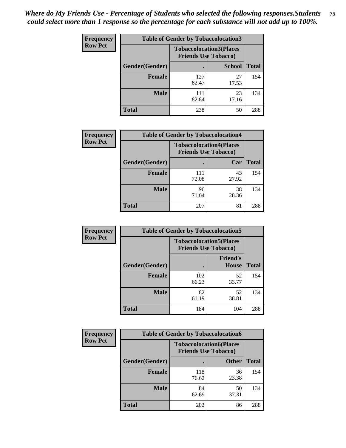| <b>Frequency</b> | <b>Table of Gender by Tobaccolocation3</b> |                                                               |               |              |
|------------------|--------------------------------------------|---------------------------------------------------------------|---------------|--------------|
| <b>Row Pct</b>   |                                            | <b>Tobaccolocation3(Places</b><br><b>Friends Use Tobacco)</b> |               |              |
|                  | Gender(Gender)                             |                                                               | <b>School</b> | <b>Total</b> |
|                  | <b>Female</b>                              | 127<br>82.47                                                  | 27<br>17.53   | 154          |
|                  | <b>Male</b>                                | 111<br>82.84                                                  | 23<br>17.16   | 134          |
|                  | Total                                      | 238                                                           | 50            | 288          |

| <b>Frequency</b> | <b>Table of Gender by Tobaccolocation4</b> |              |                                                               |              |
|------------------|--------------------------------------------|--------------|---------------------------------------------------------------|--------------|
| <b>Row Pct</b>   |                                            |              | <b>Tobaccolocation4(Places</b><br><b>Friends Use Tobacco)</b> |              |
|                  | Gender(Gender)                             |              | Car                                                           | <b>Total</b> |
|                  | <b>Female</b>                              | 111<br>72.08 | 43<br>27.92                                                   | 154          |
|                  | <b>Male</b>                                | 96<br>71.64  | 38<br>28.36                                                   | 134          |
|                  | <b>Total</b>                               | 207          | 81                                                            | 288          |

| <b>Frequency</b> | <b>Table of Gender by Tobaccolocation5</b> |                                                               |                          |              |
|------------------|--------------------------------------------|---------------------------------------------------------------|--------------------------|--------------|
| <b>Row Pct</b>   |                                            | <b>Tobaccolocation5(Places</b><br><b>Friends Use Tobacco)</b> |                          |              |
|                  | Gender(Gender)                             |                                                               | <b>Friend's</b><br>House | <b>Total</b> |
|                  | <b>Female</b>                              | 102<br>66.23                                                  | 52<br>33.77              | 154          |
|                  | <b>Male</b>                                | 82<br>61.19                                                   | 52<br>38.81              | 134          |
|                  | <b>Total</b>                               | 184                                                           | 104                      | 288          |

| <b>Frequency</b> | <b>Table of Gender by Tobaccolocation6</b> |                                                               |              |              |
|------------------|--------------------------------------------|---------------------------------------------------------------|--------------|--------------|
| <b>Row Pct</b>   |                                            | <b>Tobaccolocation6(Places</b><br><b>Friends Use Tobacco)</b> |              |              |
|                  | Gender(Gender)                             |                                                               | <b>Other</b> | <b>Total</b> |
|                  | Female                                     | 118<br>76.62                                                  | 36<br>23.38  | 154          |
|                  | <b>Male</b>                                | 84<br>62.69                                                   | 50<br>37.31  | 134          |
|                  | <b>Total</b>                               | 202                                                           | 86           | 288          |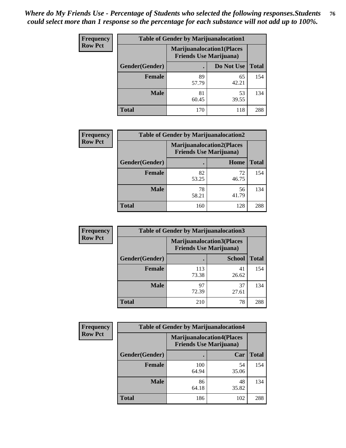| <b>Frequency</b> | <b>Table of Gender by Marijuanalocation1</b> |                                                                    |             |              |
|------------------|----------------------------------------------|--------------------------------------------------------------------|-------------|--------------|
| <b>Row Pct</b>   |                                              | <b>Marijuanalocation1(Places</b><br><b>Friends Use Marijuana</b> ) |             |              |
|                  | Gender(Gender)                               |                                                                    | Do Not Use  | <b>Total</b> |
|                  | <b>Female</b>                                | 89<br>57.79                                                        | 65<br>42.21 | 154          |
|                  | <b>Male</b>                                  | 81<br>60.45                                                        | 53<br>39.55 | 134          |
|                  | <b>Total</b>                                 | 170                                                                | 118         | 288          |

| <b>Frequency</b> | <b>Table of Gender by Marijuanalocation2</b> |                                                                    |             |              |  |
|------------------|----------------------------------------------|--------------------------------------------------------------------|-------------|--------------|--|
| <b>Row Pct</b>   |                                              | <b>Marijuanalocation2(Places</b><br><b>Friends Use Marijuana</b> ) |             |              |  |
|                  | Gender(Gender)                               |                                                                    | Home        | <b>Total</b> |  |
|                  | Female                                       | 82<br>53.25                                                        | 72<br>46.75 | 154          |  |
|                  | <b>Male</b>                                  | 78<br>58.21                                                        | 56<br>41.79 | 134          |  |
|                  | <b>Total</b>                                 | 160                                                                | 128         | 288          |  |

| Frequency      |                | <b>Table of Gender by Marijuanalocation3</b>                       |               |              |
|----------------|----------------|--------------------------------------------------------------------|---------------|--------------|
| <b>Row Pct</b> |                | <b>Marijuanalocation3(Places</b><br><b>Friends Use Marijuana</b> ) |               |              |
|                | Gender(Gender) |                                                                    | <b>School</b> | <b>Total</b> |
|                | Female         | 113<br>73.38                                                       | 41<br>26.62   | 154          |
|                | <b>Male</b>    | 97<br>72.39                                                        | 37<br>27.61   | 134          |
|                | <b>Total</b>   | 210                                                                | 78            | 288          |

| <b>Frequency</b> | <b>Table of Gender by Marijuanalocation4</b> |                                                                    |             |              |
|------------------|----------------------------------------------|--------------------------------------------------------------------|-------------|--------------|
| <b>Row Pct</b>   |                                              | <b>Marijuanalocation4(Places</b><br><b>Friends Use Marijuana</b> ) |             |              |
|                  | Gender(Gender)                               |                                                                    | Car         | <b>Total</b> |
|                  | <b>Female</b>                                | 100<br>64.94                                                       | 54<br>35.06 | 154          |
|                  | <b>Male</b>                                  | 86<br>64.18                                                        | 48<br>35.82 | 134          |
|                  | <b>Total</b>                                 | 186                                                                | 102         | 288          |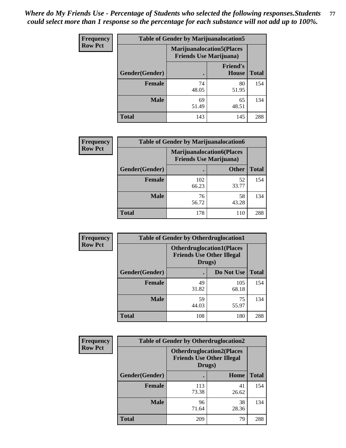| <b>Frequency</b> | <b>Table of Gender by Marijuanalocation5</b> |                                                                     |                                 |              |
|------------------|----------------------------------------------|---------------------------------------------------------------------|---------------------------------|--------------|
| <b>Row Pct</b>   |                                              | <b>Marijuanalocation5</b> (Places<br><b>Friends Use Marijuana</b> ) |                                 |              |
|                  | Gender(Gender)                               |                                                                     | <b>Friend's</b><br><b>House</b> | <b>Total</b> |
|                  | <b>Female</b>                                | 74<br>48.05                                                         | 80<br>51.95                     | 154          |
|                  | <b>Male</b>                                  | 69<br>51.49                                                         | 65<br>48.51                     | 134          |
|                  | <b>Total</b>                                 | 143                                                                 | 145                             | 288          |

| <b>Frequency</b> | <b>Table of Gender by Marijuanalocation6</b> |                                                                    |              |              |
|------------------|----------------------------------------------|--------------------------------------------------------------------|--------------|--------------|
| <b>Row Pct</b>   |                                              | <b>Marijuanalocation6(Places</b><br><b>Friends Use Marijuana</b> ) |              |              |
|                  | <b>Gender</b> (Gender)                       |                                                                    | <b>Other</b> | <b>Total</b> |
|                  | <b>Female</b>                                | 102<br>66.23                                                       | 52<br>33.77  | 154          |
|                  | <b>Male</b>                                  | 76<br>56.72                                                        | 58<br>43.28  | 134          |
|                  | <b>Total</b>                                 | 178                                                                | 110          | 288          |

| <b>Frequency</b> | <b>Table of Gender by Otherdruglocation1</b> |                                                                                |              |              |
|------------------|----------------------------------------------|--------------------------------------------------------------------------------|--------------|--------------|
| <b>Row Pct</b>   |                                              | <b>Otherdruglocation1(Places</b><br><b>Friends Use Other Illegal</b><br>Drugs) |              |              |
|                  | Gender(Gender)                               |                                                                                | Do Not Use   | <b>Total</b> |
|                  | <b>Female</b>                                | 49<br>31.82                                                                    | 105<br>68.18 | 154          |
|                  | <b>Male</b>                                  | 59<br>44.03                                                                    | 75<br>55.97  | 134          |
|                  | <b>Total</b>                                 | 108                                                                            | 180          | 288          |

| <b>Frequency</b> | <b>Table of Gender by Otherdruglocation2</b> |                                            |                                  |              |
|------------------|----------------------------------------------|--------------------------------------------|----------------------------------|--------------|
| <b>Row Pct</b>   |                                              | <b>Friends Use Other Illegal</b><br>Drugs) | <b>Otherdruglocation2(Places</b> |              |
|                  | Gender(Gender)                               |                                            | Home                             | <b>Total</b> |
|                  | <b>Female</b>                                | 113<br>73.38                               | 41<br>26.62                      | 154          |
|                  | <b>Male</b>                                  | 96<br>71.64                                | 38<br>28.36                      | 134          |
|                  | <b>Total</b>                                 | 209                                        | 79                               | 288          |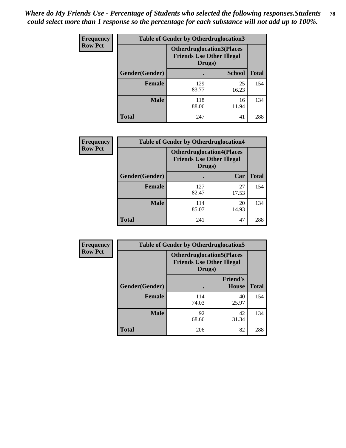| Frequency      | <b>Table of Gender by Otherdruglocation3</b> |                                                                                |               |              |
|----------------|----------------------------------------------|--------------------------------------------------------------------------------|---------------|--------------|
| <b>Row Pct</b> |                                              | <b>Otherdruglocation3(Places</b><br><b>Friends Use Other Illegal</b><br>Drugs) |               |              |
|                | Gender(Gender)                               |                                                                                | <b>School</b> | <b>Total</b> |
|                | <b>Female</b>                                | 129<br>83.77                                                                   | 25<br>16.23   | 154          |
|                | <b>Male</b>                                  | 118<br>88.06                                                                   | 16<br>11.94   | 134          |
|                | <b>Total</b>                                 | 247                                                                            | 41            | 288          |

| Frequency      | <b>Table of Gender by Otherdruglocation4</b> |                                                                                |             |              |
|----------------|----------------------------------------------|--------------------------------------------------------------------------------|-------------|--------------|
| <b>Row Pct</b> |                                              | <b>Otherdruglocation4(Places</b><br><b>Friends Use Other Illegal</b><br>Drugs) |             |              |
|                | Gender(Gender)                               |                                                                                | Car         | <b>Total</b> |
|                | Female                                       | 127<br>82.47                                                                   | 27<br>17.53 | 154          |
|                | <b>Male</b>                                  | 114<br>85.07                                                                   | 20<br>14.93 | 134          |
|                | <b>Total</b>                                 | 241                                                                            | 47          | 288          |

| <b>Frequency</b> | <b>Table of Gender by Otherdruglocation5</b> |              |                                                                      |              |
|------------------|----------------------------------------------|--------------|----------------------------------------------------------------------|--------------|
| <b>Row Pct</b>   |                                              | Drugs)       | <b>Otherdruglocation5(Places</b><br><b>Friends Use Other Illegal</b> |              |
|                  | Gender(Gender)                               |              | <b>Friend's</b><br><b>House</b>                                      | <b>Total</b> |
|                  | <b>Female</b>                                | 114<br>74.03 | 40<br>25.97                                                          | 154          |
|                  | <b>Male</b>                                  | 92<br>68.66  | 42<br>31.34                                                          | 134          |
|                  | <b>Total</b>                                 | 206          | 82                                                                   | 288          |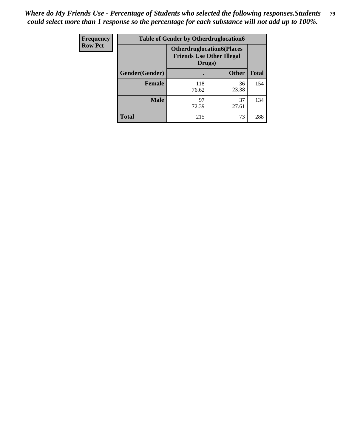| Frequency      | <b>Table of Gender by Otherdruglocation6</b> |                                                                                |              |              |
|----------------|----------------------------------------------|--------------------------------------------------------------------------------|--------------|--------------|
| <b>Row Pct</b> |                                              | <b>Otherdruglocation6(Places</b><br><b>Friends Use Other Illegal</b><br>Drugs) |              |              |
|                | Gender(Gender)                               |                                                                                | <b>Other</b> | <b>Total</b> |
|                | <b>Female</b>                                | 118<br>76.62                                                                   | 36<br>23.38  | 154          |
|                | <b>Male</b>                                  | 97<br>72.39                                                                    | 37<br>27.61  | 134          |
|                | <b>Total</b>                                 | 215                                                                            | 73           | 288          |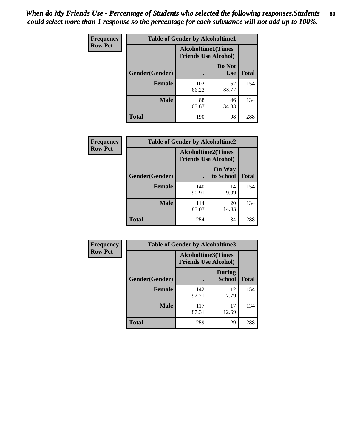| <b>Frequency</b> | <b>Table of Gender by Alcoholtime1</b> |                                                          |                      |              |
|------------------|----------------------------------------|----------------------------------------------------------|----------------------|--------------|
| <b>Row Pct</b>   |                                        | <b>Alcoholtime1(Times</b><br><b>Friends Use Alcohol)</b> |                      |              |
|                  | Gender(Gender)                         | $\bullet$                                                | Do Not<br><b>Use</b> | <b>Total</b> |
|                  | <b>Female</b>                          | 102<br>66.23                                             | 52<br>33.77          | 154          |
|                  | <b>Male</b>                            | 88<br>65.67                                              | 46<br>34.33          | 134          |
|                  | <b>Total</b>                           | 190                                                      | 98                   | 288          |

| <b>Frequency</b> | <b>Table of Gender by Alcoholtime2</b> |                                                          |                            |              |
|------------------|----------------------------------------|----------------------------------------------------------|----------------------------|--------------|
| <b>Row Pct</b>   |                                        | <b>Alcoholtime2(Times</b><br><b>Friends Use Alcohol)</b> |                            |              |
|                  | Gender(Gender)                         |                                                          | <b>On Way</b><br>to School | <b>Total</b> |
|                  | <b>Female</b>                          | 140<br>90.91                                             | 14<br>9.09                 | 154          |
|                  | <b>Male</b>                            | 114<br>85.07                                             | 20<br>14.93                | 134          |
|                  | <b>Total</b>                           | 254                                                      | 34                         | 288          |

| Frequency      | <b>Table of Gender by Alcoholtime3</b> |                                                          |                                |              |
|----------------|----------------------------------------|----------------------------------------------------------|--------------------------------|--------------|
| <b>Row Pct</b> |                                        | <b>Alcoholtime3(Times</b><br><b>Friends Use Alcohol)</b> |                                |              |
|                | Gender(Gender)                         |                                                          | <b>During</b><br><b>School</b> | <b>Total</b> |
|                | Female                                 | 142<br>92.21                                             | 12<br>7.79                     | 154          |
|                | <b>Male</b>                            | 117<br>87.31                                             | 17<br>12.69                    | 134          |
|                | <b>Total</b>                           | 259                                                      | 29                             | 288          |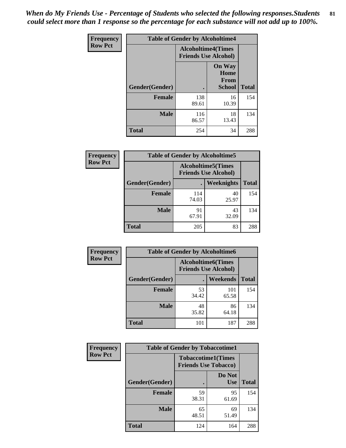*When do My Friends Use - Percentage of Students who selected the following responses.Students could select more than 1 response so the percentage for each substance will not add up to 100%.* **81**

| <b>Frequency</b> | <b>Table of Gender by Alcoholtime4</b> |                                                          |                                                |              |
|------------------|----------------------------------------|----------------------------------------------------------|------------------------------------------------|--------------|
| <b>Row Pct</b>   |                                        | <b>Alcoholtime4(Times</b><br><b>Friends Use Alcohol)</b> |                                                |              |
|                  | Gender(Gender)                         |                                                          | <b>On Way</b><br>Home<br>From<br><b>School</b> | <b>Total</b> |
|                  | <b>Female</b>                          | 138<br>89.61                                             | 16<br>10.39                                    | 154          |
|                  | <b>Male</b>                            | 116<br>86.57                                             | 18<br>13.43                                    | 134          |
|                  | <b>Total</b>                           | 254                                                      | 34                                             | 288          |

| <b>Frequency</b> | <b>Table of Gender by Alcoholtime5</b> |                                                           |             |              |
|------------------|----------------------------------------|-----------------------------------------------------------|-------------|--------------|
| <b>Row Pct</b>   |                                        | <b>Alcoholtime5</b> (Times<br><b>Friends Use Alcohol)</b> |             |              |
|                  | Gender(Gender)                         |                                                           | Weeknights  | <b>Total</b> |
|                  | <b>Female</b>                          | 114<br>74.03                                              | 40<br>25.97 | 154          |
|                  | <b>Male</b>                            | 91<br>67.91                                               | 43<br>32.09 | 134          |
|                  | <b>Total</b>                           | 205                                                       | 83          | 288          |

| <b>Frequency</b> | <b>Table of Gender by Alcoholtime6</b> |             |                                                           |              |  |
|------------------|----------------------------------------|-------------|-----------------------------------------------------------|--------------|--|
| <b>Row Pct</b>   |                                        |             | <b>Alcoholtime6</b> (Times<br><b>Friends Use Alcohol)</b> |              |  |
|                  | Gender(Gender)                         |             | Weekends                                                  | <b>Total</b> |  |
|                  | Female                                 | 53<br>34.42 | 101<br>65.58                                              | 154          |  |
|                  | <b>Male</b>                            | 48<br>35.82 | 86<br>64.18                                               | 134          |  |
|                  | <b>Total</b>                           | 101         | 187                                                       | 288          |  |

| Frequency      | <b>Table of Gender by Tobaccotime1</b> |                                                          |                      |              |
|----------------|----------------------------------------|----------------------------------------------------------|----------------------|--------------|
| <b>Row Pct</b> |                                        | <b>Tobaccotime1(Times</b><br><b>Friends Use Tobacco)</b> |                      |              |
|                | Gender(Gender)                         |                                                          | Do Not<br><b>Use</b> | <b>Total</b> |
|                | <b>Female</b>                          | 59<br>38.31                                              | 95<br>61.69          | 154          |
|                | <b>Male</b>                            | 65<br>48.51                                              | 69<br>51.49          | 134          |
|                | <b>Total</b>                           | 124                                                      | 164                  | 288          |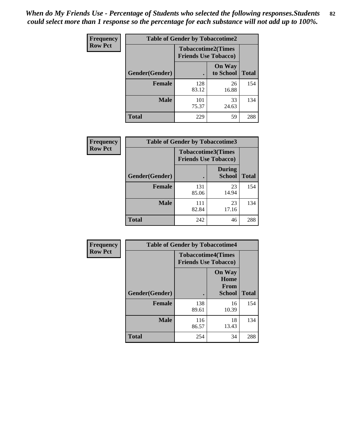*When do My Friends Use - Percentage of Students who selected the following responses.Students could select more than 1 response so the percentage for each substance will not add up to 100%.* **82**

| Frequency      | <b>Table of Gender by Tobaccotime2</b> |                                                          |                            |              |
|----------------|----------------------------------------|----------------------------------------------------------|----------------------------|--------------|
| <b>Row Pct</b> |                                        | <b>Tobaccotime2(Times</b><br><b>Friends Use Tobacco)</b> |                            |              |
|                | Gender(Gender)                         | $\bullet$                                                | <b>On Way</b><br>to School | <b>Total</b> |
|                | <b>Female</b>                          | 128<br>83.12                                             | 26<br>16.88                | 154          |
|                | <b>Male</b>                            | 101<br>75.37                                             | 33<br>24.63                | 134          |
|                | <b>Total</b>                           | 229                                                      | 59                         | 288          |

| Frequency      | <b>Table of Gender by Tobaccotime3</b> |                                                          |                                |              |
|----------------|----------------------------------------|----------------------------------------------------------|--------------------------------|--------------|
| <b>Row Pct</b> |                                        | <b>Tobaccotime3(Times</b><br><b>Friends Use Tobacco)</b> |                                |              |
|                | Gender(Gender)                         |                                                          | <b>During</b><br><b>School</b> | <b>Total</b> |
|                | <b>Female</b>                          | 131<br>85.06                                             | 23<br>14.94                    | 154          |
|                | <b>Male</b>                            | 111<br>82.84                                             | 23<br>17.16                    | 134          |
|                | <b>Total</b>                           | 242                                                      | 46                             | 288          |

| <b>Frequency</b> | <b>Table of Gender by Tobaccotime4</b> |                                                          |                                                       |              |
|------------------|----------------------------------------|----------------------------------------------------------|-------------------------------------------------------|--------------|
| <b>Row Pct</b>   |                                        | <b>Tobaccotime4(Times</b><br><b>Friends Use Tobacco)</b> |                                                       |              |
|                  | Gender(Gender)                         |                                                          | <b>On Way</b><br>Home<br><b>From</b><br><b>School</b> | <b>Total</b> |
|                  | <b>Female</b>                          | 138<br>89.61                                             | 16<br>10.39                                           | 154          |
|                  | <b>Male</b>                            | 116<br>86.57                                             | 18<br>13.43                                           | 134          |
|                  | <b>Total</b>                           | 254                                                      | 34                                                    | 288          |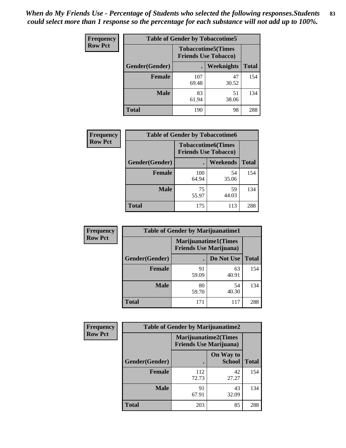| Frequency      | <b>Table of Gender by Tobaccotime5</b> |              |                                                          |              |  |
|----------------|----------------------------------------|--------------|----------------------------------------------------------|--------------|--|
| <b>Row Pct</b> |                                        |              | <b>Tobaccotime5(Times</b><br><b>Friends Use Tobacco)</b> |              |  |
|                | <b>Gender</b> (Gender)                 |              | Weeknights                                               | <b>Total</b> |  |
|                | <b>Female</b>                          | 107<br>69.48 | 47<br>30.52                                              | 154          |  |
|                | <b>Male</b>                            | 83<br>61.94  | 51<br>38.06                                              | 134          |  |
|                | <b>Total</b>                           | 190          | 98                                                       | 288          |  |

| Frequency      | <b>Table of Gender by Tobaccotime6</b> |                                                          |             |              |
|----------------|----------------------------------------|----------------------------------------------------------|-------------|--------------|
| <b>Row Pct</b> |                                        | <b>Tobaccotime6(Times</b><br><b>Friends Use Tobacco)</b> |             |              |
|                | Gender(Gender)                         |                                                          | Weekends    | <b>Total</b> |
|                | Female                                 | 100<br>64.94                                             | 54<br>35.06 | 154          |
|                | <b>Male</b>                            | 75<br>55.97                                              | 59<br>44.03 | 134          |
|                | <b>Total</b>                           | 175                                                      | 113         | 288          |

| <b>Frequency</b> | <b>Table of Gender by Marijuanatime1</b> |                                                        |             |              |
|------------------|------------------------------------------|--------------------------------------------------------|-------------|--------------|
| <b>Row Pct</b>   |                                          | Marijuanatime1(Times<br><b>Friends Use Marijuana</b> ) |             |              |
|                  | Gender(Gender)                           |                                                        | Do Not Use  | <b>Total</b> |
|                  | <b>Female</b>                            | 91<br>59.09                                            | 63<br>40.91 | 154          |
|                  | <b>Male</b>                              | 80<br>59.70                                            | 54<br>40.30 | 134          |
|                  | <b>Total</b>                             | 171                                                    | 117         | 288          |

| <b>Frequency</b> | <b>Table of Gender by Marijuanatime2</b> |                                                               |                            |              |
|------------------|------------------------------------------|---------------------------------------------------------------|----------------------------|--------------|
| <b>Row Pct</b>   |                                          | <b>Marijuanatime2(Times</b><br><b>Friends Use Marijuana</b> ) |                            |              |
|                  | Gender(Gender)                           |                                                               | On Way to<br><b>School</b> | <b>Total</b> |
|                  | Female                                   | 112<br>72.73                                                  | 42<br>27.27                | 154          |
|                  | <b>Male</b>                              | 91<br>67.91                                                   | 43<br>32.09                | 134          |
|                  | <b>Total</b>                             | 203                                                           | 85                         | 288          |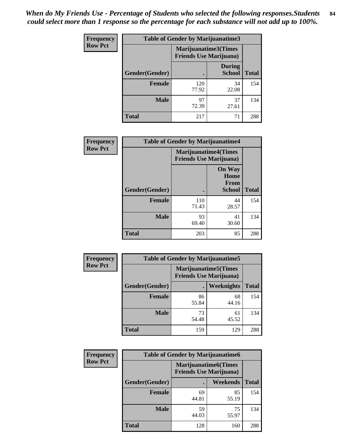*When do My Friends Use - Percentage of Students who selected the following responses.Students could select more than 1 response so the percentage for each substance will not add up to 100%.* **84**

| <b>Frequency</b> | Table of Gender by Marijuanatime3 |                                                        |                                |              |
|------------------|-----------------------------------|--------------------------------------------------------|--------------------------------|--------------|
| <b>Row Pct</b>   |                                   | Marijuanatime3(Times<br><b>Friends Use Marijuana</b> ) |                                |              |
|                  | Gender(Gender)                    |                                                        | <b>During</b><br><b>School</b> | <b>Total</b> |
|                  | <b>Female</b>                     | 120<br>77.92                                           | 34<br>22.08                    | 154          |
|                  | <b>Male</b>                       | 97<br>72.39                                            | 37<br>27.61                    | 134          |
|                  | <b>Total</b>                      | 217                                                    | 71                             | 288          |

| Frequency      | <b>Table of Gender by Marijuanatime4</b> |                                |                                                |              |
|----------------|------------------------------------------|--------------------------------|------------------------------------------------|--------------|
| <b>Row Pct</b> |                                          | <b>Friends Use Marijuana</b> ) | <b>Marijuanatime4</b> (Times                   |              |
|                | Gender(Gender)                           |                                | <b>On Way</b><br>Home<br>From<br><b>School</b> | <b>Total</b> |
|                | <b>Female</b>                            | 110<br>71.43                   | 44<br>28.57                                    | 154          |
|                | <b>Male</b>                              | 93<br>69.40                    | 41<br>30.60                                    | 134          |
|                | <b>Total</b>                             | 203                            | 85                                             | 288          |

| Frequency      | <b>Table of Gender by Marijuanatime5</b> |             |                                                                |              |
|----------------|------------------------------------------|-------------|----------------------------------------------------------------|--------------|
| <b>Row Pct</b> |                                          |             | <b>Marijuanatime5</b> (Times<br><b>Friends Use Marijuana</b> ) |              |
|                | Gender(Gender)                           |             | <b>Weeknights</b>                                              | <b>Total</b> |
|                | <b>Female</b>                            | 86<br>55.84 | 68<br>44.16                                                    | 154          |
|                | <b>Male</b>                              | 73<br>54.48 | 61<br>45.52                                                    | 134          |
|                | <b>Total</b>                             | 159         | 129                                                            | 288          |

| Frequency      |                | <b>Table of Gender by Marijuanatime6</b>                      |                 |              |  |
|----------------|----------------|---------------------------------------------------------------|-----------------|--------------|--|
| <b>Row Pct</b> |                | <b>Marijuanatime6(Times</b><br><b>Friends Use Marijuana</b> ) |                 |              |  |
|                | Gender(Gender) |                                                               | <b>Weekends</b> | <b>Total</b> |  |
|                | <b>Female</b>  | 69<br>44.81                                                   | 85<br>55.19     | 154          |  |
|                | <b>Male</b>    | 59<br>44.03                                                   | 75<br>55.97     | 134          |  |
|                | <b>Total</b>   | 128                                                           | 160             | 288          |  |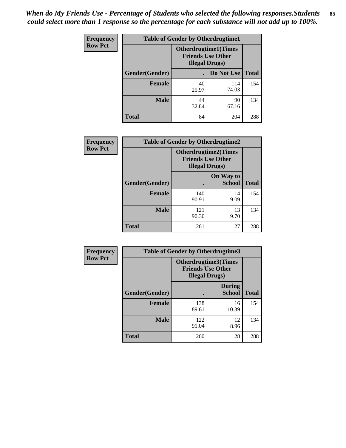*When do My Friends Use - Percentage of Students who selected the following responses.Students could select more than 1 response so the percentage for each substance will not add up to 100%.* **85**

| <b>Frequency</b> | <b>Table of Gender by Otherdrugtime1</b> |                        |                                                          |              |
|------------------|------------------------------------------|------------------------|----------------------------------------------------------|--------------|
| <b>Row Pct</b>   |                                          | <b>Illegal Drugs</b> ) | <b>Otherdrugtime1</b> (Times<br><b>Friends Use Other</b> |              |
|                  | Gender(Gender)                           |                        | Do Not Use                                               | <b>Total</b> |
|                  | <b>Female</b>                            | 40<br>25.97            | 114<br>74.03                                             | 154          |
|                  | <b>Male</b>                              | 44<br>32.84            | 90<br>67.16                                              | 134          |
|                  | <b>Total</b>                             | 84                     | 204                                                      | 288          |

| Frequency      | <b>Table of Gender by Otherdrugtime2</b> |                                                                                   |                            |              |
|----------------|------------------------------------------|-----------------------------------------------------------------------------------|----------------------------|--------------|
| <b>Row Pct</b> |                                          | <b>Otherdrugtime2(Times</b><br><b>Friends Use Other</b><br><b>Illegal Drugs</b> ) |                            |              |
|                | Gender(Gender)                           |                                                                                   | On Way to<br><b>School</b> | <b>Total</b> |
|                | <b>Female</b>                            | 140<br>90.91                                                                      | 14<br>9.09                 | 154          |
|                | <b>Male</b>                              | 121<br>90.30                                                                      | 13<br>9.70                 | 134          |
|                | <b>Total</b>                             | 261                                                                               | 27                         | 288          |

| Frequency      | <b>Table of Gender by Otherdrugtime3</b> |                        |                                                         |              |
|----------------|------------------------------------------|------------------------|---------------------------------------------------------|--------------|
| <b>Row Pct</b> |                                          | <b>Illegal Drugs</b> ) | <b>Otherdrugtime3(Times</b><br><b>Friends Use Other</b> |              |
|                | Gender(Gender)                           |                        | <b>During</b><br><b>School</b>                          | <b>Total</b> |
|                | <b>Female</b>                            | 138<br>89.61           | 16<br>10.39                                             | 154          |
|                | <b>Male</b>                              | 122<br>91.04           | 12<br>8.96                                              | 134          |
|                | <b>Total</b>                             | 260                    | 28                                                      | 288          |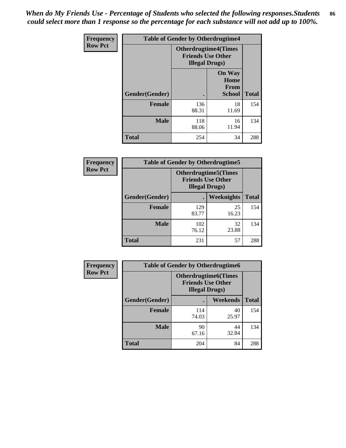*When do My Friends Use - Percentage of Students who selected the following responses.Students could select more than 1 response so the percentage for each substance will not add up to 100%.* **86**

| <b>Frequency</b> | <b>Table of Gender by Otherdrugtime4</b> |                                                    |                                                       |              |
|------------------|------------------------------------------|----------------------------------------------------|-------------------------------------------------------|--------------|
| <b>Row Pct</b>   |                                          | <b>Friends Use Other</b><br><b>Illegal Drugs</b> ) | <b>Otherdrugtime4(Times</b>                           |              |
|                  | Gender(Gender)                           |                                                    | <b>On Way</b><br>Home<br><b>From</b><br><b>School</b> | <b>Total</b> |
|                  | Female                                   | 136<br>88.31                                       | 18<br>11.69                                           | 154          |
|                  | <b>Male</b>                              | 118<br>88.06                                       | 16<br>11.94                                           | 134          |
|                  | <b>Total</b>                             | 254                                                | 34                                                    | 288          |

| Frequency      | <b>Table of Gender by Otherdrugtime5</b> |                                                                                    |                   |              |
|----------------|------------------------------------------|------------------------------------------------------------------------------------|-------------------|--------------|
| <b>Row Pct</b> |                                          | <b>Otherdrugtime5</b> (Times<br><b>Friends Use Other</b><br><b>Illegal Drugs</b> ) |                   |              |
|                | Gender(Gender)                           |                                                                                    | <b>Weeknights</b> | <b>Total</b> |
|                | <b>Female</b>                            | 129<br>83.77                                                                       | 25<br>16.23       | 154          |
|                | <b>Male</b>                              | 102<br>76.12                                                                       | 32<br>23.88       | 134          |
|                | <b>Total</b>                             | 231                                                                                | 57                | 288          |

| Frequency      | <b>Table of Gender by Otherdrugtime6</b> |                                                                                   |             |              |
|----------------|------------------------------------------|-----------------------------------------------------------------------------------|-------------|--------------|
| <b>Row Pct</b> |                                          | <b>Otherdrugtime6(Times</b><br><b>Friends Use Other</b><br><b>Illegal Drugs</b> ) |             |              |
|                | Gender(Gender)                           |                                                                                   | Weekends    | <b>Total</b> |
|                | <b>Female</b>                            | 114<br>74.03                                                                      | 40<br>25.97 | 154          |
|                | <b>Male</b>                              | 90<br>67.16                                                                       | 44<br>32.84 | 134          |
|                | <b>Total</b>                             | 204                                                                               | 84          | 288          |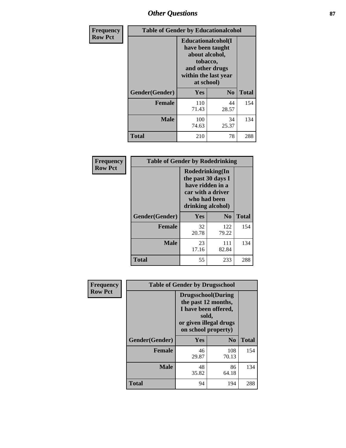# *Other Questions* **87**

| <b>Frequency</b> | <b>Table of Gender by Educationalcohol</b> |                                                                                                                                       |                |              |  |
|------------------|--------------------------------------------|---------------------------------------------------------------------------------------------------------------------------------------|----------------|--------------|--|
| <b>Row Pct</b>   |                                            | <b>Educationalcohol</b> (I<br>have been taught<br>about alcohol,<br>tobacco,<br>and other drugs<br>within the last year<br>at school) |                |              |  |
|                  | Gender(Gender)                             | <b>Yes</b>                                                                                                                            | N <sub>0</sub> | <b>Total</b> |  |
|                  | <b>Female</b>                              | 110<br>71.43                                                                                                                          | 44<br>28.57    | 154          |  |
|                  | <b>Male</b>                                | 100<br>74.63                                                                                                                          | 34<br>25.37    | 134          |  |
|                  | <b>Total</b>                               | 210                                                                                                                                   | 78             | 288          |  |

| Frequency      | <b>Table of Gender by Rodedrinking</b> |                                                                                                                     |              |              |  |
|----------------|----------------------------------------|---------------------------------------------------------------------------------------------------------------------|--------------|--------------|--|
| <b>Row Pct</b> |                                        | Rodedrinking(In<br>the past 30 days I<br>have ridden in a<br>car with a driver<br>who had been<br>drinking alcohol) |              |              |  |
|                | Gender(Gender)                         | Yes                                                                                                                 | $\bf N_0$    | <b>Total</b> |  |
|                | <b>Female</b>                          | 32<br>20.78                                                                                                         | 122<br>79.22 | 154          |  |
|                | <b>Male</b>                            | 23<br>17.16                                                                                                         | 111<br>82.84 | 134          |  |
|                | <b>Total</b>                           | 55                                                                                                                  | 233          | 288          |  |

| Frequency      | <b>Table of Gender by Drugsschool</b> |                                                                                                                                     |                |              |  |
|----------------|---------------------------------------|-------------------------------------------------------------------------------------------------------------------------------------|----------------|--------------|--|
| <b>Row Pct</b> |                                       | <b>Drugsschool</b> (During<br>the past 12 months,<br>I have been offered,<br>sold,<br>or given illegal drugs<br>on school property) |                |              |  |
|                | Gender(Gender)                        | Yes                                                                                                                                 | N <sub>0</sub> | <b>Total</b> |  |
|                | <b>Female</b>                         | 46<br>29.87                                                                                                                         | 108<br>70.13   | 154          |  |
|                | <b>Male</b>                           | 48<br>35.82                                                                                                                         | 86<br>64.18    | 134          |  |
|                | <b>Total</b>                          | 94                                                                                                                                  | 194            | 288          |  |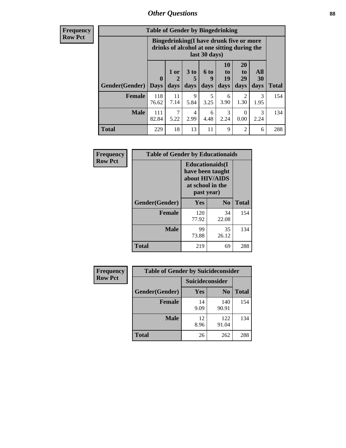## *Other Questions* **88**

**Frequency Row Pct**

| <b>Table of Gender by Bingedrinking</b> |                         |                                                                                                         |                   |                   |                        |                               |                   |              |
|-----------------------------------------|-------------------------|---------------------------------------------------------------------------------------------------------|-------------------|-------------------|------------------------|-------------------------------|-------------------|--------------|
|                                         |                         | Bingedrinking(I have drunk five or more<br>drinks of alcohol at one sitting during the<br>last 30 days) |                   |                   |                        |                               |                   |              |
| <b>Gender</b> (Gender)                  | $\bf{0}$<br><b>Days</b> | 1 or<br>days                                                                                            | 3 to<br>5<br>days | 6 to<br>9<br>days | 10<br>to<br>19<br>days | <b>20</b><br>to<br>29<br>days | All<br>30<br>days | <b>Total</b> |
| <b>Female</b>                           | 118<br>76.62            | 11<br>7.14                                                                                              | 9<br>5.84         | 5<br>3.25         | 6<br>3.90              | 2<br>1.30                     | 3<br>1.95         | 154          |
| <b>Male</b>                             | 111<br>82.84            | 7<br>5.22                                                                                               | 4<br>2.99         | 6<br>4.48         | 3<br>2.24              | $\Omega$<br>0.00              | 3<br>2.24         | 134          |
| <b>Total</b>                            | 229                     | 18                                                                                                      | 13                | 11                | 9                      | $\mathfrak{D}$                | 6                 | 288          |

| Frequency      | <b>Table of Gender by Educationaids</b> |                                                                                                 |                |              |  |  |
|----------------|-----------------------------------------|-------------------------------------------------------------------------------------------------|----------------|--------------|--|--|
| <b>Row Pct</b> |                                         | <b>Educationaids</b> (I<br>have been taught<br>about HIV/AIDS<br>at school in the<br>past year) |                |              |  |  |
|                | Gender(Gender)                          | Yes                                                                                             | N <sub>0</sub> | <b>Total</b> |  |  |
|                | <b>Female</b>                           | 120<br>77.92                                                                                    | 34<br>22.08    | 154          |  |  |
|                | <b>Male</b>                             | 99<br>73.88                                                                                     | 35<br>26.12    | 134          |  |  |
|                | <b>Total</b>                            | 219                                                                                             | 69             | 288          |  |  |

| Frequency      | <b>Table of Gender by Suicideconsider</b> |                 |                |       |  |
|----------------|-------------------------------------------|-----------------|----------------|-------|--|
| <b>Row Pct</b> |                                           | Suicideconsider |                |       |  |
|                | Gender(Gender)                            | Yes             | N <sub>0</sub> | Total |  |
|                | <b>Female</b>                             | 14<br>9.09      | 140<br>90.91   | 154   |  |
|                | <b>Male</b>                               | 12<br>8.96      | 122<br>91.04   | 134   |  |
|                | <b>Total</b>                              | 26              | 262            | 288   |  |